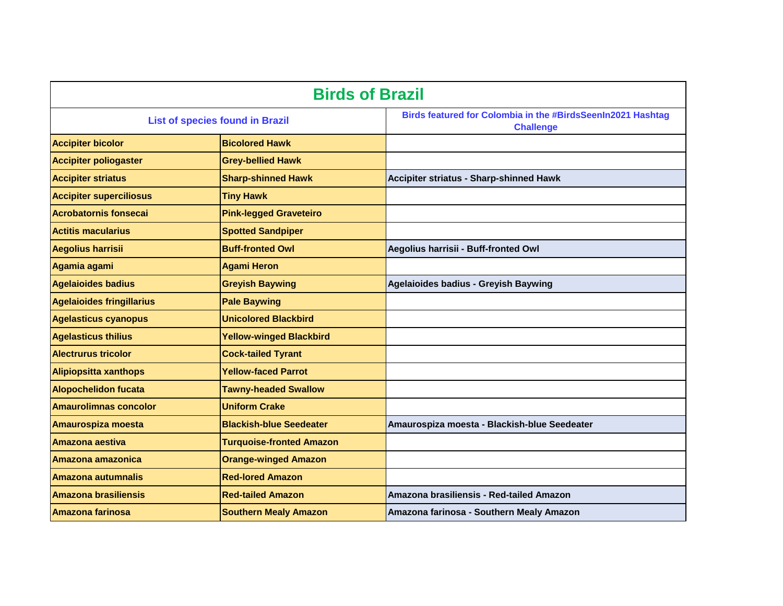| <b>Birds of Brazil</b>                 |                                 |                                                                                 |
|----------------------------------------|---------------------------------|---------------------------------------------------------------------------------|
| <b>List of species found in Brazil</b> |                                 | Birds featured for Colombia in the #BirdsSeenIn2021 Hashtag<br><b>Challenge</b> |
| <b>Accipiter bicolor</b>               | <b>Bicolored Hawk</b>           |                                                                                 |
| <b>Accipiter poliogaster</b>           | <b>Grey-bellied Hawk</b>        |                                                                                 |
| <b>Accipiter striatus</b>              | <b>Sharp-shinned Hawk</b>       | Accipiter striatus - Sharp-shinned Hawk                                         |
| <b>Accipiter superciliosus</b>         | <b>Tiny Hawk</b>                |                                                                                 |
| <b>Acrobatornis fonsecai</b>           | <b>Pink-legged Graveteiro</b>   |                                                                                 |
| <b>Actitis macularius</b>              | <b>Spotted Sandpiper</b>        |                                                                                 |
| <b>Aegolius harrisii</b>               | <b>Buff-fronted Owl</b>         | Aegolius harrisii - Buff-fronted Owl                                            |
| Agamia agami                           | <b>Agami Heron</b>              |                                                                                 |
| <b>Agelaioides badius</b>              | <b>Greyish Baywing</b>          | <b>Agelaioides badius - Greyish Baywing</b>                                     |
| <b>Agelaioides fringillarius</b>       | <b>Pale Baywing</b>             |                                                                                 |
| <b>Agelasticus cyanopus</b>            | <b>Unicolored Blackbird</b>     |                                                                                 |
| <b>Agelasticus thilius</b>             | <b>Yellow-winged Blackbird</b>  |                                                                                 |
| <b>Alectrurus tricolor</b>             | <b>Cock-tailed Tyrant</b>       |                                                                                 |
| <b>Alipiopsitta xanthops</b>           | <b>Yellow-faced Parrot</b>      |                                                                                 |
| <b>Alopochelidon fucata</b>            | <b>Tawny-headed Swallow</b>     |                                                                                 |
| <b>Amaurolimnas concolor</b>           | <b>Uniform Crake</b>            |                                                                                 |
| Amaurospiza moesta                     | <b>Blackish-blue Seedeater</b>  | Amaurospiza moesta - Blackish-blue Seedeater                                    |
| Amazona aestiva                        | <b>Turquoise-fronted Amazon</b> |                                                                                 |
| Amazona amazonica                      | <b>Orange-winged Amazon</b>     |                                                                                 |
| <b>Amazona autumnalis</b>              | <b>Red-lored Amazon</b>         |                                                                                 |
| <b>Amazona brasiliensis</b>            | <b>Red-tailed Amazon</b>        | Amazona brasiliensis - Red-tailed Amazon                                        |
| <b>Amazona farinosa</b>                | <b>Southern Mealy Amazon</b>    | Amazona farinosa - Southern Mealy Amazon                                        |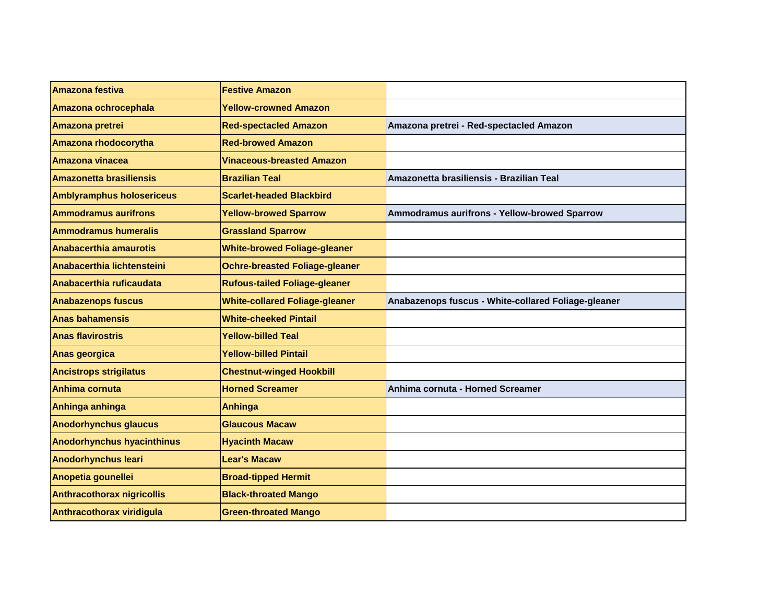| Amazona festiva                   | <b>Festive Amazon</b>                 |                                                     |
|-----------------------------------|---------------------------------------|-----------------------------------------------------|
| Amazona ochrocephala              | <b>Yellow-crowned Amazon</b>          |                                                     |
| Amazona pretrei                   | <b>Red-spectacled Amazon</b>          | Amazona pretrei - Red-spectacled Amazon             |
| Amazona rhodocorytha              | <b>Red-browed Amazon</b>              |                                                     |
| <b>Amazona vinacea</b>            | <b>Vinaceous-breasted Amazon</b>      |                                                     |
| Amazonetta brasiliensis           | <b>Brazilian Teal</b>                 | Amazonetta brasiliensis - Brazilian Teal            |
| <b>Amblyramphus holosericeus</b>  | <b>Scarlet-headed Blackbird</b>       |                                                     |
| <b>Ammodramus aurifrons</b>       | <b>Yellow-browed Sparrow</b>          | Ammodramus aurifrons - Yellow-browed Sparrow        |
| <b>Ammodramus humeralis</b>       | <b>Grassland Sparrow</b>              |                                                     |
| Anabacerthia amaurotis            | <b>White-browed Foliage-gleaner</b>   |                                                     |
| Anabacerthia lichtensteini        | <b>Ochre-breasted Foliage-gleaner</b> |                                                     |
| Anabacerthia ruficaudata          | <b>Rufous-tailed Foliage-gleaner</b>  |                                                     |
| <b>Anabazenops fuscus</b>         | <b>White-collared Foliage-gleaner</b> | Anabazenops fuscus - White-collared Foliage-gleaner |
| <b>Anas bahamensis</b>            | <b>White-cheeked Pintail</b>          |                                                     |
| <b>Anas flavirostris</b>          | <b>Yellow-billed Teal</b>             |                                                     |
| Anas georgica                     | <b>Yellow-billed Pintail</b>          |                                                     |
| <b>Ancistrops strigilatus</b>     | <b>Chestnut-winged Hookbill</b>       |                                                     |
| Anhima cornuta                    | <b>Horned Screamer</b>                | Anhima cornuta - Horned Screamer                    |
| Anhinga anhinga                   | <b>Anhinga</b>                        |                                                     |
| <b>Anodorhynchus glaucus</b>      | <b>Glaucous Macaw</b>                 |                                                     |
| <b>Anodorhynchus hyacinthinus</b> | <b>Hyacinth Macaw</b>                 |                                                     |
| <b>Anodorhynchus leari</b>        | <b>Lear's Macaw</b>                   |                                                     |
| Anopetia gounellei                | <b>Broad-tipped Hermit</b>            |                                                     |
| <b>Anthracothorax nigricollis</b> | <b>Black-throated Mango</b>           |                                                     |
| Anthracothorax viridigula         | <b>Green-throated Mango</b>           |                                                     |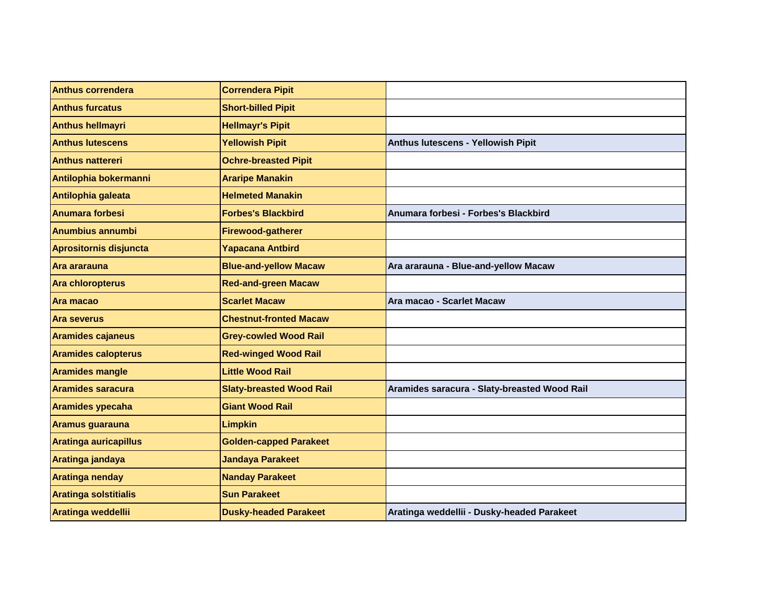| <b>Anthus correndera</b>     | <b>Correndera Pipit</b>         |                                              |
|------------------------------|---------------------------------|----------------------------------------------|
| <b>Anthus furcatus</b>       | <b>Short-billed Pipit</b>       |                                              |
| <b>Anthus hellmayri</b>      | <b>Hellmayr's Pipit</b>         |                                              |
| <b>Anthus lutescens</b>      | <b>Yellowish Pipit</b>          | Anthus lutescens - Yellowish Pipit           |
| <b>Anthus nattereri</b>      | <b>Ochre-breasted Pipit</b>     |                                              |
| Antilophia bokermanni        | <b>Araripe Manakin</b>          |                                              |
| Antilophia galeata           | <b>Helmeted Manakin</b>         |                                              |
| <b>Anumara forbesi</b>       | <b>Forbes's Blackbird</b>       | Anumara forbesi - Forbes's Blackbird         |
| <b>Anumbius annumbi</b>      | Firewood-gatherer               |                                              |
| Aprositornis disjuncta       | <b>Yapacana Antbird</b>         |                                              |
| Ara ararauna                 | <b>Blue-and-yellow Macaw</b>    | Ara ararauna - Blue-and-yellow Macaw         |
| <b>Ara chloropterus</b>      | <b>Red-and-green Macaw</b>      |                                              |
| Ara macao                    | <b>Scarlet Macaw</b>            | Ara macao - Scarlet Macaw                    |
| Ara severus                  | <b>Chestnut-fronted Macaw</b>   |                                              |
| <b>Aramides cajaneus</b>     | <b>Grey-cowled Wood Rail</b>    |                                              |
| <b>Aramides calopterus</b>   | <b>Red-winged Wood Rail</b>     |                                              |
| <b>Aramides mangle</b>       | <b>Little Wood Rail</b>         |                                              |
| <b>Aramides saracura</b>     | <b>Slaty-breasted Wood Rail</b> | Aramides saracura - Slaty-breasted Wood Rail |
| <b>Aramides ypecaha</b>      | <b>Giant Wood Rail</b>          |                                              |
| Aramus guarauna              | <b>Limpkin</b>                  |                                              |
| <b>Aratinga auricapillus</b> | <b>Golden-capped Parakeet</b>   |                                              |
| Aratinga jandaya             | <b>Jandaya Parakeet</b>         |                                              |
| Aratinga nenday              | <b>Nanday Parakeet</b>          |                                              |
| <b>Aratinga solstitialis</b> | <b>Sun Parakeet</b>             |                                              |
| Aratinga weddellii           | <b>Dusky-headed Parakeet</b>    | Aratinga weddellii - Dusky-headed Parakeet   |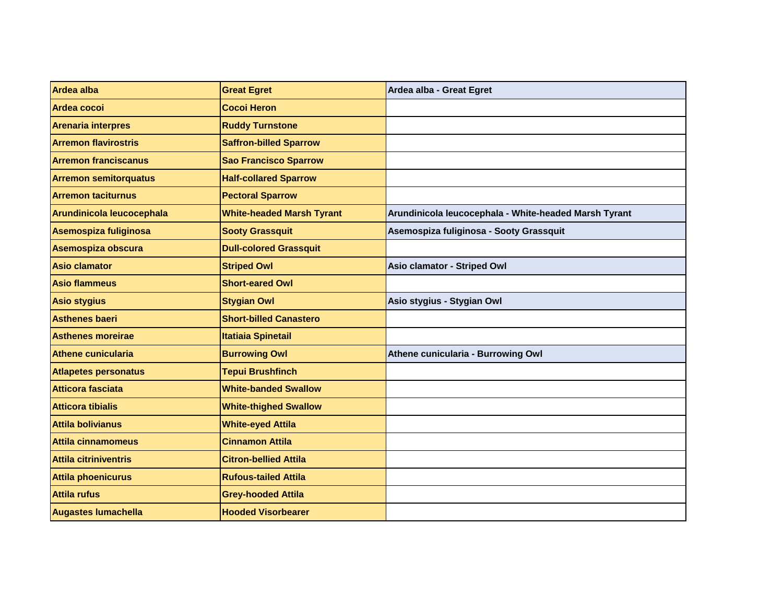| <b>Ardea alba</b>            | <b>Great Egret</b>               | Ardea alba - Great Egret                              |
|------------------------------|----------------------------------|-------------------------------------------------------|
| Ardea cocoi                  | <b>Cocoi Heron</b>               |                                                       |
| <b>Arenaria interpres</b>    | <b>Ruddy Turnstone</b>           |                                                       |
| <b>Arremon flavirostris</b>  | <b>Saffron-billed Sparrow</b>    |                                                       |
| <b>Arremon franciscanus</b>  | <b>Sao Francisco Sparrow</b>     |                                                       |
| <b>Arremon semitorquatus</b> | <b>Half-collared Sparrow</b>     |                                                       |
| <b>Arremon taciturnus</b>    | <b>Pectoral Sparrow</b>          |                                                       |
| Arundinicola leucocephala    | <b>White-headed Marsh Tyrant</b> | Arundinicola leucocephala - White-headed Marsh Tyrant |
| Asemospiza fuliginosa        | <b>Sooty Grassquit</b>           | Asemospiza fuliginosa - Sooty Grassquit               |
| Asemospiza obscura           | <b>Dull-colored Grassquit</b>    |                                                       |
| <b>Asio clamator</b>         | <b>Striped Owl</b>               | Asio clamator - Striped Owl                           |
| <b>Asio flammeus</b>         | <b>Short-eared Owl</b>           |                                                       |
| <b>Asio stygius</b>          | <b>Stygian Owl</b>               | Asio stygius - Stygian Owl                            |
| <b>Asthenes baeri</b>        | <b>Short-billed Canastero</b>    |                                                       |
| <b>Asthenes moreirae</b>     | <b>Itatiaia Spinetail</b>        |                                                       |
| Athene cunicularia           | <b>Burrowing Owl</b>             | Athene cunicularia - Burrowing Owl                    |
| <b>Atlapetes personatus</b>  | <b>Tepui Brushfinch</b>          |                                                       |
| Atticora fasciata            | <b>White-banded Swallow</b>      |                                                       |
| <b>Atticora tibialis</b>     | <b>White-thighed Swallow</b>     |                                                       |
| <b>Attila bolivianus</b>     | <b>White-eyed Attila</b>         |                                                       |
| Attila cinnamomeus           | <b>Cinnamon Attila</b>           |                                                       |
| Attila citriniventris        | <b>Citron-bellied Attila</b>     |                                                       |
| <b>Attila phoenicurus</b>    | <b>Rufous-tailed Attila</b>      |                                                       |
| Attila rufus                 | <b>Grey-hooded Attila</b>        |                                                       |
| <b>Augastes lumachella</b>   | <b>Hooded Visorbearer</b>        |                                                       |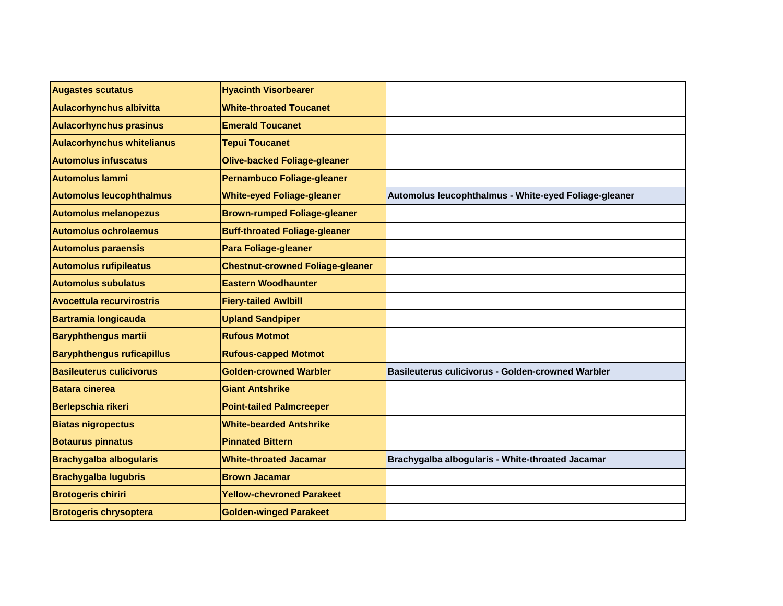| <b>Augastes scutatus</b>          | <b>Hyacinth Visorbearer</b>             |                                                       |
|-----------------------------------|-----------------------------------------|-------------------------------------------------------|
| <b>Aulacorhynchus albivitta</b>   | <b>White-throated Toucanet</b>          |                                                       |
| <b>Aulacorhynchus prasinus</b>    | <b>Emerald Toucanet</b>                 |                                                       |
| <b>Aulacorhynchus whitelianus</b> | <b>Tepui Toucanet</b>                   |                                                       |
| <b>Automolus infuscatus</b>       | <b>Olive-backed Foliage-gleaner</b>     |                                                       |
| <b>Automolus lammi</b>            | <b>Pernambuco Foliage-gleaner</b>       |                                                       |
| <b>Automolus leucophthalmus</b>   | <b>White-eyed Foliage-gleaner</b>       | Automolus leucophthalmus - White-eyed Foliage-gleaner |
| <b>Automolus melanopezus</b>      | <b>Brown-rumped Foliage-gleaner</b>     |                                                       |
| <b>Automolus ochrolaemus</b>      | <b>Buff-throated Foliage-gleaner</b>    |                                                       |
| <b>Automolus paraensis</b>        | <b>Para Foliage-gleaner</b>             |                                                       |
| <b>Automolus rufipileatus</b>     | <b>Chestnut-crowned Foliage-gleaner</b> |                                                       |
| <b>Automolus subulatus</b>        | <b>Eastern Woodhaunter</b>              |                                                       |
| <b>Avocettula recurvirostris</b>  | <b>Fiery-tailed Awlbill</b>             |                                                       |
| <b>Bartramia longicauda</b>       | <b>Upland Sandpiper</b>                 |                                                       |
| <b>Baryphthengus martii</b>       | <b>Rufous Motmot</b>                    |                                                       |
| <b>Baryphthengus ruficapillus</b> | <b>Rufous-capped Motmot</b>             |                                                       |
| <b>Basileuterus culicivorus</b>   | <b>Golden-crowned Warbler</b>           | Basileuterus culicivorus - Golden-crowned Warbler     |
| <b>Batara cinerea</b>             | <b>Giant Antshrike</b>                  |                                                       |
| Berlepschia rikeri                | <b>Point-tailed Palmcreeper</b>         |                                                       |
| <b>Biatas nigropectus</b>         | <b>White-bearded Antshrike</b>          |                                                       |
| <b>Botaurus pinnatus</b>          | <b>Pinnated Bittern</b>                 |                                                       |
| <b>Brachygalba albogularis</b>    | <b>White-throated Jacamar</b>           | Brachygalba albogularis - White-throated Jacamar      |
| <b>Brachygalba lugubris</b>       | <b>Brown Jacamar</b>                    |                                                       |
| <b>Brotogeris chiriri</b>         | <b>Yellow-chevroned Parakeet</b>        |                                                       |
| <b>Brotogeris chrysoptera</b>     | <b>Golden-winged Parakeet</b>           |                                                       |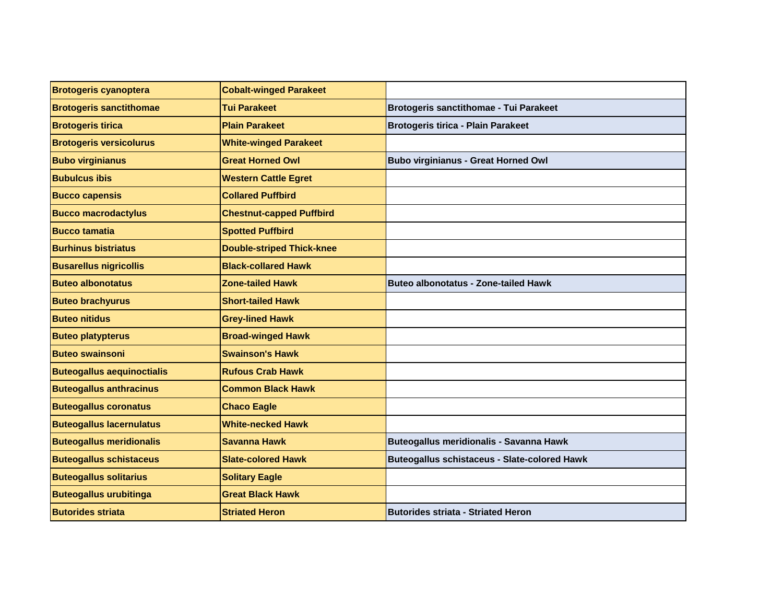| <b>Brotogeris cyanoptera</b>      | <b>Cobalt-winged Parakeet</b>    |                                                     |
|-----------------------------------|----------------------------------|-----------------------------------------------------|
| <b>Brotogeris sanctithomae</b>    | <b>Tui Parakeet</b>              | Brotogeris sanctithomae - Tui Parakeet              |
| <b>Brotogeris tirica</b>          | <b>Plain Parakeet</b>            | <b>Brotogeris tirica - Plain Parakeet</b>           |
| <b>Brotogeris versicolurus</b>    | <b>White-winged Parakeet</b>     |                                                     |
| <b>Bubo virginianus</b>           | <b>Great Horned Owl</b>          | <b>Bubo virginianus - Great Horned Owl</b>          |
| <b>Bubulcus ibis</b>              | <b>Western Cattle Egret</b>      |                                                     |
| <b>Bucco capensis</b>             | <b>Collared Puffbird</b>         |                                                     |
| <b>Bucco macrodactylus</b>        | <b>Chestnut-capped Puffbird</b>  |                                                     |
| <b>Bucco tamatia</b>              | <b>Spotted Puffbird</b>          |                                                     |
| <b>Burhinus bistriatus</b>        | <b>Double-striped Thick-knee</b> |                                                     |
| <b>Busarellus nigricollis</b>     | <b>Black-collared Hawk</b>       |                                                     |
| <b>Buteo albonotatus</b>          | <b>Zone-tailed Hawk</b>          | <b>Buteo albonotatus - Zone-tailed Hawk</b>         |
| <b>Buteo brachyurus</b>           | <b>Short-tailed Hawk</b>         |                                                     |
| <b>Buteo nitidus</b>              | <b>Grey-lined Hawk</b>           |                                                     |
| <b>Buteo platypterus</b>          | <b>Broad-winged Hawk</b>         |                                                     |
| <b>Buteo swainsoni</b>            | <b>Swainson's Hawk</b>           |                                                     |
| <b>Buteogallus aequinoctialis</b> | <b>Rufous Crab Hawk</b>          |                                                     |
| <b>Buteogallus anthracinus</b>    | <b>Common Black Hawk</b>         |                                                     |
| <b>Buteogallus coronatus</b>      | <b>Chaco Eagle</b>               |                                                     |
| <b>Buteogallus lacernulatus</b>   | <b>White-necked Hawk</b>         |                                                     |
| <b>Buteogallus meridionalis</b>   | Savanna Hawk                     | Buteogallus meridionalis - Savanna Hawk             |
| <b>Buteogallus schistaceus</b>    | <b>Slate-colored Hawk</b>        | <b>Buteogallus schistaceus - Slate-colored Hawk</b> |
| <b>Buteogallus solitarius</b>     | <b>Solitary Eagle</b>            |                                                     |
| <b>Buteogallus urubitinga</b>     | <b>Great Black Hawk</b>          |                                                     |
| <b>Butorides striata</b>          | <b>Striated Heron</b>            | <b>Butorides striata - Striated Heron</b>           |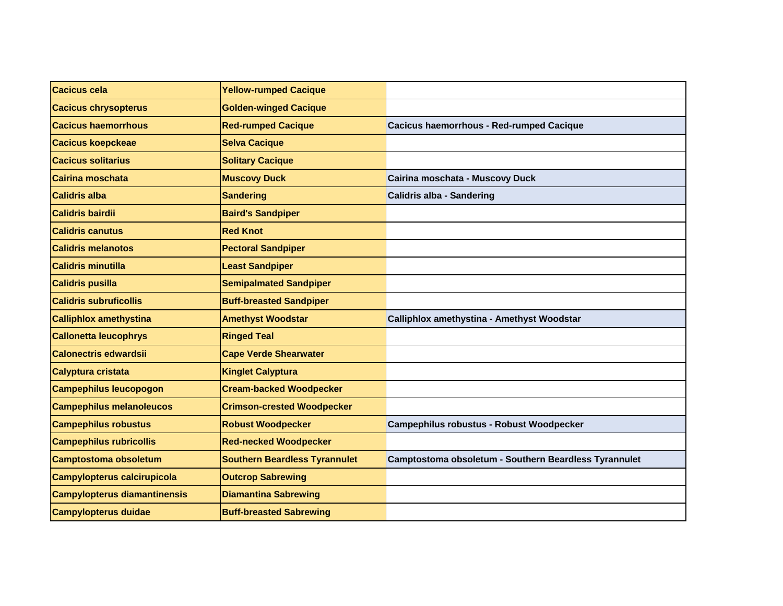| <b>Cacicus cela</b>                 | <b>Yellow-rumped Cacique</b>         |                                                       |
|-------------------------------------|--------------------------------------|-------------------------------------------------------|
| <b>Cacicus chrysopterus</b>         | <b>Golden-winged Cacique</b>         |                                                       |
| <b>Cacicus haemorrhous</b>          | <b>Red-rumped Cacique</b>            | <b>Cacicus haemorrhous - Red-rumped Cacique</b>       |
| <b>Cacicus koepckeae</b>            | <b>Selva Cacique</b>                 |                                                       |
| <b>Cacicus solitarius</b>           | <b>Solitary Cacique</b>              |                                                       |
| Cairina moschata                    | <b>Muscovy Duck</b>                  | Cairina moschata - Muscovy Duck                       |
| <b>Calidris alba</b>                | <b>Sandering</b>                     | <b>Calidris alba - Sandering</b>                      |
| <b>Calidris bairdii</b>             | <b>Baird's Sandpiper</b>             |                                                       |
| <b>Calidris canutus</b>             | <b>Red Knot</b>                      |                                                       |
| <b>Calidris melanotos</b>           | <b>Pectoral Sandpiper</b>            |                                                       |
| <b>Calidris minutilla</b>           | <b>Least Sandpiper</b>               |                                                       |
| <b>Calidris pusilla</b>             | <b>Semipalmated Sandpiper</b>        |                                                       |
| <b>Calidris subruficollis</b>       | <b>Buff-breasted Sandpiper</b>       |                                                       |
| <b>Calliphlox amethystina</b>       | <b>Amethyst Woodstar</b>             | Calliphlox amethystina - Amethyst Woodstar            |
| <b>Callonetta leucophrys</b>        | <b>Ringed Teal</b>                   |                                                       |
| <b>Calonectris edwardsii</b>        | <b>Cape Verde Shearwater</b>         |                                                       |
| Calyptura cristata                  | <b>Kinglet Calyptura</b>             |                                                       |
| <b>Campephilus leucopogon</b>       | <b>Cream-backed Woodpecker</b>       |                                                       |
| <b>Campephilus melanoleucos</b>     | <b>Crimson-crested Woodpecker</b>    |                                                       |
| <b>Campephilus robustus</b>         | <b>Robust Woodpecker</b>             | <b>Campephilus robustus - Robust Woodpecker</b>       |
| <b>Campephilus rubricollis</b>      | <b>Red-necked Woodpecker</b>         |                                                       |
| <b>Camptostoma obsoletum</b>        | <b>Southern Beardless Tyrannulet</b> | Camptostoma obsoletum - Southern Beardless Tyrannulet |
| <b>Campylopterus calcirupicola</b>  | <b>Outcrop Sabrewing</b>             |                                                       |
| <b>Campylopterus diamantinensis</b> | <b>Diamantina Sabrewing</b>          |                                                       |
| <b>Campylopterus duidae</b>         | <b>Buff-breasted Sabrewing</b>       |                                                       |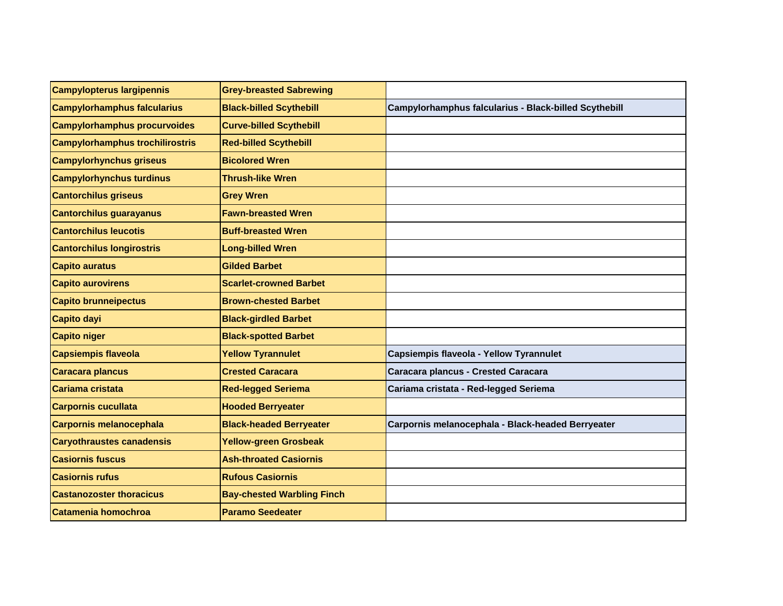| <b>Campylopterus largipennis</b>       | <b>Grey-breasted Sabrewing</b>    |                                                       |
|----------------------------------------|-----------------------------------|-------------------------------------------------------|
| <b>Campylorhamphus falcularius</b>     | <b>Black-billed Scythebill</b>    | Campylorhamphus falcularius - Black-billed Scythebill |
| <b>Campylorhamphus procurvoides</b>    | <b>Curve-billed Scythebill</b>    |                                                       |
| <b>Campylorhamphus trochilirostris</b> | <b>Red-billed Scythebill</b>      |                                                       |
| <b>Campylorhynchus griseus</b>         | <b>Bicolored Wren</b>             |                                                       |
| <b>Campylorhynchus turdinus</b>        | <b>Thrush-like Wren</b>           |                                                       |
| <b>Cantorchilus griseus</b>            | <b>Grey Wren</b>                  |                                                       |
| <b>Cantorchilus guarayanus</b>         | <b>Fawn-breasted Wren</b>         |                                                       |
| <b>Cantorchilus leucotis</b>           | <b>Buff-breasted Wren</b>         |                                                       |
| <b>Cantorchilus longirostris</b>       | <b>Long-billed Wren</b>           |                                                       |
| <b>Capito auratus</b>                  | <b>Gilded Barbet</b>              |                                                       |
| <b>Capito aurovirens</b>               | <b>Scarlet-crowned Barbet</b>     |                                                       |
| <b>Capito brunneipectus</b>            | <b>Brown-chested Barbet</b>       |                                                       |
| <b>Capito dayi</b>                     | <b>Black-girdled Barbet</b>       |                                                       |
| <b>Capito niger</b>                    | <b>Black-spotted Barbet</b>       |                                                       |
| <b>Capsiempis flaveola</b>             | <b>Yellow Tyrannulet</b>          | Capsiempis flaveola - Yellow Tyrannulet               |
| Caracara plancus                       | <b>Crested Caracara</b>           | Caracara plancus - Crested Caracara                   |
| Cariama cristata                       | <b>Red-legged Seriema</b>         | Cariama cristata - Red-legged Seriema                 |
| <b>Carpornis cucullata</b>             | <b>Hooded Berryeater</b>          |                                                       |
| Carpornis melanocephala                | <b>Black-headed Berryeater</b>    | Carpornis melanocephala - Black-headed Berryeater     |
| <b>Caryothraustes canadensis</b>       | <b>Yellow-green Grosbeak</b>      |                                                       |
| <b>Casiornis fuscus</b>                | <b>Ash-throated Casiornis</b>     |                                                       |
| <b>Casiornis rufus</b>                 | <b>Rufous Casiornis</b>           |                                                       |
| <b>Castanozoster thoracicus</b>        | <b>Bay-chested Warbling Finch</b> |                                                       |
| Catamenia homochroa                    | <b>Paramo Seedeater</b>           |                                                       |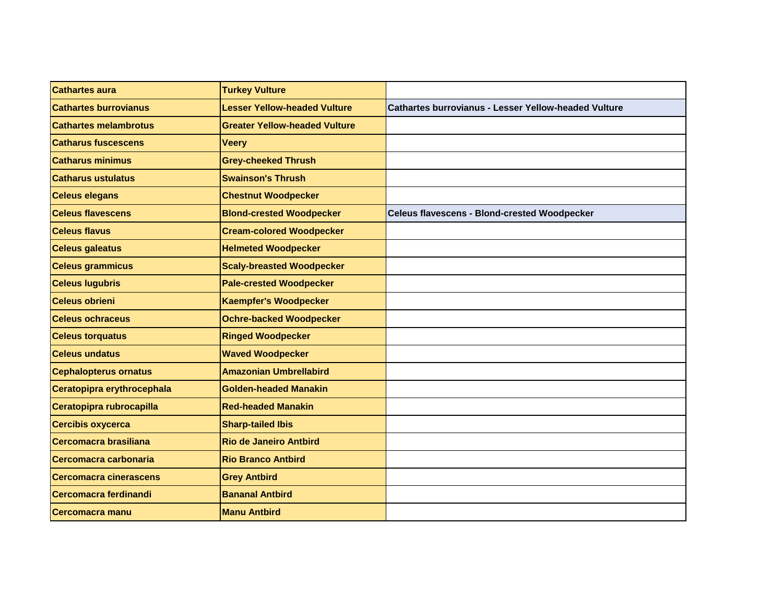| <b>Cathartes aura</b>        | <b>Turkey Vulture</b>                |                                                             |
|------------------------------|--------------------------------------|-------------------------------------------------------------|
| <b>Cathartes burrovianus</b> | <b>Lesser Yellow-headed Vulture</b>  | <b>Cathartes burrovianus - Lesser Yellow-headed Vulture</b> |
| <b>Cathartes melambrotus</b> | <b>Greater Yellow-headed Vulture</b> |                                                             |
| <b>Catharus fuscescens</b>   | <b>Veery</b>                         |                                                             |
| <b>Catharus minimus</b>      | <b>Grey-cheeked Thrush</b>           |                                                             |
| <b>Catharus ustulatus</b>    | <b>Swainson's Thrush</b>             |                                                             |
| <b>Celeus elegans</b>        | <b>Chestnut Woodpecker</b>           |                                                             |
| <b>Celeus flavescens</b>     | <b>Blond-crested Woodpecker</b>      | <b>Celeus flavescens - Blond-crested Woodpecker</b>         |
| <b>Celeus flavus</b>         | <b>Cream-colored Woodpecker</b>      |                                                             |
| <b>Celeus galeatus</b>       | <b>Helmeted Woodpecker</b>           |                                                             |
| <b>Celeus grammicus</b>      | <b>Scaly-breasted Woodpecker</b>     |                                                             |
| <b>Celeus lugubris</b>       | <b>Pale-crested Woodpecker</b>       |                                                             |
| <b>Celeus obrieni</b>        | <b>Kaempfer's Woodpecker</b>         |                                                             |
| <b>Celeus ochraceus</b>      | <b>Ochre-backed Woodpecker</b>       |                                                             |
| <b>Celeus torquatus</b>      | <b>Ringed Woodpecker</b>             |                                                             |
| <b>Celeus undatus</b>        | <b>Waved Woodpecker</b>              |                                                             |
| <b>Cephalopterus ornatus</b> | <b>Amazonian Umbrellabird</b>        |                                                             |
| Ceratopipra erythrocephala   | <b>Golden-headed Manakin</b>         |                                                             |
| Ceratopipra rubrocapilla     | <b>Red-headed Manakin</b>            |                                                             |
| <b>Cercibis oxycerca</b>     | <b>Sharp-tailed Ibis</b>             |                                                             |
| <b>Cercomacra brasiliana</b> | <b>Rio de Janeiro Antbird</b>        |                                                             |
| Cercomacra carbonaria        | <b>Rio Branco Antbird</b>            |                                                             |
| Cercomacra cinerascens       | <b>Grey Antbird</b>                  |                                                             |
| Cercomacra ferdinandi        | <b>Bananal Antbird</b>               |                                                             |
| <b>Cercomacra manu</b>       | <b>Manu Antbird</b>                  |                                                             |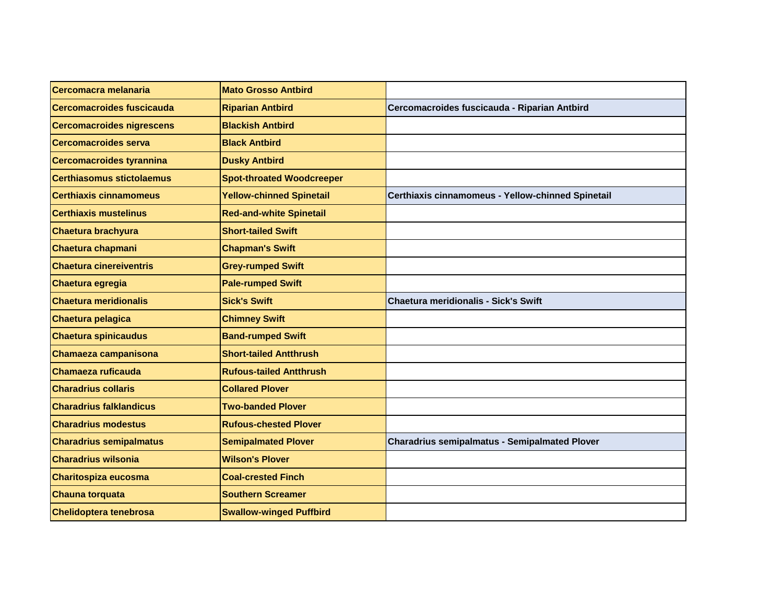| Cercomacra melanaria             | <b>Mato Grosso Antbird</b>       |                                                      |
|----------------------------------|----------------------------------|------------------------------------------------------|
| Cercomacroides fuscicauda        | <b>Riparian Antbird</b>          | Cercomacroides fuscicauda - Riparian Antbird         |
| <b>Cercomacroides nigrescens</b> | <b>Blackish Antbird</b>          |                                                      |
| <b>Cercomacroides serva</b>      | <b>Black Antbird</b>             |                                                      |
| Cercomacroides tyrannina         | <b>Dusky Antbird</b>             |                                                      |
| <b>Certhiasomus stictolaemus</b> | <b>Spot-throated Woodcreeper</b> |                                                      |
| <b>Certhiaxis cinnamomeus</b>    | <b>Yellow-chinned Spinetail</b>  | Certhiaxis cinnamomeus - Yellow-chinned Spinetail    |
| <b>Certhiaxis mustelinus</b>     | <b>Red-and-white Spinetail</b>   |                                                      |
| <b>Chaetura brachyura</b>        | <b>Short-tailed Swift</b>        |                                                      |
| Chaetura chapmani                | <b>Chapman's Swift</b>           |                                                      |
| <b>Chaetura cinereiventris</b>   | <b>Grey-rumped Swift</b>         |                                                      |
| Chaetura egregia                 | <b>Pale-rumped Swift</b>         |                                                      |
| <b>Chaetura meridionalis</b>     | <b>Sick's Swift</b>              | <b>Chaetura meridionalis - Sick's Swift</b>          |
| Chaetura pelagica                | <b>Chimney Swift</b>             |                                                      |
| <b>Chaetura spinicaudus</b>      | <b>Band-rumped Swift</b>         |                                                      |
| Chamaeza campanisona             | <b>Short-tailed Antthrush</b>    |                                                      |
| Chamaeza ruficauda               | <b>Rufous-tailed Antthrush</b>   |                                                      |
| <b>Charadrius collaris</b>       | <b>Collared Plover</b>           |                                                      |
| <b>Charadrius falklandicus</b>   | <b>Two-banded Plover</b>         |                                                      |
| <b>Charadrius modestus</b>       | <b>Rufous-chested Plover</b>     |                                                      |
| <b>Charadrius semipalmatus</b>   | <b>Semipalmated Plover</b>       | <b>Charadrius semipalmatus - Semipalmated Plover</b> |
| <b>Charadrius wilsonia</b>       | <b>Wilson's Plover</b>           |                                                      |
| Charitospiza eucosma             | <b>Coal-crested Finch</b>        |                                                      |
| Chauna torquata                  | <b>Southern Screamer</b>         |                                                      |
| Chelidoptera tenebrosa           | <b>Swallow-winged Puffbird</b>   |                                                      |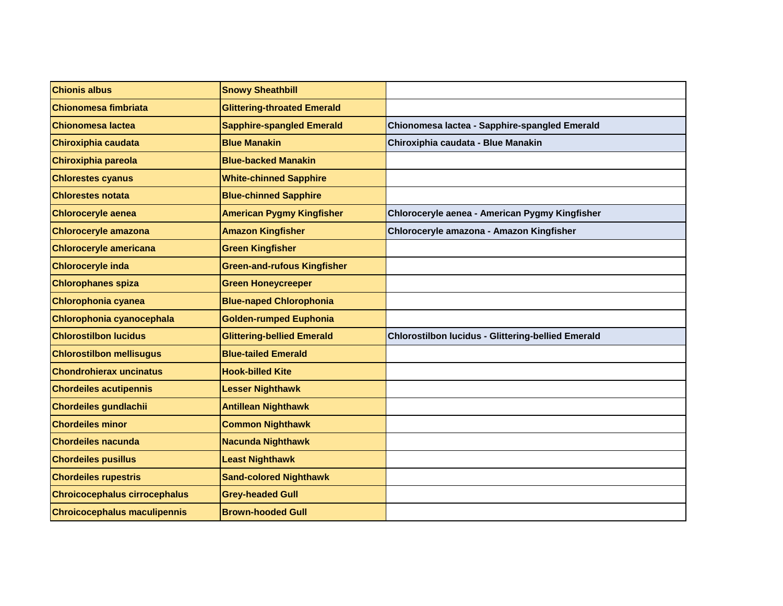| <b>Chionis albus</b>                 | <b>Snowy Sheathbill</b>            |                                                           |
|--------------------------------------|------------------------------------|-----------------------------------------------------------|
| Chionomesa fimbriata                 | <b>Glittering-throated Emerald</b> |                                                           |
| Chionomesa lactea                    | <b>Sapphire-spangled Emerald</b>   | Chionomesa lactea - Sapphire-spangled Emerald             |
| Chiroxiphia caudata                  | <b>Blue Manakin</b>                | Chiroxiphia caudata - Blue Manakin                        |
| Chiroxiphia pareola                  | <b>Blue-backed Manakin</b>         |                                                           |
| <b>Chlorestes cyanus</b>             | <b>White-chinned Sapphire</b>      |                                                           |
| <b>Chlorestes notata</b>             | <b>Blue-chinned Sapphire</b>       |                                                           |
| <b>Chloroceryle aenea</b>            | <b>American Pygmy Kingfisher</b>   | Chloroceryle aenea - American Pygmy Kingfisher            |
| <b>Chloroceryle amazona</b>          | <b>Amazon Kingfisher</b>           | Chloroceryle amazona - Amazon Kingfisher                  |
| <b>Chloroceryle americana</b>        | <b>Green Kingfisher</b>            |                                                           |
| <b>Chloroceryle inda</b>             | <b>Green-and-rufous Kingfisher</b> |                                                           |
| <b>Chlorophanes spiza</b>            | <b>Green Honeycreeper</b>          |                                                           |
| Chlorophonia cyanea                  | <b>Blue-naped Chlorophonia</b>     |                                                           |
| Chlorophonia cyanocephala            | <b>Golden-rumped Euphonia</b>      |                                                           |
| <b>Chlorostilbon lucidus</b>         | <b>Glittering-bellied Emerald</b>  | <b>Chlorostilbon lucidus - Glittering-bellied Emerald</b> |
| <b>Chlorostilbon mellisugus</b>      | <b>Blue-tailed Emerald</b>         |                                                           |
| <b>Chondrohierax uncinatus</b>       | <b>Hook-billed Kite</b>            |                                                           |
| <b>Chordeiles acutipennis</b>        | <b>Lesser Nighthawk</b>            |                                                           |
| <b>Chordeiles gundlachii</b>         | <b>Antillean Nighthawk</b>         |                                                           |
| <b>Chordeiles minor</b>              | <b>Common Nighthawk</b>            |                                                           |
| <b>Chordeiles nacunda</b>            | <b>Nacunda Nighthawk</b>           |                                                           |
| <b>Chordeiles pusillus</b>           | <b>Least Nighthawk</b>             |                                                           |
| <b>Chordeiles rupestris</b>          | <b>Sand-colored Nighthawk</b>      |                                                           |
| <b>Chroicocephalus cirrocephalus</b> | <b>Grey-headed Gull</b>            |                                                           |
| <b>Chroicocephalus maculipennis</b>  | <b>Brown-hooded Gull</b>           |                                                           |
|                                      |                                    |                                                           |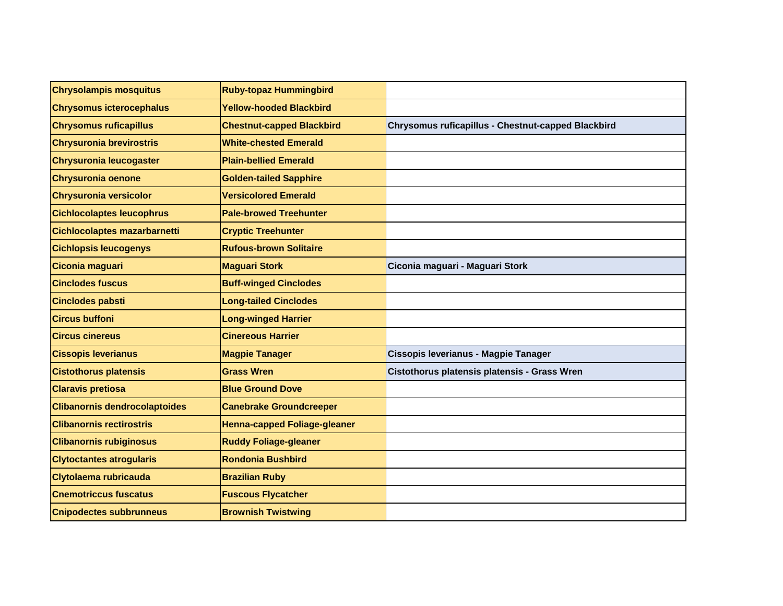| <b>Chrysolampis mosquitus</b>        | <b>Ruby-topaz Hummingbird</b>    |                                                    |
|--------------------------------------|----------------------------------|----------------------------------------------------|
| <b>Chrysomus icterocephalus</b>      | <b>Yellow-hooded Blackbird</b>   |                                                    |
| <b>Chrysomus ruficapillus</b>        | <b>Chestnut-capped Blackbird</b> | Chrysomus ruficapillus - Chestnut-capped Blackbird |
| <b>Chrysuronia brevirostris</b>      | <b>White-chested Emerald</b>     |                                                    |
| <b>Chrysuronia leucogaster</b>       | <b>Plain-bellied Emerald</b>     |                                                    |
| <b>Chrysuronia oenone</b>            | <b>Golden-tailed Sapphire</b>    |                                                    |
| <b>Chrysuronia versicolor</b>        | <b>Versicolored Emerald</b>      |                                                    |
| <b>Cichlocolaptes leucophrus</b>     | <b>Pale-browed Treehunter</b>    |                                                    |
| Cichlocolaptes mazarbarnetti         | <b>Cryptic Treehunter</b>        |                                                    |
| <b>Cichlopsis leucogenys</b>         | <b>Rufous-brown Solitaire</b>    |                                                    |
| Ciconia maguari                      | <b>Maguari Stork</b>             | Ciconia maguari - Maguari Stork                    |
| <b>Cinclodes fuscus</b>              | <b>Buff-winged Cinclodes</b>     |                                                    |
| <b>Cinclodes pabsti</b>              | <b>Long-tailed Cinclodes</b>     |                                                    |
| <b>Circus buffoni</b>                | <b>Long-winged Harrier</b>       |                                                    |
| <b>Circus cinereus</b>               | <b>Cinereous Harrier</b>         |                                                    |
| <b>Cissopis leverianus</b>           | <b>Magpie Tanager</b>            | Cissopis leverianus - Magpie Tanager               |
| <b>Cistothorus platensis</b>         | <b>Grass Wren</b>                | Cistothorus platensis platensis - Grass Wren       |
| <b>Claravis pretiosa</b>             | <b>Blue Ground Dove</b>          |                                                    |
| <b>Clibanornis dendrocolaptoides</b> | <b>Canebrake Groundcreeper</b>   |                                                    |
| <b>Clibanornis rectirostris</b>      | Henna-capped Foliage-gleaner     |                                                    |
| <b>Clibanornis rubiginosus</b>       | <b>Ruddy Foliage-gleaner</b>     |                                                    |
| <b>Clytoctantes atrogularis</b>      | Rondonia Bushbird                |                                                    |
| Clytolaema rubricauda                | <b>Brazilian Ruby</b>            |                                                    |
| <b>Cnemotriccus fuscatus</b>         | <b>Fuscous Flycatcher</b>        |                                                    |
| <b>Cnipodectes subbrunneus</b>       | <b>Brownish Twistwing</b>        |                                                    |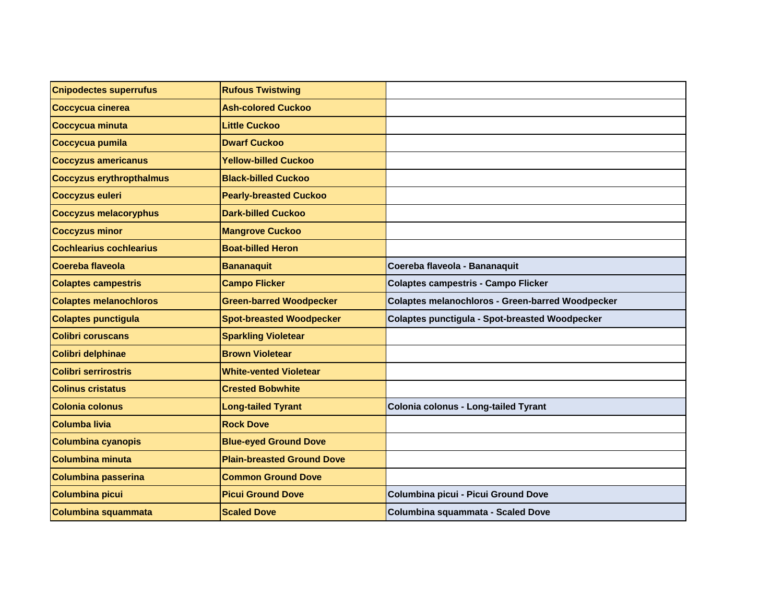| <b>Cnipodectes superrufus</b>   | <b>Rufous Twistwing</b>           |                                                         |
|---------------------------------|-----------------------------------|---------------------------------------------------------|
| Coccycua cinerea                | <b>Ash-colored Cuckoo</b>         |                                                         |
| Coccycua minuta                 | <b>Little Cuckoo</b>              |                                                         |
| Coccycua pumila                 | <b>Dwarf Cuckoo</b>               |                                                         |
| <b>Coccyzus americanus</b>      | <b>Yellow-billed Cuckoo</b>       |                                                         |
| <b>Coccyzus erythropthalmus</b> | <b>Black-billed Cuckoo</b>        |                                                         |
| <b>Coccyzus euleri</b>          | <b>Pearly-breasted Cuckoo</b>     |                                                         |
| <b>Coccyzus melacoryphus</b>    | <b>Dark-billed Cuckoo</b>         |                                                         |
| <b>Coccyzus minor</b>           | <b>Mangrove Cuckoo</b>            |                                                         |
| <b>Cochlearius cochlearius</b>  | <b>Boat-billed Heron</b>          |                                                         |
| Coereba flaveola                | <b>Bananaquit</b>                 | Coereba flaveola - Bananaquit                           |
| <b>Colaptes campestris</b>      | <b>Campo Flicker</b>              | <b>Colaptes campestris - Campo Flicker</b>              |
| <b>Colaptes melanochloros</b>   | <b>Green-barred Woodpecker</b>    | <b>Colaptes melanochloros - Green-barred Woodpecker</b> |
| <b>Colaptes punctigula</b>      | <b>Spot-breasted Woodpecker</b>   | Colaptes punctigula - Spot-breasted Woodpecker          |
| <b>Colibri coruscans</b>        | <b>Sparkling Violetear</b>        |                                                         |
| Colibri delphinae               | <b>Brown Violetear</b>            |                                                         |
| <b>Colibri serrirostris</b>     | <b>White-vented Violetear</b>     |                                                         |
| <b>Colinus cristatus</b>        | <b>Crested Bobwhite</b>           |                                                         |
| <b>Colonia colonus</b>          | <b>Long-tailed Tyrant</b>         | Colonia colonus - Long-tailed Tyrant                    |
| <b>Columba livia</b>            | <b>Rock Dove</b>                  |                                                         |
| <b>Columbina cyanopis</b>       | <b>Blue-eyed Ground Dove</b>      |                                                         |
| <b>Columbina minuta</b>         | <b>Plain-breasted Ground Dove</b> |                                                         |
| <b>Columbina passerina</b>      | <b>Common Ground Dove</b>         |                                                         |
| <b>Columbina picui</b>          | <b>Picui Ground Dove</b>          | Columbina picui - Picui Ground Dove                     |
| <b>Columbina squammata</b>      | <b>Scaled Dove</b>                | Columbina squammata - Scaled Dove                       |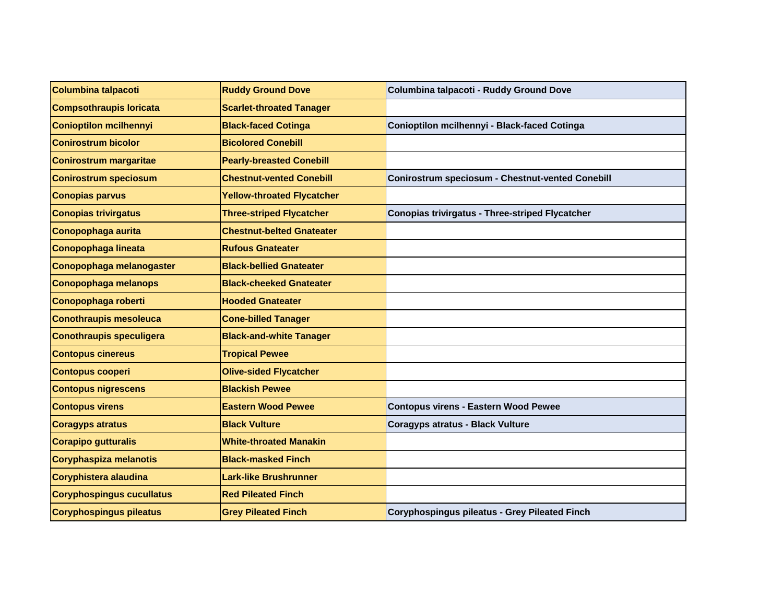| Columbina talpacoti              | <b>Ruddy Ground Dove</b>          | Columbina talpacoti - Ruddy Ground Dove                 |
|----------------------------------|-----------------------------------|---------------------------------------------------------|
| <b>Compsothraupis loricata</b>   | <b>Scarlet-throated Tanager</b>   |                                                         |
| <b>Conioptilon mcilhennyi</b>    | <b>Black-faced Cotinga</b>        | Conioptilon mcilhennyi - Black-faced Cotinga            |
| <b>Conirostrum bicolor</b>       | <b>Bicolored Conebill</b>         |                                                         |
| <b>Conirostrum margaritae</b>    | <b>Pearly-breasted Conebill</b>   |                                                         |
| <b>Conirostrum speciosum</b>     | <b>Chestnut-vented Conebill</b>   | <b>Conirostrum speciosum - Chestnut-vented Conebill</b> |
| <b>Conopias parvus</b>           | <b>Yellow-throated Flycatcher</b> |                                                         |
| <b>Conopias trivirgatus</b>      | <b>Three-striped Flycatcher</b>   | <b>Conopias trivirgatus - Three-striped Flycatcher</b>  |
| Conopophaga aurita               | <b>Chestnut-belted Gnateater</b>  |                                                         |
| Conopophaga lineata              | <b>Rufous Gnateater</b>           |                                                         |
| Conopophaga melanogaster         | <b>Black-bellied Gnateater</b>    |                                                         |
| Conopophaga melanops             | <b>Black-cheeked Gnateater</b>    |                                                         |
| Conopophaga roberti              | <b>Hooded Gnateater</b>           |                                                         |
| <b>Conothraupis mesoleuca</b>    | <b>Cone-billed Tanager</b>        |                                                         |
| <b>Conothraupis speculigera</b>  | <b>Black-and-white Tanager</b>    |                                                         |
| <b>Contopus cinereus</b>         | <b>Tropical Pewee</b>             |                                                         |
| <b>Contopus cooperi</b>          | <b>Olive-sided Flycatcher</b>     |                                                         |
| <b>Contopus nigrescens</b>       | <b>Blackish Pewee</b>             |                                                         |
| <b>Contopus virens</b>           | <b>Eastern Wood Pewee</b>         | <b>Contopus virens - Eastern Wood Pewee</b>             |
| <b>Coragyps atratus</b>          | <b>Black Vulture</b>              | <b>Coragyps atratus - Black Vulture</b>                 |
| <b>Corapipo gutturalis</b>       | <b>White-throated Manakin</b>     |                                                         |
| Coryphaspiza melanotis           | <b>Black-masked Finch</b>         |                                                         |
| Coryphistera alaudina            | <b>Lark-like Brushrunner</b>      |                                                         |
| <b>Coryphospingus cucullatus</b> | <b>Red Pileated Finch</b>         |                                                         |
| <b>Coryphospingus pileatus</b>   | <b>Grey Pileated Finch</b>        | Coryphospingus pileatus - Grey Pileated Finch           |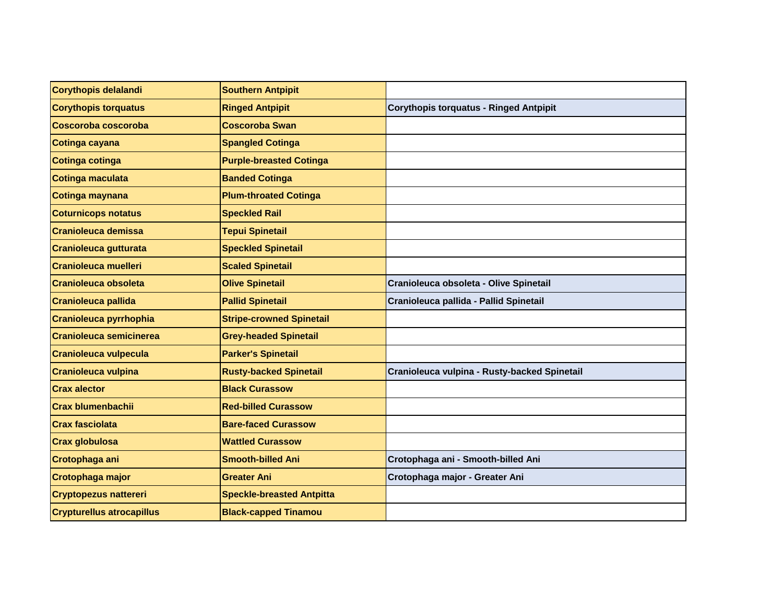| Corythopis delalandi             | <b>Southern Antpipit</b>         |                                               |
|----------------------------------|----------------------------------|-----------------------------------------------|
| <b>Corythopis torquatus</b>      | <b>Ringed Antpipit</b>           | <b>Corythopis torquatus - Ringed Antpipit</b> |
| Coscoroba coscoroba              | <b>Coscoroba Swan</b>            |                                               |
| Cotinga cayana                   | <b>Spangled Cotinga</b>          |                                               |
| Cotinga cotinga                  | <b>Purple-breasted Cotinga</b>   |                                               |
| Cotinga maculata                 | <b>Banded Cotinga</b>            |                                               |
| Cotinga maynana                  | <b>Plum-throated Cotinga</b>     |                                               |
| <b>Coturnicops notatus</b>       | <b>Speckled Rail</b>             |                                               |
| <b>Cranioleuca demissa</b>       | <b>Tepui Spinetail</b>           |                                               |
| <b>Cranioleuca gutturata</b>     | <b>Speckled Spinetail</b>        |                                               |
| <b>Cranioleuca muelleri</b>      | <b>Scaled Spinetail</b>          |                                               |
| <b>Cranioleuca obsoleta</b>      | <b>Olive Spinetail</b>           | Cranioleuca obsoleta - Olive Spinetail        |
| <b>Cranioleuca pallida</b>       | <b>Pallid Spinetail</b>          | Cranioleuca pallida - Pallid Spinetail        |
| <b>Cranioleuca pyrrhophia</b>    | <b>Stripe-crowned Spinetail</b>  |                                               |
| <b>Cranioleuca semicinerea</b>   | <b>Grey-headed Spinetail</b>     |                                               |
| <b>Cranioleuca vulpecula</b>     | <b>Parker's Spinetail</b>        |                                               |
| <b>Cranioleuca vulpina</b>       | <b>Rusty-backed Spinetail</b>    | Cranioleuca vulpina - Rusty-backed Spinetail  |
| <b>Crax alector</b>              | <b>Black Curassow</b>            |                                               |
| <b>Crax blumenbachii</b>         | <b>Red-billed Curassow</b>       |                                               |
| <b>Crax fasciolata</b>           | <b>Bare-faced Curassow</b>       |                                               |
| <b>Crax globulosa</b>            | <b>Wattled Curassow</b>          |                                               |
| Crotophaga ani                   | <b>Smooth-billed Ani</b>         | Crotophaga ani - Smooth-billed Ani            |
| Crotophaga major                 | <b>Greater Ani</b>               | Crotophaga major - Greater Ani                |
| <b>Cryptopezus nattereri</b>     | <b>Speckle-breasted Antpitta</b> |                                               |
| <b>Crypturellus atrocapillus</b> | <b>Black-capped Tinamou</b>      |                                               |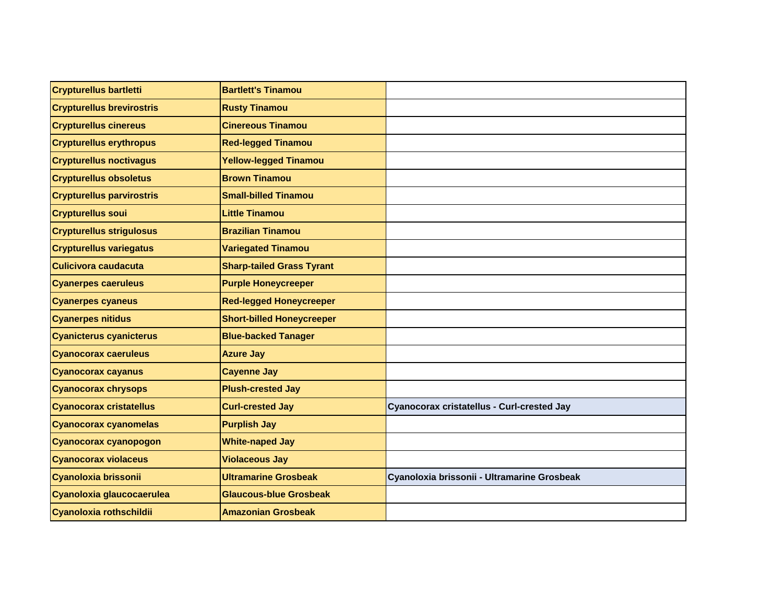| <b>Crypturellus bartletti</b>    | <b>Bartlett's Tinamou</b>        |                                             |
|----------------------------------|----------------------------------|---------------------------------------------|
| <b>Crypturellus brevirostris</b> | <b>Rusty Tinamou</b>             |                                             |
| <b>Crypturellus cinereus</b>     | <b>Cinereous Tinamou</b>         |                                             |
| <b>Crypturellus erythropus</b>   | <b>Red-legged Tinamou</b>        |                                             |
| <b>Crypturellus noctivagus</b>   | <b>Yellow-legged Tinamou</b>     |                                             |
| <b>Crypturellus obsoletus</b>    | <b>Brown Tinamou</b>             |                                             |
| <b>Crypturellus parvirostris</b> | <b>Small-billed Tinamou</b>      |                                             |
| <b>Crypturellus soui</b>         | <b>Little Tinamou</b>            |                                             |
| <b>Crypturellus strigulosus</b>  | <b>Brazilian Tinamou</b>         |                                             |
| <b>Crypturellus variegatus</b>   | <b>Variegated Tinamou</b>        |                                             |
| Culicivora caudacuta             | <b>Sharp-tailed Grass Tyrant</b> |                                             |
| <b>Cyanerpes caeruleus</b>       | <b>Purple Honeycreeper</b>       |                                             |
| <b>Cyanerpes cyaneus</b>         | <b>Red-legged Honeycreeper</b>   |                                             |
| <b>Cyanerpes nitidus</b>         | <b>Short-billed Honeycreeper</b> |                                             |
| <b>Cyanicterus cyanicterus</b>   | <b>Blue-backed Tanager</b>       |                                             |
| <b>Cyanocorax caeruleus</b>      | <b>Azure Jay</b>                 |                                             |
| <b>Cyanocorax cayanus</b>        | <b>Cayenne Jay</b>               |                                             |
| <b>Cyanocorax chrysops</b>       | <b>Plush-crested Jay</b>         |                                             |
| <b>Cyanocorax cristatellus</b>   | <b>Curl-crested Jay</b>          | Cyanocorax cristatellus - Curl-crested Jay  |
| <b>Cyanocorax cyanomelas</b>     | <b>Purplish Jay</b>              |                                             |
| Cyanocorax cyanopogon            | <b>White-naped Jay</b>           |                                             |
| <b>Cyanocorax violaceus</b>      | <b>Violaceous Jay</b>            |                                             |
| Cyanoloxia brissonii             | <b>Ultramarine Grosbeak</b>      | Cyanoloxia brissonii - Ultramarine Grosbeak |
| Cyanoloxia glaucocaerulea        | <b>Glaucous-blue Grosbeak</b>    |                                             |
| Cyanoloxia rothschildii          | <b>Amazonian Grosbeak</b>        |                                             |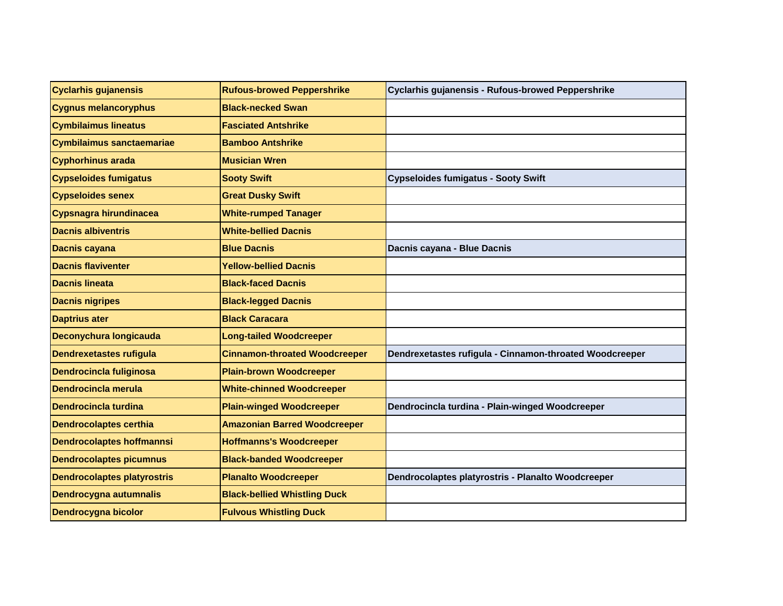| <b>Cyclarhis gujanensis</b>        | <b>Rufous-browed Peppershrike</b>    | Cyclarhis gujanensis - Rufous-browed Peppershrike       |
|------------------------------------|--------------------------------------|---------------------------------------------------------|
| <b>Cygnus melancoryphus</b>        | <b>Black-necked Swan</b>             |                                                         |
| <b>Cymbilaimus lineatus</b>        | <b>Fasciated Antshrike</b>           |                                                         |
| <b>Cymbilaimus sanctaemariae</b>   | <b>Bamboo Antshrike</b>              |                                                         |
| <b>Cyphorhinus arada</b>           | <b>Musician Wren</b>                 |                                                         |
| <b>Cypseloides fumigatus</b>       | <b>Sooty Swift</b>                   | <b>Cypseloides fumigatus - Sooty Swift</b>              |
| <b>Cypseloides senex</b>           | <b>Great Dusky Swift</b>             |                                                         |
| Cypsnagra hirundinacea             | <b>White-rumped Tanager</b>          |                                                         |
| <b>Dacnis albiventris</b>          | <b>White-bellied Dacnis</b>          |                                                         |
| <b>Dacnis cayana</b>               | <b>Blue Dacnis</b>                   | Dacnis cayana - Blue Dacnis                             |
| <b>Dacnis flaviventer</b>          | <b>Yellow-bellied Dacnis</b>         |                                                         |
| <b>Dacnis lineata</b>              | <b>Black-faced Dacnis</b>            |                                                         |
| <b>Dacnis nigripes</b>             | <b>Black-legged Dacnis</b>           |                                                         |
| <b>Daptrius ater</b>               | <b>Black Caracara</b>                |                                                         |
| Deconychura longicauda             | <b>Long-tailed Woodcreeper</b>       |                                                         |
| <b>Dendrexetastes rufigula</b>     | <b>Cinnamon-throated Woodcreeper</b> | Dendrexetastes rufigula - Cinnamon-throated Woodcreeper |
| <b>Dendrocincla fuliginosa</b>     | <b>Plain-brown Woodcreeper</b>       |                                                         |
| Dendrocincla merula                | <b>White-chinned Woodcreeper</b>     |                                                         |
| <b>Dendrocincla turdina</b>        | <b>Plain-winged Woodcreeper</b>      | Dendrocincla turdina - Plain-winged Woodcreeper         |
| <b>Dendrocolaptes certhia</b>      | <b>Amazonian Barred Woodcreeper</b>  |                                                         |
| <b>Dendrocolaptes hoffmannsi</b>   | <b>Hoffmanns's Woodcreeper</b>       |                                                         |
| <b>Dendrocolaptes picumnus</b>     | <b>Black-banded Woodcreeper</b>      |                                                         |
| <b>Dendrocolaptes platyrostris</b> | <b>Planalto Woodcreeper</b>          | Dendrocolaptes platyrostris - Planalto Woodcreeper      |
| <b>Dendrocygna autumnalis</b>      | <b>Black-bellied Whistling Duck</b>  |                                                         |
| <b>Dendrocygna bicolor</b>         | <b>Fulvous Whistling Duck</b>        |                                                         |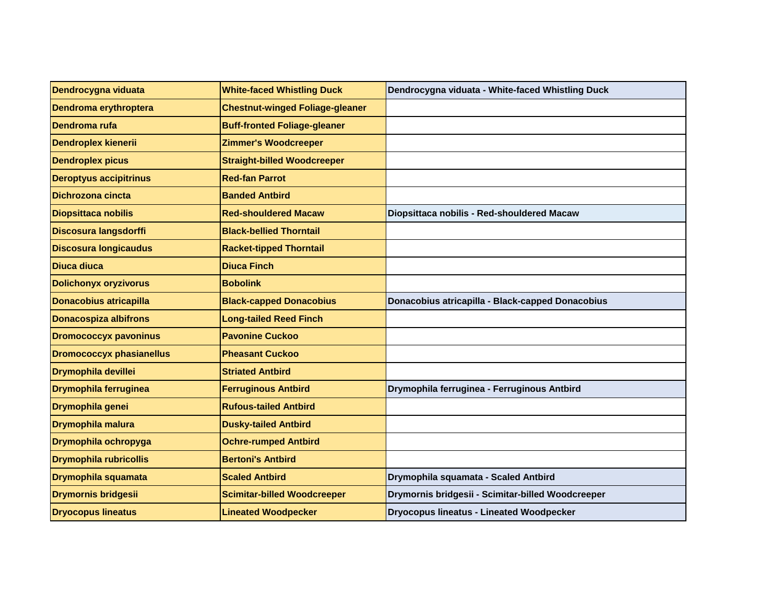| Dendrocygna viduata             | <b>White-faced Whistling Duck</b>      | Dendrocygna viduata - White-faced Whistling Duck  |
|---------------------------------|----------------------------------------|---------------------------------------------------|
| Dendroma erythroptera           | <b>Chestnut-winged Foliage-gleaner</b> |                                                   |
| Dendroma rufa                   | <b>Buff-fronted Foliage-gleaner</b>    |                                                   |
| <b>Dendroplex kienerii</b>      | <b>Zimmer's Woodcreeper</b>            |                                                   |
| <b>Dendroplex picus</b>         | <b>Straight-billed Woodcreeper</b>     |                                                   |
| <b>Deroptyus accipitrinus</b>   | <b>Red-fan Parrot</b>                  |                                                   |
| Dichrozona cincta               | <b>Banded Antbird</b>                  |                                                   |
| <b>Diopsittaca nobilis</b>      | <b>Red-shouldered Macaw</b>            | Diopsittaca nobilis - Red-shouldered Macaw        |
| Discosura langsdorffi           | <b>Black-bellied Thorntail</b>         |                                                   |
| <b>Discosura longicaudus</b>    | <b>Racket-tipped Thorntail</b>         |                                                   |
| Diuca diuca                     | <b>Diuca Finch</b>                     |                                                   |
| <b>Dolichonyx oryzivorus</b>    | <b>Bobolink</b>                        |                                                   |
| <b>Donacobius atricapilla</b>   | <b>Black-capped Donacobius</b>         | Donacobius atricapilla - Black-capped Donacobius  |
| <b>Donacospiza albifrons</b>    | <b>Long-tailed Reed Finch</b>          |                                                   |
| <b>Dromococcyx pavoninus</b>    | <b>Pavonine Cuckoo</b>                 |                                                   |
| <b>Dromococcyx phasianellus</b> | <b>Pheasant Cuckoo</b>                 |                                                   |
| <b>Drymophila devillei</b>      | <b>Striated Antbird</b>                |                                                   |
| <b>Drymophila ferruginea</b>    | <b>Ferruginous Antbird</b>             | Drymophila ferruginea - Ferruginous Antbird       |
| Drymophila genei                | <b>Rufous-tailed Antbird</b>           |                                                   |
| Drymophila malura               | <b>Dusky-tailed Antbird</b>            |                                                   |
| Drymophila ochropyga            | <b>Ochre-rumped Antbird</b>            |                                                   |
| <b>Drymophila rubricollis</b>   | <b>Bertoni's Antbird</b>               |                                                   |
| Drymophila squamata             | <b>Scaled Antbird</b>                  | Drymophila squamata - Scaled Antbird              |
| <b>Drymornis bridgesii</b>      | <b>Scimitar-billed Woodcreeper</b>     | Drymornis bridgesii - Scimitar-billed Woodcreeper |
| <b>Dryocopus lineatus</b>       | <b>Lineated Woodpecker</b>             | <b>Dryocopus lineatus - Lineated Woodpecker</b>   |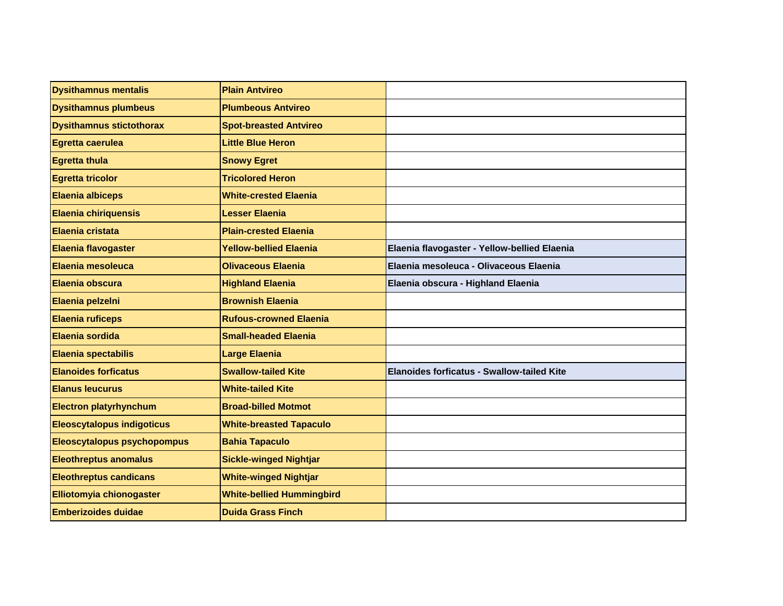| <b>Dysithamnus mentalis</b>        | <b>Plain Antvireo</b>            |                                              |
|------------------------------------|----------------------------------|----------------------------------------------|
| <b>Dysithamnus plumbeus</b>        | <b>Plumbeous Antvireo</b>        |                                              |
| <b>Dysithamnus stictothorax</b>    | <b>Spot-breasted Antvireo</b>    |                                              |
| Egretta caerulea                   | <b>Little Blue Heron</b>         |                                              |
| <b>Egretta thula</b>               | <b>Snowy Egret</b>               |                                              |
| <b>Egretta tricolor</b>            | <b>Tricolored Heron</b>          |                                              |
| <b>Elaenia albiceps</b>            | <b>White-crested Elaenia</b>     |                                              |
| Elaenia chiriquensis               | <b>Lesser Elaenia</b>            |                                              |
| Elaenia cristata                   | <b>Plain-crested Elaenia</b>     |                                              |
| <b>Elaenia flavogaster</b>         | <b>Yellow-bellied Elaenia</b>    | Elaenia flavogaster - Yellow-bellied Elaenia |
| Elaenia mesoleuca                  | <b>Olivaceous Elaenia</b>        | Elaenia mesoleuca - Olivaceous Elaenia       |
| Elaenia obscura                    | <b>Highland Elaenia</b>          | Elaenia obscura - Highland Elaenia           |
| Elaenia pelzelni                   | <b>Brownish Elaenia</b>          |                                              |
| <b>Elaenia ruficeps</b>            | <b>Rufous-crowned Elaenia</b>    |                                              |
| Elaenia sordida                    | <b>Small-headed Elaenia</b>      |                                              |
| Elaenia spectabilis                | <b>Large Elaenia</b>             |                                              |
| <b>Elanoides forficatus</b>        | <b>Swallow-tailed Kite</b>       | Elanoides forficatus - Swallow-tailed Kite   |
| <b>Elanus leucurus</b>             | <b>White-tailed Kite</b>         |                                              |
| <b>Electron platyrhynchum</b>      | <b>Broad-billed Motmot</b>       |                                              |
| <b>Eleoscytalopus indigoticus</b>  | <b>White-breasted Tapaculo</b>   |                                              |
| <b>Eleoscytalopus psychopompus</b> | <b>Bahia Tapaculo</b>            |                                              |
| <b>Eleothreptus anomalus</b>       | <b>Sickle-winged Nightjar</b>    |                                              |
| <b>Eleothreptus candicans</b>      | <b>White-winged Nightjar</b>     |                                              |
| Elliotomyia chionogaster           | <b>White-bellied Hummingbird</b> |                                              |
| <b>Emberizoides duidae</b>         | <b>Duida Grass Finch</b>         |                                              |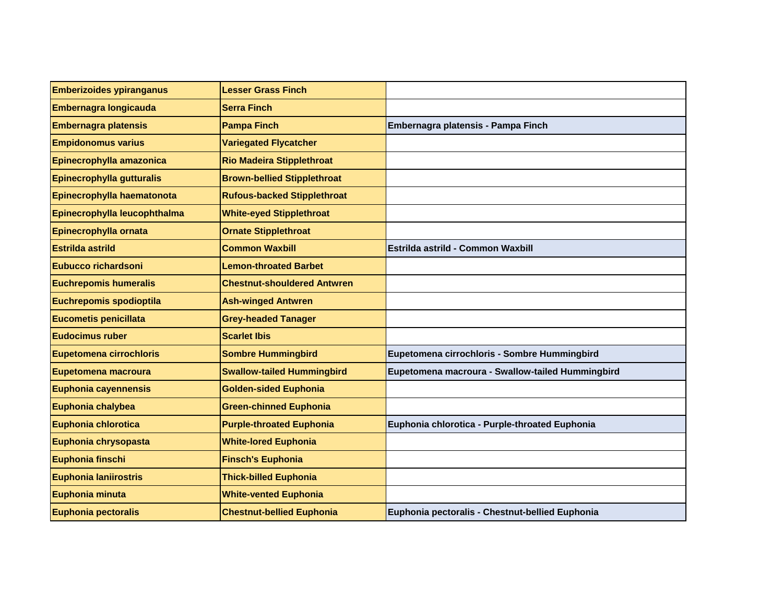| <b>Emberizoides ypiranganus</b> | <b>Lesser Grass Finch</b>          |                                                  |
|---------------------------------|------------------------------------|--------------------------------------------------|
| Embernagra longicauda           | <b>Serra Finch</b>                 |                                                  |
| <b>Embernagra platensis</b>     | <b>Pampa Finch</b>                 | Embernagra platensis - Pampa Finch               |
| <b>Empidonomus varius</b>       | <b>Variegated Flycatcher</b>       |                                                  |
| Epinecrophylla amazonica        | <b>Rio Madeira Stipplethroat</b>   |                                                  |
| Epinecrophylla gutturalis       | <b>Brown-bellied Stipplethroat</b> |                                                  |
| Epinecrophylla haematonota      | <b>Rufous-backed Stipplethroat</b> |                                                  |
| Epinecrophylla leucophthalma    | <b>White-eyed Stipplethroat</b>    |                                                  |
| Epinecrophylla ornata           | <b>Ornate Stipplethroat</b>        |                                                  |
| <b>Estrilda astrild</b>         | <b>Common Waxbill</b>              | Estrilda astrild - Common Waxbill                |
| <b>Eubucco richardsoni</b>      | <b>Lemon-throated Barbet</b>       |                                                  |
| <b>Euchrepomis humeralis</b>    | <b>Chestnut-shouldered Antwren</b> |                                                  |
| Euchrepomis spodioptila         | <b>Ash-winged Antwren</b>          |                                                  |
| <b>Eucometis penicillata</b>    | <b>Grey-headed Tanager</b>         |                                                  |
| <b>Eudocimus ruber</b>          | <b>Scarlet Ibis</b>                |                                                  |
| <b>Eupetomena cirrochloris</b>  | <b>Sombre Hummingbird</b>          | Eupetomena cirrochloris - Sombre Hummingbird     |
| Eupetomena macroura             | <b>Swallow-tailed Hummingbird</b>  | Eupetomena macroura - Swallow-tailed Hummingbird |
| Euphonia cayennensis            | <b>Golden-sided Euphonia</b>       |                                                  |
| Euphonia chalybea               | <b>Green-chinned Euphonia</b>      |                                                  |
| Euphonia chlorotica             | <b>Purple-throated Euphonia</b>    | Euphonia chlorotica - Purple-throated Euphonia   |
| Euphonia chrysopasta            | <b>White-lored Euphonia</b>        |                                                  |
| Euphonia finschi                | <b>Finsch's Euphonia</b>           |                                                  |
| Euphonia laniirostris           | <b>Thick-billed Euphonia</b>       |                                                  |
| Euphonia minuta                 | <b>White-vented Euphonia</b>       |                                                  |
| Euphonia pectoralis             | <b>Chestnut-bellied Euphonia</b>   | Euphonia pectoralis - Chestnut-bellied Euphonia  |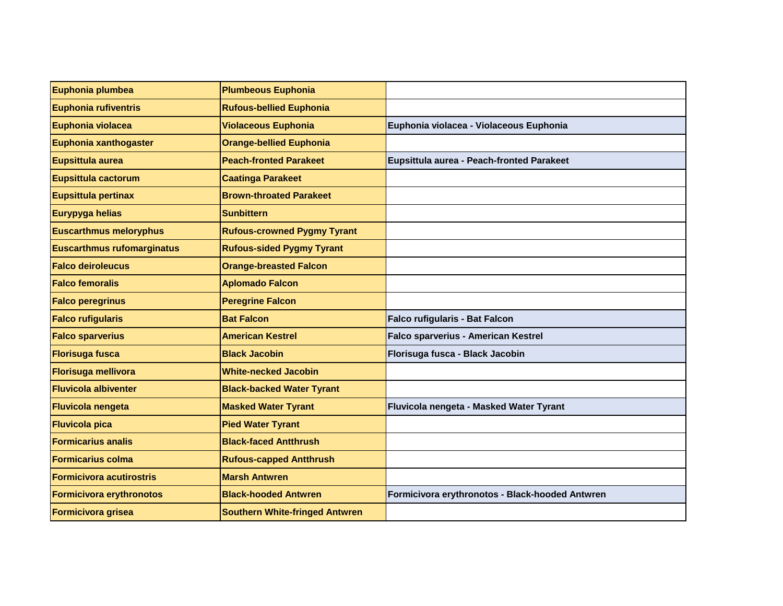| Euphonia plumbea                  | <b>Plumbeous Euphonia</b>             |                                                 |
|-----------------------------------|---------------------------------------|-------------------------------------------------|
| <b>Euphonia rufiventris</b>       | <b>Rufous-bellied Euphonia</b>        |                                                 |
| Euphonia violacea                 | <b>Violaceous Euphonia</b>            | Euphonia violacea - Violaceous Euphonia         |
| Euphonia xanthogaster             | <b>Orange-bellied Euphonia</b>        |                                                 |
| Eupsittula aurea                  | <b>Peach-fronted Parakeet</b>         | Eupsittula aurea - Peach-fronted Parakeet       |
| <b>Eupsittula cactorum</b>        | <b>Caatinga Parakeet</b>              |                                                 |
| Eupsittula pertinax               | <b>Brown-throated Parakeet</b>        |                                                 |
| Eurypyga helias                   | <b>Sunbittern</b>                     |                                                 |
| <b>Euscarthmus meloryphus</b>     | <b>Rufous-crowned Pygmy Tyrant</b>    |                                                 |
| <b>Euscarthmus rufomarginatus</b> | <b>Rufous-sided Pygmy Tyrant</b>      |                                                 |
| <b>Falco deiroleucus</b>          | <b>Orange-breasted Falcon</b>         |                                                 |
| <b>Falco femoralis</b>            | <b>Aplomado Falcon</b>                |                                                 |
| <b>Falco peregrinus</b>           | <b>Peregrine Falcon</b>               |                                                 |
| <b>Falco rufigularis</b>          | <b>Bat Falcon</b>                     | Falco rufigularis - Bat Falcon                  |
| <b>Falco sparverius</b>           | <b>American Kestrel</b>               | Falco sparverius - American Kestrel             |
| <b>Florisuga fusca</b>            | <b>Black Jacobin</b>                  | Florisuga fusca - Black Jacobin                 |
| <b>Florisuga mellivora</b>        | <b>White-necked Jacobin</b>           |                                                 |
| <b>Fluvicola albiventer</b>       | <b>Black-backed Water Tyrant</b>      |                                                 |
| <b>Fluvicola nengeta</b>          | <b>Masked Water Tyrant</b>            | Fluvicola nengeta - Masked Water Tyrant         |
| <b>Fluvicola pica</b>             | <b>Pied Water Tyrant</b>              |                                                 |
| <b>Formicarius analis</b>         | <b>Black-faced Antthrush</b>          |                                                 |
| <b>Formicarius colma</b>          | <b>Rufous-capped Antthrush</b>        |                                                 |
| <b>Formicivora acutirostris</b>   | <b>Marsh Antwren</b>                  |                                                 |
| <b>Formicivora erythronotos</b>   | <b>Black-hooded Antwren</b>           | Formicivora erythronotos - Black-hooded Antwren |
| Formicivora grisea                | <b>Southern White-fringed Antwren</b> |                                                 |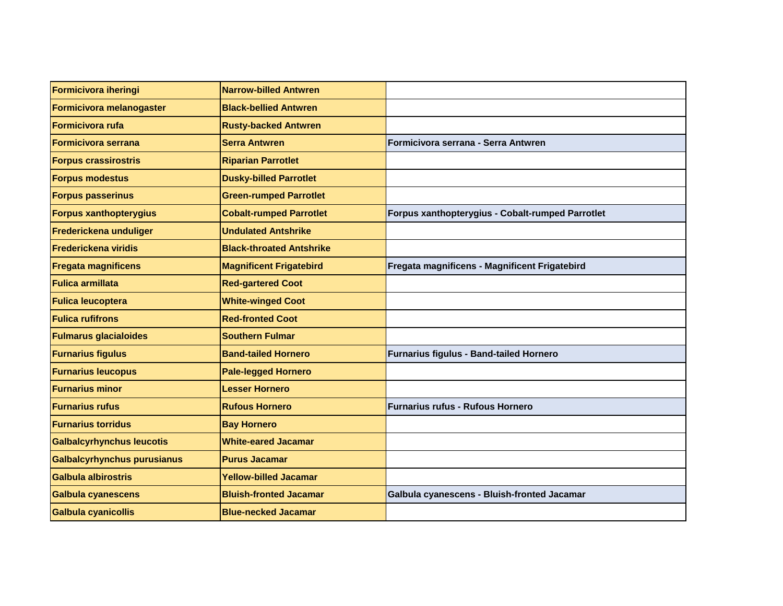| Formicivora iheringi             | <b>Narrow-billed Antwren</b>    |                                                  |
|----------------------------------|---------------------------------|--------------------------------------------------|
| Formicivora melanogaster         | <b>Black-bellied Antwren</b>    |                                                  |
| <b>Formicivora rufa</b>          | <b>Rusty-backed Antwren</b>     |                                                  |
| <b>Formicivora serrana</b>       | <b>Serra Antwren</b>            | Formicivora serrana - Serra Antwren              |
| <b>Forpus crassirostris</b>      | <b>Riparian Parrotlet</b>       |                                                  |
| <b>Forpus modestus</b>           | <b>Dusky-billed Parrotlet</b>   |                                                  |
| <b>Forpus passerinus</b>         | <b>Green-rumped Parrotlet</b>   |                                                  |
| <b>Forpus xanthopterygius</b>    | <b>Cobalt-rumped Parrotlet</b>  | Forpus xanthopterygius - Cobalt-rumped Parrotlet |
| Frederickena unduliger           | <b>Undulated Antshrike</b>      |                                                  |
| <b>Frederickena viridis</b>      | <b>Black-throated Antshrike</b> |                                                  |
| <b>Fregata magnificens</b>       | <b>Magnificent Frigatebird</b>  | Fregata magnificens - Magnificent Frigatebird    |
| <b>Fulica armillata</b>          | <b>Red-gartered Coot</b>        |                                                  |
| <b>Fulica leucoptera</b>         | <b>White-winged Coot</b>        |                                                  |
| <b>Fulica rufifrons</b>          | <b>Red-fronted Coot</b>         |                                                  |
| <b>Fulmarus glacialoides</b>     | <b>Southern Fulmar</b>          |                                                  |
| <b>Furnarius figulus</b>         | <b>Band-tailed Hornero</b>      | Furnarius figulus - Band-tailed Hornero          |
| <b>Furnarius leucopus</b>        | <b>Pale-legged Hornero</b>      |                                                  |
| <b>Furnarius minor</b>           | <b>Lesser Hornero</b>           |                                                  |
| <b>Furnarius rufus</b>           | <b>Rufous Hornero</b>           | <b>Furnarius rufus - Rufous Hornero</b>          |
| <b>Furnarius torridus</b>        | <b>Bay Hornero</b>              |                                                  |
| <b>Galbalcyrhynchus leucotis</b> | <b>White-eared Jacamar</b>      |                                                  |
| Galbalcyrhynchus purusianus      | <b>Purus Jacamar</b>            |                                                  |
| Galbula albirostris              | <b>Yellow-billed Jacamar</b>    |                                                  |
| Galbula cyanescens               | <b>Bluish-fronted Jacamar</b>   | Galbula cyanescens - Bluish-fronted Jacamar      |
| Galbula cyanicollis              | <b>Blue-necked Jacamar</b>      |                                                  |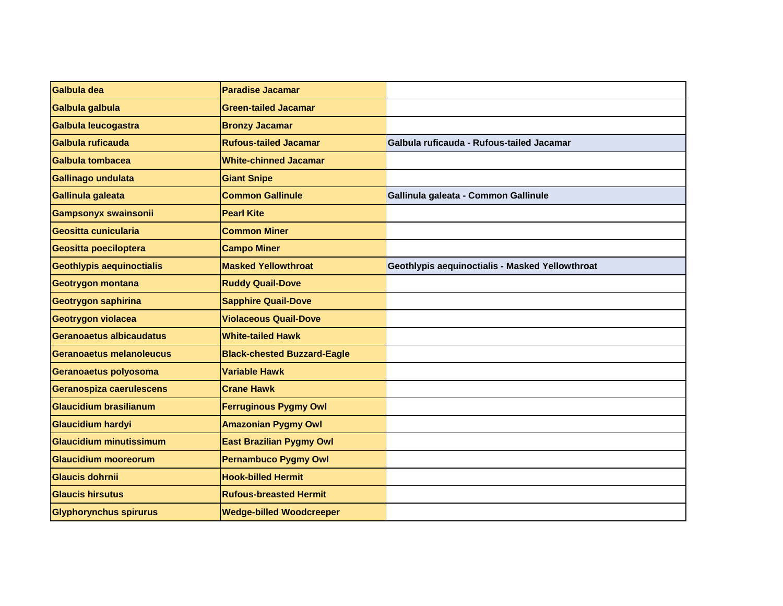| Galbula dea                      | <b>Paradise Jacamar</b>            |                                                 |
|----------------------------------|------------------------------------|-------------------------------------------------|
| Galbula galbula                  | <b>Green-tailed Jacamar</b>        |                                                 |
| Galbula leucogastra              | <b>Bronzy Jacamar</b>              |                                                 |
| Galbula ruficauda                | <b>Rufous-tailed Jacamar</b>       | Galbula ruficauda - Rufous-tailed Jacamar       |
| Galbula tombacea                 | <b>White-chinned Jacamar</b>       |                                                 |
| Gallinago undulata               | <b>Giant Snipe</b>                 |                                                 |
| Gallinula galeata                | <b>Common Gallinule</b>            | Gallinula galeata - Common Gallinule            |
| <b>Gampsonyx swainsonii</b>      | <b>Pearl Kite</b>                  |                                                 |
| Geositta cunicularia             | <b>Common Miner</b>                |                                                 |
| Geositta poeciloptera            | <b>Campo Miner</b>                 |                                                 |
| <b>Geothlypis aequinoctialis</b> | <b>Masked Yellowthroat</b>         | Geothlypis aequinoctialis - Masked Yellowthroat |
| Geotrygon montana                | <b>Ruddy Quail-Dove</b>            |                                                 |
| <b>Geotrygon saphirina</b>       | <b>Sapphire Quail-Dove</b>         |                                                 |
| Geotrygon violacea               | <b>Violaceous Quail-Dove</b>       |                                                 |
| Geranoaetus albicaudatus         | <b>White-tailed Hawk</b>           |                                                 |
| Geranoaetus melanoleucus         | <b>Black-chested Buzzard-Eagle</b> |                                                 |
| Geranoaetus polyosoma            | <b>Variable Hawk</b>               |                                                 |
| Geranospiza caerulescens         | <b>Crane Hawk</b>                  |                                                 |
| <b>Glaucidium brasilianum</b>    | <b>Ferruginous Pygmy Owl</b>       |                                                 |
| <b>Glaucidium hardyi</b>         | <b>Amazonian Pygmy Owl</b>         |                                                 |
| <b>Glaucidium minutissimum</b>   | <b>East Brazilian Pygmy Owl</b>    |                                                 |
| <b>Glaucidium mooreorum</b>      | <b>Pernambuco Pygmy Owl</b>        |                                                 |
| <b>Glaucis dohrnii</b>           | <b>Hook-billed Hermit</b>          |                                                 |
| <b>Glaucis hirsutus</b>          | <b>Rufous-breasted Hermit</b>      |                                                 |
| <b>Glyphorynchus spirurus</b>    | <b>Wedge-billed Woodcreeper</b>    |                                                 |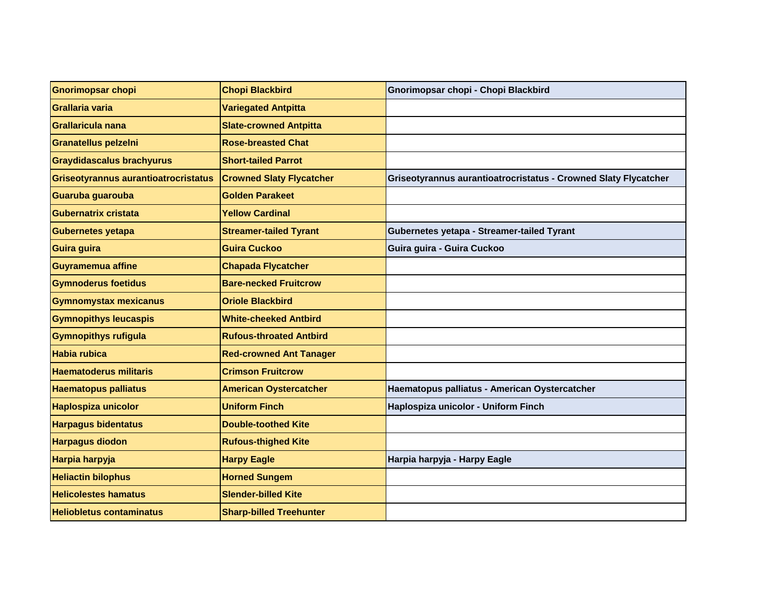| <b>Gnorimopsar chopi</b>             | <b>Chopi Blackbird</b>          | Gnorimopsar chopi - Chopi Blackbird                             |
|--------------------------------------|---------------------------------|-----------------------------------------------------------------|
| Grallaria varia                      | <b>Variegated Antpitta</b>      |                                                                 |
| Grallaricula nana                    | <b>Slate-crowned Antpitta</b>   |                                                                 |
| <b>Granatellus pelzelni</b>          | <b>Rose-breasted Chat</b>       |                                                                 |
| <b>Graydidascalus brachyurus</b>     | <b>Short-tailed Parrot</b>      |                                                                 |
| Griseotyrannus aurantioatrocristatus | <b>Crowned Slaty Flycatcher</b> | Griseotyrannus aurantioatrocristatus - Crowned Slaty Flycatcher |
| Guaruba guarouba                     | <b>Golden Parakeet</b>          |                                                                 |
| <b>Gubernatrix cristata</b>          | <b>Yellow Cardinal</b>          |                                                                 |
| <b>Gubernetes yetapa</b>             | <b>Streamer-tailed Tyrant</b>   | Gubernetes yetapa - Streamer-tailed Tyrant                      |
| Guira guira                          | <b>Guira Cuckoo</b>             | Guira guira - Guira Cuckoo                                      |
| <b>Guyramemua affine</b>             | <b>Chapada Flycatcher</b>       |                                                                 |
| <b>Gymnoderus foetidus</b>           | <b>Bare-necked Fruitcrow</b>    |                                                                 |
| <b>Gymnomystax mexicanus</b>         | <b>Oriole Blackbird</b>         |                                                                 |
| <b>Gymnopithys leucaspis</b>         | <b>White-cheeked Antbird</b>    |                                                                 |
| <b>Gymnopithys rufigula</b>          | <b>Rufous-throated Antbird</b>  |                                                                 |
| <b>Habia rubica</b>                  | <b>Red-crowned Ant Tanager</b>  |                                                                 |
| <b>Haematoderus militaris</b>        | <b>Crimson Fruitcrow</b>        |                                                                 |
| <b>Haematopus palliatus</b>          | <b>American Oystercatcher</b>   | Haematopus palliatus - American Oystercatcher                   |
| <b>Haplospiza unicolor</b>           | <b>Uniform Finch</b>            | Haplospiza unicolor - Uniform Finch                             |
| <b>Harpagus bidentatus</b>           | <b>Double-toothed Kite</b>      |                                                                 |
| <b>Harpagus diodon</b>               | <b>Rufous-thighed Kite</b>      |                                                                 |
| Harpia harpyja                       | <b>Harpy Eagle</b>              | Harpia harpyja - Harpy Eagle                                    |
| <b>Heliactin bilophus</b>            | <b>Horned Sungem</b>            |                                                                 |
| <b>Helicolestes hamatus</b>          | <b>Slender-billed Kite</b>      |                                                                 |
| <b>Heliobletus contaminatus</b>      | <b>Sharp-billed Treehunter</b>  |                                                                 |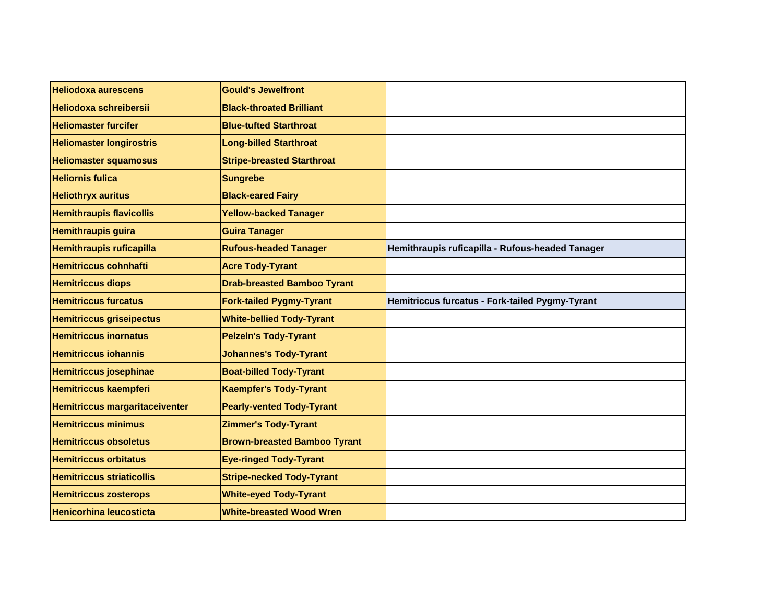| <b>Heliodoxa aurescens</b>            | <b>Gould's Jewelfront</b>           |                                                  |
|---------------------------------------|-------------------------------------|--------------------------------------------------|
| <b>Heliodoxa schreibersii</b>         | <b>Black-throated Brilliant</b>     |                                                  |
| <b>Heliomaster furcifer</b>           | <b>Blue-tufted Starthroat</b>       |                                                  |
| <b>Heliomaster longirostris</b>       | <b>Long-billed Starthroat</b>       |                                                  |
| <b>Heliomaster squamosus</b>          | <b>Stripe-breasted Starthroat</b>   |                                                  |
| <b>Heliornis fulica</b>               | <b>Sungrebe</b>                     |                                                  |
| <b>Heliothryx auritus</b>             | <b>Black-eared Fairy</b>            |                                                  |
| <b>Hemithraupis flavicollis</b>       | <b>Yellow-backed Tanager</b>        |                                                  |
| <b>Hemithraupis guira</b>             | <b>Guira Tanager</b>                |                                                  |
| <b>Hemithraupis ruficapilla</b>       | <b>Rufous-headed Tanager</b>        | Hemithraupis ruficapilla - Rufous-headed Tanager |
| <b>Hemitriccus cohnhafti</b>          | <b>Acre Tody-Tyrant</b>             |                                                  |
| <b>Hemitriccus diops</b>              | <b>Drab-breasted Bamboo Tyrant</b>  |                                                  |
| <b>Hemitriccus furcatus</b>           | <b>Fork-tailed Pygmy-Tyrant</b>     | Hemitriccus furcatus - Fork-tailed Pygmy-Tyrant  |
| <b>Hemitriccus griseipectus</b>       | <b>White-bellied Tody-Tyrant</b>    |                                                  |
| <b>Hemitriccus inornatus</b>          | <b>Pelzeln's Tody-Tyrant</b>        |                                                  |
| <b>Hemitriccus iohannis</b>           | <b>Johannes's Tody-Tyrant</b>       |                                                  |
| Hemitriccus josephinae                | <b>Boat-billed Tody-Tyrant</b>      |                                                  |
| Hemitriccus kaempferi                 | <b>Kaempfer's Tody-Tyrant</b>       |                                                  |
| <b>Hemitriccus margaritaceiventer</b> | <b>Pearly-vented Tody-Tyrant</b>    |                                                  |
| <b>Hemitriccus minimus</b>            | <b>Zimmer's Tody-Tyrant</b>         |                                                  |
| <b>Hemitriccus obsoletus</b>          | <b>Brown-breasted Bamboo Tyrant</b> |                                                  |
| <b>Hemitriccus orbitatus</b>          | <b>Eye-ringed Tody-Tyrant</b>       |                                                  |
| <b>Hemitriccus striaticollis</b>      | <b>Stripe-necked Tody-Tyrant</b>    |                                                  |
| <b>Hemitriccus zosterops</b>          | <b>White-eyed Tody-Tyrant</b>       |                                                  |
| <b>Henicorhina leucosticta</b>        | <b>White-breasted Wood Wren</b>     |                                                  |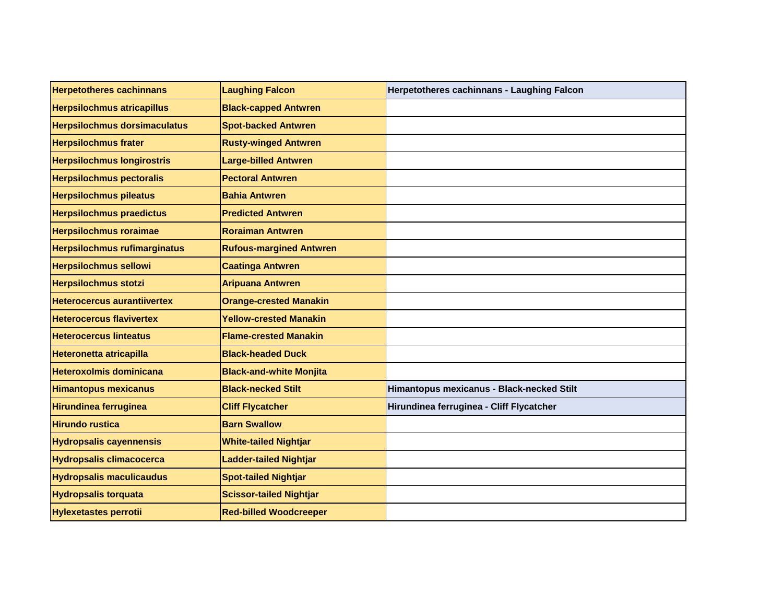| <b>Herpetotheres cachinnans</b>     | <b>Laughing Falcon</b>         | Herpetotheres cachinnans - Laughing Falcon |
|-------------------------------------|--------------------------------|--------------------------------------------|
| <b>Herpsilochmus atricapillus</b>   | <b>Black-capped Antwren</b>    |                                            |
| <b>Herpsilochmus dorsimaculatus</b> | <b>Spot-backed Antwren</b>     |                                            |
| <b>Herpsilochmus frater</b>         | <b>Rusty-winged Antwren</b>    |                                            |
| <b>Herpsilochmus longirostris</b>   | <b>Large-billed Antwren</b>    |                                            |
| <b>Herpsilochmus pectoralis</b>     | <b>Pectoral Antwren</b>        |                                            |
| <b>Herpsilochmus pileatus</b>       | <b>Bahia Antwren</b>           |                                            |
| <b>Herpsilochmus praedictus</b>     | <b>Predicted Antwren</b>       |                                            |
| <b>Herpsilochmus roraimae</b>       | <b>Roraiman Antwren</b>        |                                            |
| <b>Herpsilochmus rufimarginatus</b> | <b>Rufous-margined Antwren</b> |                                            |
| <b>Herpsilochmus sellowi</b>        | <b>Caatinga Antwren</b>        |                                            |
| <b>Herpsilochmus stotzi</b>         | <b>Aripuana Antwren</b>        |                                            |
| <b>Heterocercus aurantiivertex</b>  | <b>Orange-crested Manakin</b>  |                                            |
| <b>Heterocercus flavivertex</b>     | <b>Yellow-crested Manakin</b>  |                                            |
| <b>Heterocercus linteatus</b>       | <b>Flame-crested Manakin</b>   |                                            |
| <b>Heteronetta atricapilla</b>      | <b>Black-headed Duck</b>       |                                            |
| <b>Heteroxolmis dominicana</b>      | <b>Black-and-white Monjita</b> |                                            |
| <b>Himantopus mexicanus</b>         | <b>Black-necked Stilt</b>      | Himantopus mexicanus - Black-necked Stilt  |
| <b>Hirundinea ferruginea</b>        | <b>Cliff Flycatcher</b>        | Hirundinea ferruginea - Cliff Flycatcher   |
| <b>Hirundo rustica</b>              | <b>Barn Swallow</b>            |                                            |
| <b>Hydropsalis cayennensis</b>      | <b>White-tailed Nightjar</b>   |                                            |
| <b>Hydropsalis climacocerca</b>     | <b>Ladder-tailed Nightjar</b>  |                                            |
| <b>Hydropsalis maculicaudus</b>     | <b>Spot-tailed Nightjar</b>    |                                            |
| <b>Hydropsalis torquata</b>         | <b>Scissor-tailed Nightjar</b> |                                            |
| <b>Hylexetastes perrotii</b>        | <b>Red-billed Woodcreeper</b>  |                                            |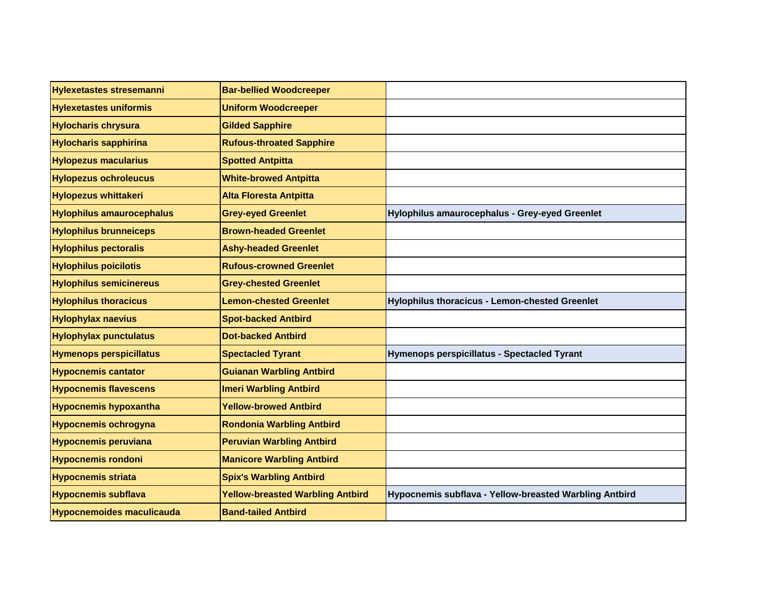| <b>Hylexetastes stresemanni</b>  | <b>Bar-bellied Woodcreeper</b>          |                                                        |
|----------------------------------|-----------------------------------------|--------------------------------------------------------|
| <b>Hylexetastes uniformis</b>    | <b>Uniform Woodcreeper</b>              |                                                        |
| <b>Hylocharis chrysura</b>       | <b>Gilded Sapphire</b>                  |                                                        |
| <b>Hylocharis sapphirina</b>     | <b>Rufous-throated Sapphire</b>         |                                                        |
| <b>Hylopezus macularius</b>      | <b>Spotted Antpitta</b>                 |                                                        |
| <b>Hylopezus ochroleucus</b>     | <b>White-browed Antpitta</b>            |                                                        |
| <b>Hylopezus whittakeri</b>      | <b>Alta Floresta Antpitta</b>           |                                                        |
| <b>Hylophilus amaurocephalus</b> | <b>Grey-eyed Greenlet</b>               | Hylophilus amaurocephalus - Grey-eyed Greenlet         |
| <b>Hylophilus brunneiceps</b>    | <b>Brown-headed Greenlet</b>            |                                                        |
| <b>Hylophilus pectoralis</b>     | <b>Ashy-headed Greenlet</b>             |                                                        |
| <b>Hylophilus poicilotis</b>     | <b>Rufous-crowned Greenlet</b>          |                                                        |
| <b>Hylophilus semicinereus</b>   | <b>Grey-chested Greenlet</b>            |                                                        |
| <b>Hylophilus thoracicus</b>     | <b>Lemon-chested Greenlet</b>           | Hylophilus thoracicus - Lemon-chested Greenlet         |
| <b>Hylophylax naevius</b>        | <b>Spot-backed Antbird</b>              |                                                        |
| <b>Hylophylax punctulatus</b>    | <b>Dot-backed Antbird</b>               |                                                        |
| <b>Hymenops perspicillatus</b>   | <b>Spectacled Tyrant</b>                | Hymenops perspicillatus - Spectacled Tyrant            |
| <b>Hypocnemis cantator</b>       | <b>Guianan Warbling Antbird</b>         |                                                        |
| <b>Hypocnemis flavescens</b>     | <b>Imeri Warbling Antbird</b>           |                                                        |
| <b>Hypocnemis hypoxantha</b>     | <b>Yellow-browed Antbird</b>            |                                                        |
| <b>Hypocnemis ochrogyna</b>      | <b>Rondonia Warbling Antbird</b>        |                                                        |
| <b>Hypocnemis peruviana</b>      | <b>Peruvian Warbling Antbird</b>        |                                                        |
| <b>Hypocnemis rondoni</b>        | <b>Manicore Warbling Antbird</b>        |                                                        |
| <b>Hypocnemis striata</b>        | <b>Spix's Warbling Antbird</b>          |                                                        |
| <b>Hypocnemis subflava</b>       | <b>Yellow-breasted Warbling Antbird</b> | Hypocnemis subflava - Yellow-breasted Warbling Antbird |
| <b>Hypocnemoides maculicauda</b> | <b>Band-tailed Antbird</b>              |                                                        |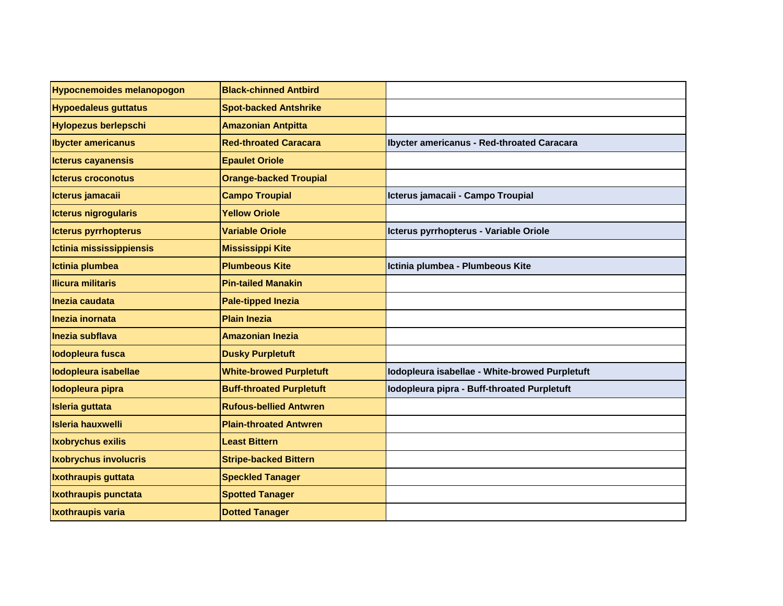| <b>Hypocnemoides melanopogon</b> | <b>Black-chinned Antbird</b>    |                                                |
|----------------------------------|---------------------------------|------------------------------------------------|
| <b>Hypoedaleus guttatus</b>      | <b>Spot-backed Antshrike</b>    |                                                |
| <b>Hylopezus berlepschi</b>      | <b>Amazonian Antpitta</b>       |                                                |
| <b>Ibycter americanus</b>        | <b>Red-throated Caracara</b>    | Ibycter americanus - Red-throated Caracara     |
| <b>Icterus cayanensis</b>        | <b>Epaulet Oriole</b>           |                                                |
| <b>Icterus croconotus</b>        | <b>Orange-backed Troupial</b>   |                                                |
| Icterus jamacaii                 | <b>Campo Troupial</b>           | Icterus jamacaii - Campo Troupial              |
| Icterus nigrogularis             | <b>Yellow Oriole</b>            |                                                |
| Icterus pyrrhopterus             | <b>Variable Oriole</b>          | Icterus pyrrhopterus - Variable Oriole         |
| Ictinia mississippiensis         | <b>Mississippi Kite</b>         |                                                |
| Ictinia plumbea                  | <b>Plumbeous Kite</b>           | Ictinia plumbea - Plumbeous Kite               |
| <b>Ilicura militaris</b>         | <b>Pin-tailed Manakin</b>       |                                                |
| Inezia caudata                   | <b>Pale-tipped Inezia</b>       |                                                |
| Inezia inornata                  | <b>Plain Inezia</b>             |                                                |
| Inezia subflava                  | <b>Amazonian Inezia</b>         |                                                |
| lodopleura fusca                 | <b>Dusky Purpletuft</b>         |                                                |
| lodopleura isabellae             | <b>White-browed Purpletuft</b>  | lodopleura isabellae - White-browed Purpletuft |
| lodopleura pipra                 | <b>Buff-throated Purpletuft</b> | Iodopleura pipra - Buff-throated Purpletuft    |
| <b>Isleria guttata</b>           | <b>Rufous-bellied Antwren</b>   |                                                |
| <b>Isleria hauxwelli</b>         | <b>Plain-throated Antwren</b>   |                                                |
| <b>Ixobrychus exilis</b>         | <b>Least Bittern</b>            |                                                |
| <b>Ixobrychus involucris</b>     | <b>Stripe-backed Bittern</b>    |                                                |
| Ixothraupis guttata              | <b>Speckled Tanager</b>         |                                                |
| Ixothraupis punctata             | <b>Spotted Tanager</b>          |                                                |
| <b>Ixothraupis varia</b>         | <b>Dotted Tanager</b>           |                                                |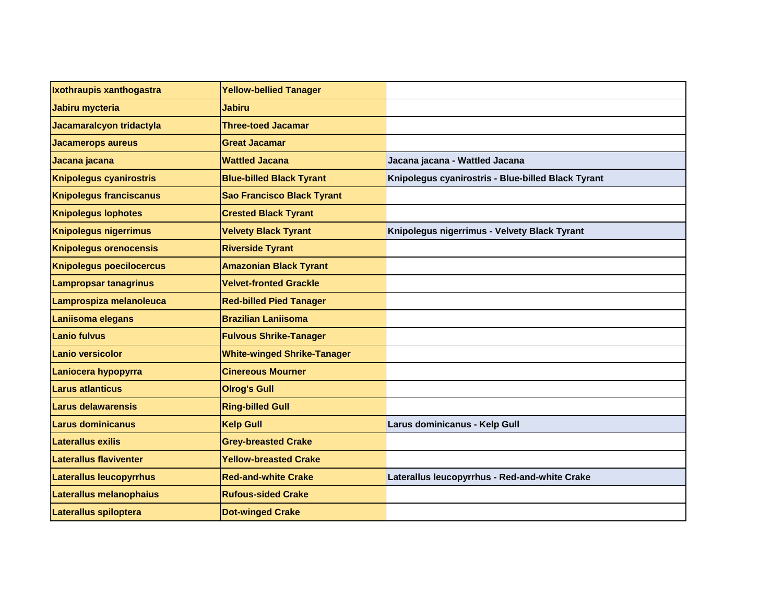| Ixothraupis xanthogastra        | <b>Yellow-bellied Tanager</b>      |                                                    |
|---------------------------------|------------------------------------|----------------------------------------------------|
| Jabiru mycteria                 | <b>Jabiru</b>                      |                                                    |
| Jacamaralcyon tridactyla        | <b>Three-toed Jacamar</b>          |                                                    |
| <b>Jacamerops aureus</b>        | <b>Great Jacamar</b>               |                                                    |
| Jacana jacana                   | <b>Wattled Jacana</b>              | Jacana jacana - Wattled Jacana                     |
| <b>Knipolegus cyanirostris</b>  | <b>Blue-billed Black Tyrant</b>    | Knipolegus cyanirostris - Blue-billed Black Tyrant |
| <b>Knipolegus franciscanus</b>  | <b>Sao Francisco Black Tyrant</b>  |                                                    |
| <b>Knipolegus lophotes</b>      | <b>Crested Black Tyrant</b>        |                                                    |
| <b>Knipolegus nigerrimus</b>    | <b>Velvety Black Tyrant</b>        | Knipolegus nigerrimus - Velvety Black Tyrant       |
| <b>Knipolegus orenocensis</b>   | <b>Riverside Tyrant</b>            |                                                    |
| <b>Knipolegus poecilocercus</b> | <b>Amazonian Black Tyrant</b>      |                                                    |
| <b>Lampropsar tanagrinus</b>    | <b>Velvet-fronted Grackle</b>      |                                                    |
| Lamprospiza melanoleuca         | <b>Red-billed Pied Tanager</b>     |                                                    |
| Laniisoma elegans               | <b>Brazilian Laniisoma</b>         |                                                    |
| <b>Lanio fulvus</b>             | <b>Fulvous Shrike-Tanager</b>      |                                                    |
| <b>Lanio versicolor</b>         | <b>White-winged Shrike-Tanager</b> |                                                    |
| Laniocera hypopyrra             | <b>Cinereous Mourner</b>           |                                                    |
| <b>Larus atlanticus</b>         | <b>Olrog's Gull</b>                |                                                    |
| Larus delawarensis              | <b>Ring-billed Gull</b>            |                                                    |
| Larus dominicanus               | <b>Kelp Gull</b>                   | Larus dominicanus - Kelp Gull                      |
| Laterallus exilis               | <b>Grey-breasted Crake</b>         |                                                    |
| Laterallus flaviventer          | <b>Yellow-breasted Crake</b>       |                                                    |
| <b>Laterallus leucopyrrhus</b>  | <b>Red-and-white Crake</b>         | Laterallus leucopyrrhus - Red-and-white Crake      |
| Laterallus melanophaius         | <b>Rufous-sided Crake</b>          |                                                    |
| Laterallus spiloptera           | <b>Dot-winged Crake</b>            |                                                    |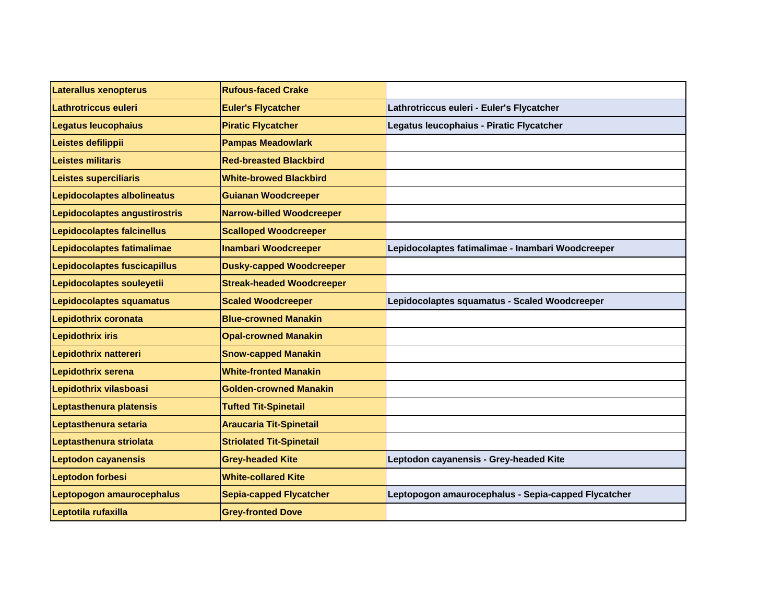| <b>Laterallus xenopterus</b>  | <b>Rufous-faced Crake</b>        |                                                     |
|-------------------------------|----------------------------------|-----------------------------------------------------|
| Lathrotriccus euleri          | <b>Euler's Flycatcher</b>        | Lathrotriccus euleri - Euler's Flycatcher           |
| <b>Legatus leucophaius</b>    | <b>Piratic Flycatcher</b>        | Legatus leucophaius - Piratic Flycatcher            |
| Leistes defilippii            | <b>Pampas Meadowlark</b>         |                                                     |
| Leistes militaris             | <b>Red-breasted Blackbird</b>    |                                                     |
| Leistes superciliaris         | <b>White-browed Blackbird</b>    |                                                     |
| Lepidocolaptes albolineatus   | <b>Guianan Woodcreeper</b>       |                                                     |
| Lepidocolaptes angustirostris | <b>Narrow-billed Woodcreeper</b> |                                                     |
| Lepidocolaptes falcinellus    | <b>Scalloped Woodcreeper</b>     |                                                     |
| Lepidocolaptes fatimalimae    | <b>Inambari Woodcreeper</b>      | Lepidocolaptes fatimalimae - Inambari Woodcreeper   |
| Lepidocolaptes fuscicapillus  | <b>Dusky-capped Woodcreeper</b>  |                                                     |
| Lepidocolaptes souleyetii     | <b>Streak-headed Woodcreeper</b> |                                                     |
| Lepidocolaptes squamatus      | <b>Scaled Woodcreeper</b>        | Lepidocolaptes squamatus - Scaled Woodcreeper       |
| Lepidothrix coronata          | <b>Blue-crowned Manakin</b>      |                                                     |
| <b>Lepidothrix iris</b>       | <b>Opal-crowned Manakin</b>      |                                                     |
| Lepidothrix nattereri         | <b>Snow-capped Manakin</b>       |                                                     |
| Lepidothrix serena            | <b>White-fronted Manakin</b>     |                                                     |
| Lepidothrix vilasboasi        | <b>Golden-crowned Manakin</b>    |                                                     |
| Leptasthenura platensis       | <b>Tufted Tit-Spinetail</b>      |                                                     |
| Leptasthenura setaria         | <b>Araucaria Tit-Spinetail</b>   |                                                     |
| Leptasthenura striolata       | <b>Striolated Tit-Spinetail</b>  |                                                     |
| <b>Leptodon cayanensis</b>    | <b>Grey-headed Kite</b>          | Leptodon cayanensis - Grey-headed Kite              |
| Leptodon forbesi              | <b>White-collared Kite</b>       |                                                     |
| Leptopogon amaurocephalus     | <b>Sepia-capped Flycatcher</b>   | Leptopogon amaurocephalus - Sepia-capped Flycatcher |
| Leptotila rufaxilla           | <b>Grey-fronted Dove</b>         |                                                     |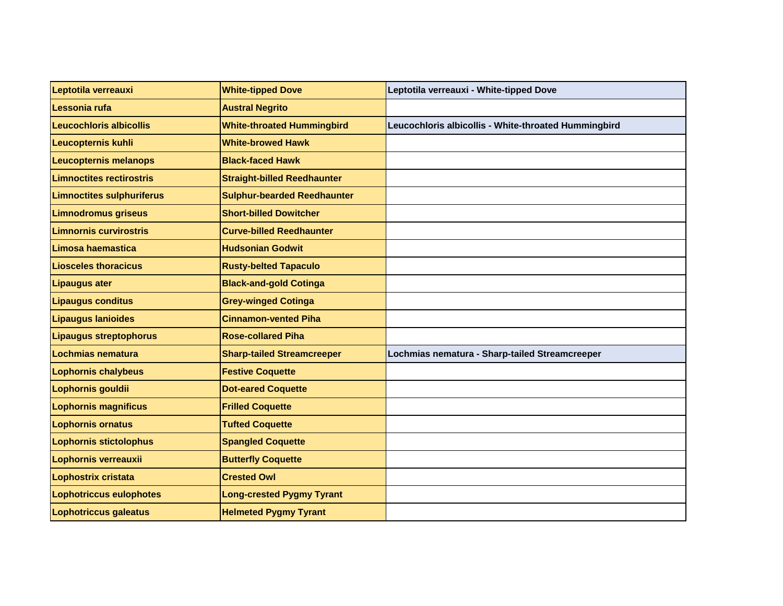| Leptotila verreauxi              | <b>White-tipped Dove</b>           | Leptotila verreauxi - White-tipped Dove              |
|----------------------------------|------------------------------------|------------------------------------------------------|
| Lessonia rufa                    | <b>Austral Negrito</b>             |                                                      |
| <b>Leucochloris albicollis</b>   | <b>White-throated Hummingbird</b>  | Leucochloris albicollis - White-throated Hummingbird |
| <b>Leucopternis kuhli</b>        | <b>White-browed Hawk</b>           |                                                      |
| <b>Leucopternis melanops</b>     | <b>Black-faced Hawk</b>            |                                                      |
| <b>Limnoctites rectirostris</b>  | <b>Straight-billed Reedhaunter</b> |                                                      |
| <b>Limnoctites sulphuriferus</b> | <b>Sulphur-bearded Reedhaunter</b> |                                                      |
| <b>Limnodromus griseus</b>       | <b>Short-billed Dowitcher</b>      |                                                      |
| <b>Limnornis curvirostris</b>    | <b>Curve-billed Reedhaunter</b>    |                                                      |
| Limosa haemastica                | <b>Hudsonian Godwit</b>            |                                                      |
| <b>Liosceles thoracicus</b>      | <b>Rusty-belted Tapaculo</b>       |                                                      |
| <b>Lipaugus ater</b>             | <b>Black-and-gold Cotinga</b>      |                                                      |
| <b>Lipaugus conditus</b>         | <b>Grey-winged Cotinga</b>         |                                                      |
| <b>Lipaugus lanioides</b>        | <b>Cinnamon-vented Piha</b>        |                                                      |
| <b>Lipaugus streptophorus</b>    | <b>Rose-collared Piha</b>          |                                                      |
| Lochmias nematura                | <b>Sharp-tailed Streamcreeper</b>  | Lochmias nematura - Sharp-tailed Streamcreeper       |
| <b>Lophornis chalybeus</b>       | <b>Festive Coquette</b>            |                                                      |
| Lophornis gouldii                | <b>Dot-eared Coquette</b>          |                                                      |
| <b>Lophornis magnificus</b>      | <b>Frilled Coquette</b>            |                                                      |
| <b>Lophornis ornatus</b>         | <b>Tufted Coquette</b>             |                                                      |
| <b>Lophornis stictolophus</b>    | <b>Spangled Coquette</b>           |                                                      |
| Lophornis verreauxii             | <b>Butterfly Coquette</b>          |                                                      |
| Lophostrix cristata              | <b>Crested Owl</b>                 |                                                      |
| <b>Lophotriccus eulophotes</b>   | <b>Long-crested Pygmy Tyrant</b>   |                                                      |
| <b>Lophotriccus galeatus</b>     | <b>Helmeted Pygmy Tyrant</b>       |                                                      |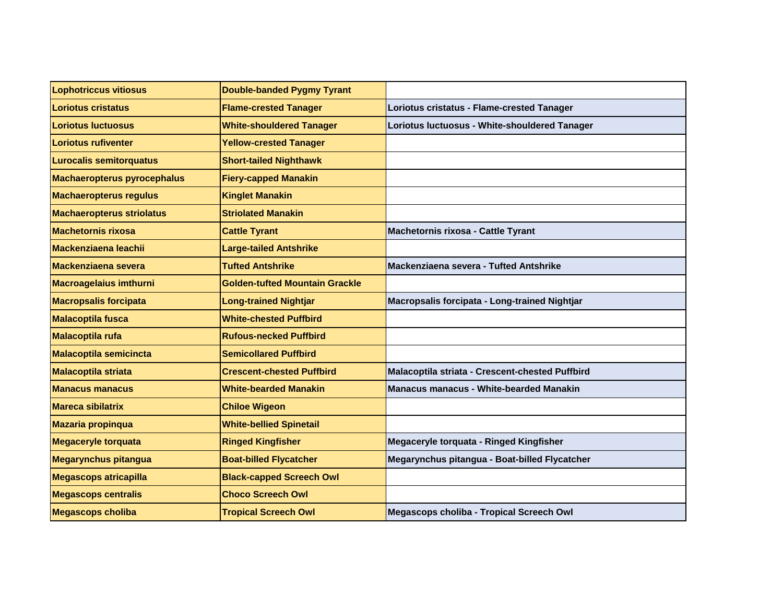| <b>Lophotriccus vitiosus</b>       | <b>Double-banded Pygmy Tyrant</b>     |                                                 |
|------------------------------------|---------------------------------------|-------------------------------------------------|
| <b>Loriotus cristatus</b>          | <b>Flame-crested Tanager</b>          | Loriotus cristatus - Flame-crested Tanager      |
| <b>Loriotus luctuosus</b>          | <b>White-shouldered Tanager</b>       | Loriotus luctuosus - White-shouldered Tanager   |
| <b>Loriotus rufiventer</b>         | <b>Yellow-crested Tanager</b>         |                                                 |
| <b>Lurocalis semitorquatus</b>     | <b>Short-tailed Nighthawk</b>         |                                                 |
| <b>Machaeropterus pyrocephalus</b> | <b>Fiery-capped Manakin</b>           |                                                 |
| <b>Machaeropterus regulus</b>      | <b>Kinglet Manakin</b>                |                                                 |
| <b>Machaeropterus striolatus</b>   | <b>Striolated Manakin</b>             |                                                 |
| <b>Machetornis rixosa</b>          | <b>Cattle Tyrant</b>                  | Machetornis rixosa - Cattle Tyrant              |
| Mackenziaena leachii               | <b>Large-tailed Antshrike</b>         |                                                 |
| <b>Mackenziaena severa</b>         | <b>Tufted Antshrike</b>               | Mackenziaena severa - Tufted Antshrike          |
| <b>Macroagelaius imthurni</b>      | <b>Golden-tufted Mountain Grackle</b> |                                                 |
| <b>Macropsalis forcipata</b>       | <b>Long-trained Nightjar</b>          | Macropsalis forcipata - Long-trained Nightjar   |
| <b>Malacoptila fusca</b>           | <b>White-chested Puffbird</b>         |                                                 |
| <b>Malacoptila rufa</b>            | <b>Rufous-necked Puffbird</b>         |                                                 |
| <b>Malacoptila semicincta</b>      | <b>Semicollared Puffbird</b>          |                                                 |
| <b>Malacoptila striata</b>         | <b>Crescent-chested Puffbird</b>      | Malacoptila striata - Crescent-chested Puffbird |
| <b>Manacus manacus</b>             | <b>White-bearded Manakin</b>          | <b>Manacus manacus - White-bearded Manakin</b>  |
| <b>Mareca sibilatrix</b>           | <b>Chiloe Wigeon</b>                  |                                                 |
| <b>Mazaria propinqua</b>           | <b>White-bellied Spinetail</b>        |                                                 |
| <b>Megaceryle torquata</b>         | <b>Ringed Kingfisher</b>              | Megaceryle torquata - Ringed Kingfisher         |
| <b>Megarynchus pitangua</b>        | <b>Boat-billed Flycatcher</b>         | Megarynchus pitangua - Boat-billed Flycatcher   |
| <b>Megascops atricapilla</b>       | <b>Black-capped Screech Owl</b>       |                                                 |
| <b>Megascops centralis</b>         | <b>Choco Screech Owl</b>              |                                                 |
| <b>Megascops choliba</b>           | <b>Tropical Screech Owl</b>           | Megascops choliba - Tropical Screech Owl        |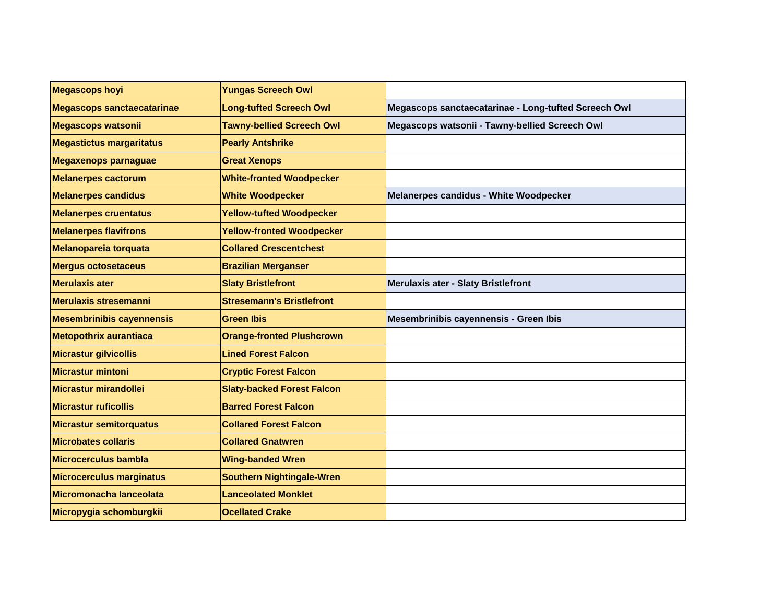| <b>Megascops hoyi</b>             | <b>Yungas Screech Owl</b>         |                                                      |
|-----------------------------------|-----------------------------------|------------------------------------------------------|
| <b>Megascops sanctaecatarinae</b> | <b>Long-tufted Screech Owl</b>    | Megascops sanctaecatarinae - Long-tufted Screech Owl |
| <b>Megascops watsonii</b>         | <b>Tawny-bellied Screech Owl</b>  | Megascops watsonii - Tawny-bellied Screech Owl       |
| <b>Megastictus margaritatus</b>   | <b>Pearly Antshrike</b>           |                                                      |
| <b>Megaxenops parnaguae</b>       | <b>Great Xenops</b>               |                                                      |
| <b>Melanerpes cactorum</b>        | <b>White-fronted Woodpecker</b>   |                                                      |
| <b>Melanerpes candidus</b>        | <b>White Woodpecker</b>           | Melanerpes candidus - White Woodpecker               |
| <b>Melanerpes cruentatus</b>      | <b>Yellow-tufted Woodpecker</b>   |                                                      |
| <b>Melanerpes flavifrons</b>      | <b>Yellow-fronted Woodpecker</b>  |                                                      |
| <b>Melanopareia torquata</b>      | <b>Collared Crescentchest</b>     |                                                      |
| <b>Mergus octosetaceus</b>        | <b>Brazilian Merganser</b>        |                                                      |
| <b>Merulaxis ater</b>             | <b>Slaty Bristlefront</b>         | Merulaxis ater - Slaty Bristlefront                  |
| <b>Merulaxis stresemanni</b>      | <b>Stresemann's Bristlefront</b>  |                                                      |
| <b>Mesembrinibis cayennensis</b>  | <b>Green Ibis</b>                 | Mesembrinibis cayennensis - Green Ibis               |
| <b>Metopothrix aurantiaca</b>     | <b>Orange-fronted Plushcrown</b>  |                                                      |
| <b>Micrastur gilvicollis</b>      | <b>Lined Forest Falcon</b>        |                                                      |
| <b>Micrastur mintoni</b>          | <b>Cryptic Forest Falcon</b>      |                                                      |
| Micrastur mirandollei             | <b>Slaty-backed Forest Falcon</b> |                                                      |
| <b>Micrastur ruficollis</b>       | <b>Barred Forest Falcon</b>       |                                                      |
| <b>Micrastur semitorquatus</b>    | <b>Collared Forest Falcon</b>     |                                                      |
| <b>Microbates collaris</b>        | <b>Collared Gnatwren</b>          |                                                      |
| Microcerculus bambla              | <b>Wing-banded Wren</b>           |                                                      |
| <b>Microcerculus marginatus</b>   | <b>Southern Nightingale-Wren</b>  |                                                      |
| Micromonacha lanceolata           | <b>Lanceolated Monklet</b>        |                                                      |
| Micropygia schomburgkii           | <b>Ocellated Crake</b>            |                                                      |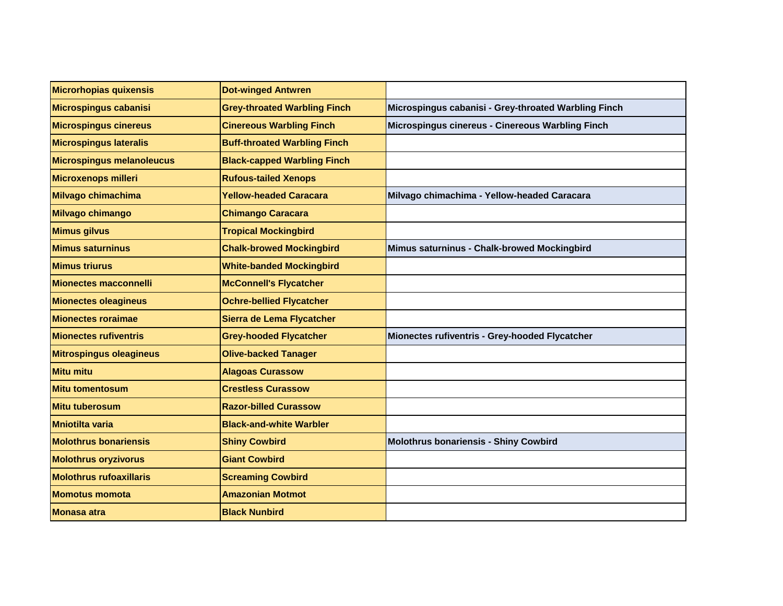| Microrhopias quixensis           | <b>Dot-winged Antwren</b>           |                                                      |
|----------------------------------|-------------------------------------|------------------------------------------------------|
| Microspingus cabanisi            | <b>Grey-throated Warbling Finch</b> | Microspingus cabanisi - Grey-throated Warbling Finch |
| <b>Microspingus cinereus</b>     | <b>Cinereous Warbling Finch</b>     | Microspingus cinereus - Cinereous Warbling Finch     |
| <b>Microspingus lateralis</b>    | <b>Buff-throated Warbling Finch</b> |                                                      |
| <b>Microspingus melanoleucus</b> | <b>Black-capped Warbling Finch</b>  |                                                      |
| Microxenops milleri              | <b>Rufous-tailed Xenops</b>         |                                                      |
| Milvago chimachima               | <b>Yellow-headed Caracara</b>       | Milvago chimachima - Yellow-headed Caracara          |
| Milvago chimango                 | <b>Chimango Caracara</b>            |                                                      |
| <b>Mimus gilvus</b>              | <b>Tropical Mockingbird</b>         |                                                      |
| <b>Mimus saturninus</b>          | <b>Chalk-browed Mockingbird</b>     | Mimus saturninus - Chalk-browed Mockingbird          |
| <b>Mimus triurus</b>             | <b>White-banded Mockingbird</b>     |                                                      |
| <b>Mionectes macconnelli</b>     | <b>McConnell's Flycatcher</b>       |                                                      |
| <b>Mionectes oleagineus</b>      | <b>Ochre-bellied Flycatcher</b>     |                                                      |
| <b>Mionectes roraimae</b>        | Sierra de Lema Flycatcher           |                                                      |
| <b>Mionectes rufiventris</b>     | <b>Grey-hooded Flycatcher</b>       | Mionectes rufiventris - Grey-hooded Flycatcher       |
| <b>Mitrospingus oleagineus</b>   | <b>Olive-backed Tanager</b>         |                                                      |
| Mitu mitu                        | <b>Alagoas Curassow</b>             |                                                      |
| <b>Mitu tomentosum</b>           | <b>Crestless Curassow</b>           |                                                      |
| Mitu tuberosum                   | <b>Razor-billed Curassow</b>        |                                                      |
| <b>Mniotilta varia</b>           | <b>Black-and-white Warbler</b>      |                                                      |
| <b>Molothrus bonariensis</b>     | <b>Shiny Cowbird</b>                | <b>Molothrus bonariensis - Shiny Cowbird</b>         |
| <b>Molothrus oryzivorus</b>      | <b>Giant Cowbird</b>                |                                                      |
| <b>Molothrus rufoaxillaris</b>   | <b>Screaming Cowbird</b>            |                                                      |
| <b>Momotus momota</b>            | <b>Amazonian Motmot</b>             |                                                      |
| <b>Monasa atra</b>               | <b>Black Nunbird</b>                |                                                      |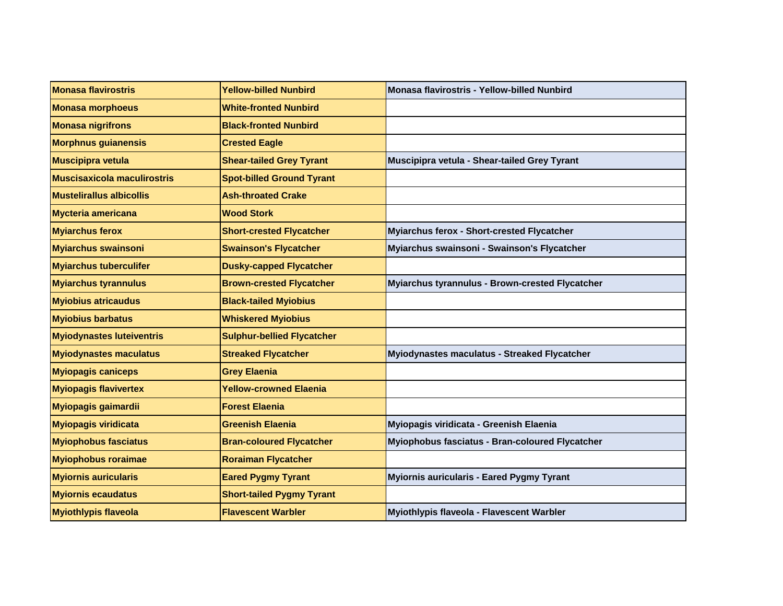| <b>Monasa flavirostris</b>         | <b>Yellow-billed Nunbird</b>      | Monasa flavirostris - Yellow-billed Nunbird     |
|------------------------------------|-----------------------------------|-------------------------------------------------|
| <b>Monasa morphoeus</b>            | <b>White-fronted Nunbird</b>      |                                                 |
| <b>Monasa nigrifrons</b>           | <b>Black-fronted Nunbird</b>      |                                                 |
| <b>Morphnus guianensis</b>         | <b>Crested Eagle</b>              |                                                 |
| <b>Muscipipra vetula</b>           | <b>Shear-tailed Grey Tyrant</b>   | Muscipipra vetula - Shear-tailed Grey Tyrant    |
| <b>Muscisaxicola maculirostris</b> | <b>Spot-billed Ground Tyrant</b>  |                                                 |
| <b>Mustelirallus albicollis</b>    | <b>Ash-throated Crake</b>         |                                                 |
| <b>Mycteria americana</b>          | <b>Wood Stork</b>                 |                                                 |
| <b>Myiarchus ferox</b>             | <b>Short-crested Flycatcher</b>   | Myiarchus ferox - Short-crested Flycatcher      |
| <b>Myiarchus swainsoni</b>         | <b>Swainson's Flycatcher</b>      | Myiarchus swainsoni - Swainson's Flycatcher     |
| <b>Myiarchus tuberculifer</b>      | <b>Dusky-capped Flycatcher</b>    |                                                 |
| <b>Myiarchus tyrannulus</b>        | <b>Brown-crested Flycatcher</b>   | Myiarchus tyrannulus - Brown-crested Flycatcher |
| <b>Myiobius atricaudus</b>         | <b>Black-tailed Myiobius</b>      |                                                 |
| <b>Myiobius barbatus</b>           | <b>Whiskered Myiobius</b>         |                                                 |
| <b>Myiodynastes luteiventris</b>   | <b>Sulphur-bellied Flycatcher</b> |                                                 |
| <b>Myiodynastes maculatus</b>      | <b>Streaked Flycatcher</b>        | Myiodynastes maculatus - Streaked Flycatcher    |
| <b>Myiopagis caniceps</b>          | <b>Grey Elaenia</b>               |                                                 |
| <b>Myiopagis flavivertex</b>       | <b>Yellow-crowned Elaenia</b>     |                                                 |
| <b>Myiopagis gaimardii</b>         | <b>Forest Elaenia</b>             |                                                 |
| <b>Myiopagis viridicata</b>        | <b>Greenish Elaenia</b>           | Myiopagis viridicata - Greenish Elaenia         |
| <b>Myiophobus fasciatus</b>        | <b>Bran-coloured Flycatcher</b>   | Myiophobus fasciatus - Bran-coloured Flycatcher |
| <b>Myiophobus roraimae</b>         | <b>Roraiman Flycatcher</b>        |                                                 |
| <b>Myiornis auricularis</b>        | <b>Eared Pygmy Tyrant</b>         | Myiornis auricularis - Eared Pygmy Tyrant       |
| <b>Myiornis ecaudatus</b>          | <b>Short-tailed Pygmy Tyrant</b>  |                                                 |
| <b>Myiothlypis flaveola</b>        | <b>Flavescent Warbler</b>         | Myiothlypis flaveola - Flavescent Warbler       |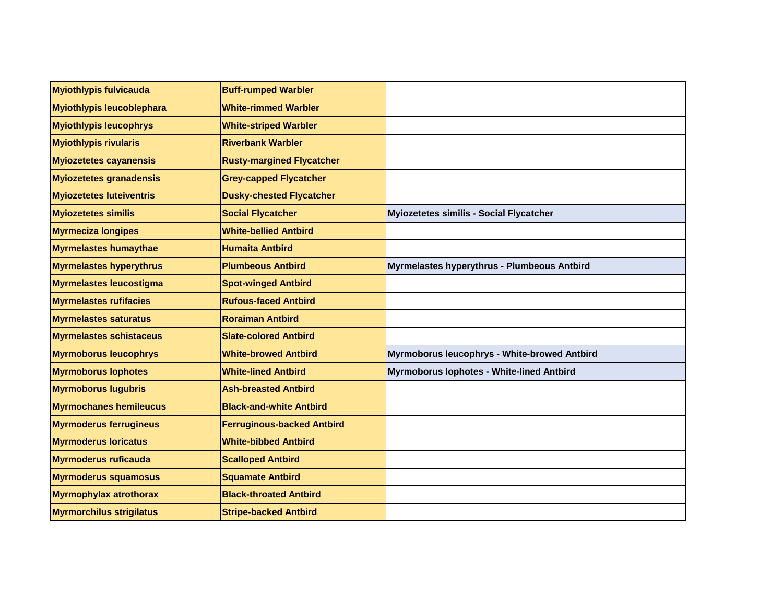| <b>Myiothlypis fulvicauda</b>    | <b>Buff-rumped Warbler</b>        |                                              |
|----------------------------------|-----------------------------------|----------------------------------------------|
| <b>Myiothlypis leucoblephara</b> | <b>White-rimmed Warbler</b>       |                                              |
| <b>Myiothlypis leucophrys</b>    | <b>White-striped Warbler</b>      |                                              |
| <b>Myiothlypis rivularis</b>     | <b>Riverbank Warbler</b>          |                                              |
| <b>Myiozetetes cayanensis</b>    | <b>Rusty-margined Flycatcher</b>  |                                              |
| <b>Myiozetetes granadensis</b>   | <b>Grey-capped Flycatcher</b>     |                                              |
| <b>Myiozetetes luteiventris</b>  | <b>Dusky-chested Flycatcher</b>   |                                              |
| <b>Myiozetetes similis</b>       | <b>Social Flycatcher</b>          | Myiozetetes similis - Social Flycatcher      |
| <b>Myrmeciza longipes</b>        | <b>White-bellied Antbird</b>      |                                              |
| <b>Myrmelastes humaythae</b>     | <b>Humaita Antbird</b>            |                                              |
| <b>Myrmelastes hyperythrus</b>   | <b>Plumbeous Antbird</b>          | Myrmelastes hyperythrus - Plumbeous Antbird  |
| <b>Myrmelastes leucostigma</b>   | <b>Spot-winged Antbird</b>        |                                              |
| <b>Myrmelastes rufifacies</b>    | <b>Rufous-faced Antbird</b>       |                                              |
| <b>Myrmelastes saturatus</b>     | <b>Roraiman Antbird</b>           |                                              |
| <b>Myrmelastes schistaceus</b>   | <b>Slate-colored Antbird</b>      |                                              |
| <b>Myrmoborus leucophrys</b>     | <b>White-browed Antbird</b>       | Myrmoborus leucophrys - White-browed Antbird |
| <b>Myrmoborus lophotes</b>       | <b>White-lined Antbird</b>        | Myrmoborus lophotes - White-lined Antbird    |
| <b>Myrmoborus lugubris</b>       | <b>Ash-breasted Antbird</b>       |                                              |
| <b>Myrmochanes hemileucus</b>    | <b>Black-and-white Antbird</b>    |                                              |
| <b>Myrmoderus ferrugineus</b>    | <b>Ferruginous-backed Antbird</b> |                                              |
| <b>Myrmoderus loricatus</b>      | <b>White-bibbed Antbird</b>       |                                              |
| <b>Myrmoderus ruficauda</b>      | <b>Scalloped Antbird</b>          |                                              |
| <b>Myrmoderus squamosus</b>      | <b>Squamate Antbird</b>           |                                              |
| <b>Myrmophylax atrothorax</b>    | <b>Black-throated Antbird</b>     |                                              |
| <b>Myrmorchilus strigilatus</b>  | <b>Stripe-backed Antbird</b>      |                                              |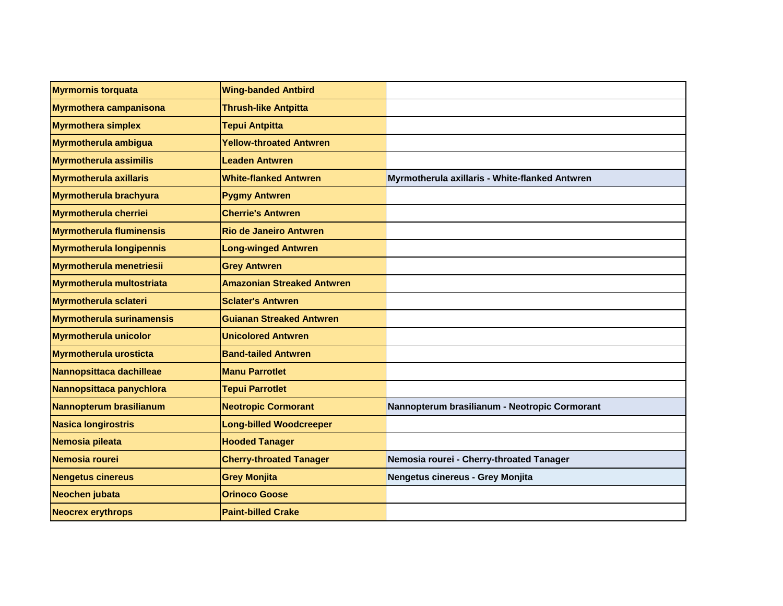| <b>Myrmornis torquata</b>        | <b>Wing-banded Antbird</b>        |                                                |
|----------------------------------|-----------------------------------|------------------------------------------------|
| <b>Myrmothera campanisona</b>    | <b>Thrush-like Antpitta</b>       |                                                |
| <b>Myrmothera simplex</b>        | <b>Tepui Antpitta</b>             |                                                |
| <b>Myrmotherula ambigua</b>      | <b>Yellow-throated Antwren</b>    |                                                |
| <b>Myrmotherula assimilis</b>    | <b>Leaden Antwren</b>             |                                                |
| <b>Myrmotherula axillaris</b>    | <b>White-flanked Antwren</b>      | Myrmotherula axillaris - White-flanked Antwren |
| Myrmotherula brachyura           | <b>Pygmy Antwren</b>              |                                                |
| <b>Myrmotherula cherriei</b>     | <b>Cherrie's Antwren</b>          |                                                |
| <b>Myrmotherula fluminensis</b>  | <b>Rio de Janeiro Antwren</b>     |                                                |
| <b>Myrmotherula longipennis</b>  | <b>Long-winged Antwren</b>        |                                                |
| <b>Myrmotherula menetriesii</b>  | <b>Grey Antwren</b>               |                                                |
| Myrmotherula multostriata        | <b>Amazonian Streaked Antwren</b> |                                                |
| <b>Myrmotherula sclateri</b>     | <b>Sclater's Antwren</b>          |                                                |
| <b>Myrmotherula surinamensis</b> | <b>Guianan Streaked Antwren</b>   |                                                |
| <b>Myrmotherula unicolor</b>     | <b>Unicolored Antwren</b>         |                                                |
| <b>Myrmotherula urosticta</b>    | <b>Band-tailed Antwren</b>        |                                                |
| Nannopsittaca dachilleae         | <b>Manu Parrotlet</b>             |                                                |
| Nannopsittaca panychlora         | <b>Tepui Parrotlet</b>            |                                                |
| Nannopterum brasilianum          | <b>Neotropic Cormorant</b>        | Nannopterum brasilianum - Neotropic Cormorant  |
| <b>Nasica longirostris</b>       | <b>Long-billed Woodcreeper</b>    |                                                |
| Nemosia pileata                  | <b>Hooded Tanager</b>             |                                                |
| Nemosia rourei                   | <b>Cherry-throated Tanager</b>    | Nemosia rourei - Cherry-throated Tanager       |
| <b>Nengetus cinereus</b>         | <b>Grey Monjita</b>               | Nengetus cinereus - Grey Monjita               |
| Neochen jubata                   | <b>Orinoco Goose</b>              |                                                |
| <b>Neocrex erythrops</b>         | <b>Paint-billed Crake</b>         |                                                |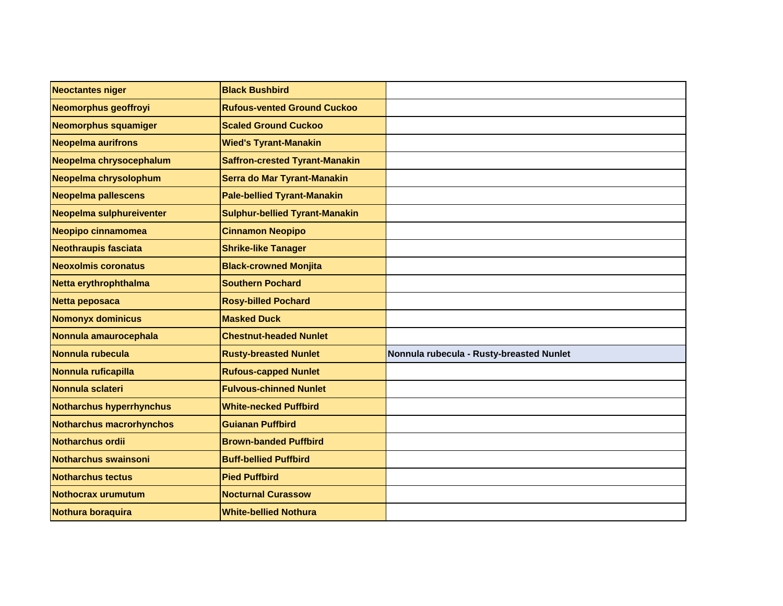| <b>Neoctantes niger</b>         | <b>Black Bushbird</b>                 |                                          |
|---------------------------------|---------------------------------------|------------------------------------------|
| Neomorphus geoffroyi            | <b>Rufous-vented Ground Cuckoo</b>    |                                          |
| Neomorphus squamiger            | <b>Scaled Ground Cuckoo</b>           |                                          |
| <b>Neopelma aurifrons</b>       | <b>Wied's Tyrant-Manakin</b>          |                                          |
| Neopelma chrysocephalum         | <b>Saffron-crested Tyrant-Manakin</b> |                                          |
| Neopelma chrysolophum           | Serra do Mar Tyrant-Manakin           |                                          |
| <b>Neopelma pallescens</b>      | <b>Pale-bellied Tyrant-Manakin</b>    |                                          |
| Neopelma sulphureiventer        | <b>Sulphur-bellied Tyrant-Manakin</b> |                                          |
| Neopipo cinnamomea              | <b>Cinnamon Neopipo</b>               |                                          |
| Neothraupis fasciata            | <b>Shrike-like Tanager</b>            |                                          |
| <b>Neoxolmis coronatus</b>      | <b>Black-crowned Monjita</b>          |                                          |
| Netta erythrophthalma           | <b>Southern Pochard</b>               |                                          |
| Netta peposaca                  | <b>Rosy-billed Pochard</b>            |                                          |
| <b>Nomonyx dominicus</b>        | <b>Masked Duck</b>                    |                                          |
| Nonnula amaurocephala           | <b>Chestnut-headed Nunlet</b>         |                                          |
| Nonnula rubecula                | <b>Rusty-breasted Nunlet</b>          | Nonnula rubecula - Rusty-breasted Nunlet |
| Nonnula ruficapilla             | <b>Rufous-capped Nunlet</b>           |                                          |
| Nonnula sclateri                | <b>Fulvous-chinned Nunlet</b>         |                                          |
| <b>Notharchus hyperrhynchus</b> | <b>White-necked Puffbird</b>          |                                          |
| <b>Notharchus macrorhynchos</b> | <b>Guianan Puffbird</b>               |                                          |
| <b>Notharchus ordii</b>         | <b>Brown-banded Puffbird</b>          |                                          |
| Notharchus swainsoni            | <b>Buff-bellied Puffbird</b>          |                                          |
| <b>Notharchus tectus</b>        | <b>Pied Puffbird</b>                  |                                          |
| <b>Nothocrax urumutum</b>       | <b>Nocturnal Curassow</b>             |                                          |
| Nothura boraquira               | <b>White-bellied Nothura</b>          |                                          |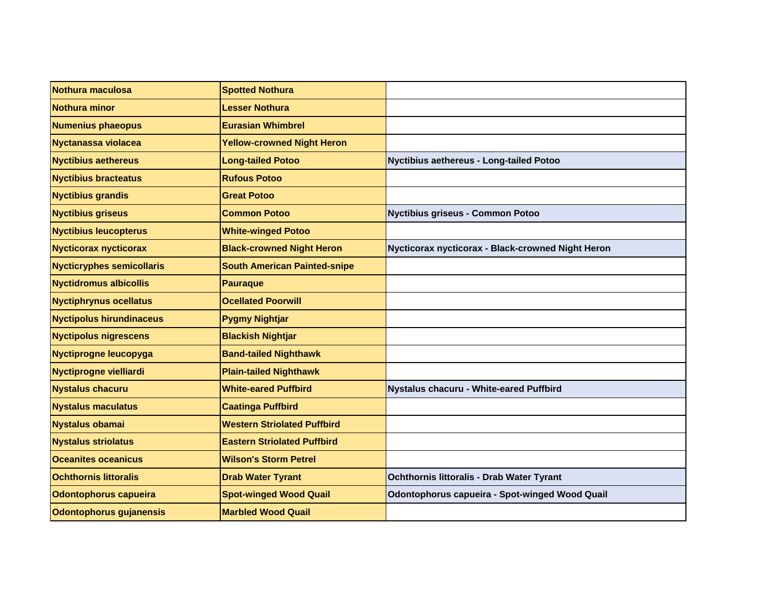| Nothura maculosa                 | <b>Spotted Nothura</b>              |                                                       |
|----------------------------------|-------------------------------------|-------------------------------------------------------|
| <b>Nothura minor</b>             | <b>Lesser Nothura</b>               |                                                       |
| <b>Numenius phaeopus</b>         | <b>Eurasian Whimbrel</b>            |                                                       |
| Nyctanassa violacea              | <b>Yellow-crowned Night Heron</b>   |                                                       |
| <b>Nyctibius aethereus</b>       | <b>Long-tailed Potoo</b>            | Nyctibius aethereus - Long-tailed Potoo               |
| <b>Nyctibius bracteatus</b>      | <b>Rufous Potoo</b>                 |                                                       |
| <b>Nyctibius grandis</b>         | <b>Great Potoo</b>                  |                                                       |
| <b>Nyctibius griseus</b>         | <b>Common Potoo</b>                 | Nyctibius griseus - Common Potoo                      |
| <b>Nyctibius leucopterus</b>     | <b>White-winged Potoo</b>           |                                                       |
| <b>Nycticorax nycticorax</b>     | <b>Black-crowned Night Heron</b>    | Nycticorax nycticorax - Black-crowned Night Heron     |
| <b>Nycticryphes semicollaris</b> | <b>South American Painted-snipe</b> |                                                       |
| <b>Nyctidromus albicollis</b>    | <b>Pauraque</b>                     |                                                       |
| <b>Nyctiphrynus ocellatus</b>    | <b>Ocellated Poorwill</b>           |                                                       |
| <b>Nyctipolus hirundinaceus</b>  | <b>Pygmy Nightjar</b>               |                                                       |
| <b>Nyctipolus nigrescens</b>     | <b>Blackish Nightjar</b>            |                                                       |
| Nyctiprogne leucopyga            | <b>Band-tailed Nighthawk</b>        |                                                       |
| Nyctiprogne vielliardi           | <b>Plain-tailed Nighthawk</b>       |                                                       |
| <b>Nystalus chacuru</b>          | <b>White-eared Puffbird</b>         | Nystalus chacuru - White-eared Puffbird               |
| <b>Nystalus maculatus</b>        | <b>Caatinga Puffbird</b>            |                                                       |
| <b>Nystalus obamai</b>           | <b>Western Striolated Puffbird</b>  |                                                       |
| <b>Nystalus striolatus</b>       | <b>Eastern Striolated Puffbird</b>  |                                                       |
| <b>Oceanites oceanicus</b>       | <b>Wilson's Storm Petrel</b>        |                                                       |
| <b>Ochthornis littoralis</b>     | <b>Drab Water Tyrant</b>            | Ochthornis littoralis - Drab Water Tyrant             |
| Odontophorus capueira            | <b>Spot-winged Wood Quail</b>       | <b>Odontophorus capueira - Spot-winged Wood Quail</b> |
| Odontophorus gujanensis          | <b>Marbled Wood Quail</b>           |                                                       |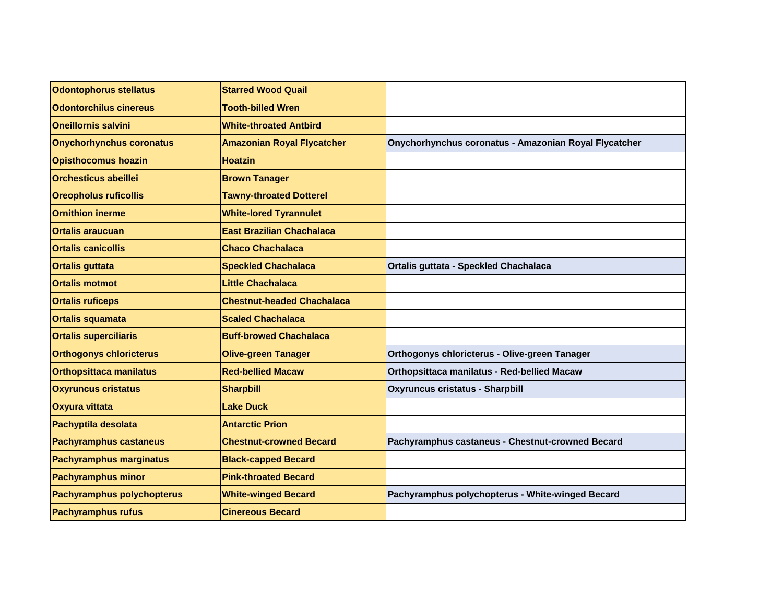| Odontophorus stellatus            | <b>Starred Wood Quail</b>         |                                                       |
|-----------------------------------|-----------------------------------|-------------------------------------------------------|
| <b>Odontorchilus cinereus</b>     | <b>Tooth-billed Wren</b>          |                                                       |
| <b>Oneillornis salvini</b>        | <b>White-throated Antbird</b>     |                                                       |
| <b>Onychorhynchus coronatus</b>   | <b>Amazonian Royal Flycatcher</b> | Onychorhynchus coronatus - Amazonian Royal Flycatcher |
| <b>Opisthocomus hoazin</b>        | <b>Hoatzin</b>                    |                                                       |
| <b>Orchesticus abeillei</b>       | <b>Brown Tanager</b>              |                                                       |
| <b>Oreopholus ruficollis</b>      | <b>Tawny-throated Dotterel</b>    |                                                       |
| <b>Ornithion inerme</b>           | <b>White-lored Tyrannulet</b>     |                                                       |
| <b>Ortalis araucuan</b>           | <b>East Brazilian Chachalaca</b>  |                                                       |
| <b>Ortalis canicollis</b>         | <b>Chaco Chachalaca</b>           |                                                       |
| <b>Ortalis guttata</b>            | <b>Speckled Chachalaca</b>        | Ortalis guttata - Speckled Chachalaca                 |
| <b>Ortalis motmot</b>             | <b>Little Chachalaca</b>          |                                                       |
| <b>Ortalis ruficeps</b>           | <b>Chestnut-headed Chachalaca</b> |                                                       |
| <b>Ortalis squamata</b>           | <b>Scaled Chachalaca</b>          |                                                       |
| <b>Ortalis superciliaris</b>      | <b>Buff-browed Chachalaca</b>     |                                                       |
| <b>Orthogonys chloricterus</b>    | <b>Olive-green Tanager</b>        | Orthogonys chloricterus - Olive-green Tanager         |
| <b>Orthopsittaca manilatus</b>    | <b>Red-bellied Macaw</b>          | Orthopsittaca manilatus - Red-bellied Macaw           |
| <b>Oxyruncus cristatus</b>        | <b>Sharpbill</b>                  | <b>Oxyruncus cristatus - Sharpbill</b>                |
| <b>Oxyura vittata</b>             | <b>Lake Duck</b>                  |                                                       |
| Pachyptila desolata               | <b>Antarctic Prion</b>            |                                                       |
| <b>Pachyramphus castaneus</b>     | <b>Chestnut-crowned Becard</b>    | Pachyramphus castaneus - Chestnut-crowned Becard      |
| <b>Pachyramphus marginatus</b>    | <b>Black-capped Becard</b>        |                                                       |
| <b>Pachyramphus minor</b>         | <b>Pink-throated Becard</b>       |                                                       |
| <b>Pachyramphus polychopterus</b> | <b>White-winged Becard</b>        | Pachyramphus polychopterus - White-winged Becard      |
| <b>Pachyramphus rufus</b>         | <b>Cinereous Becard</b>           |                                                       |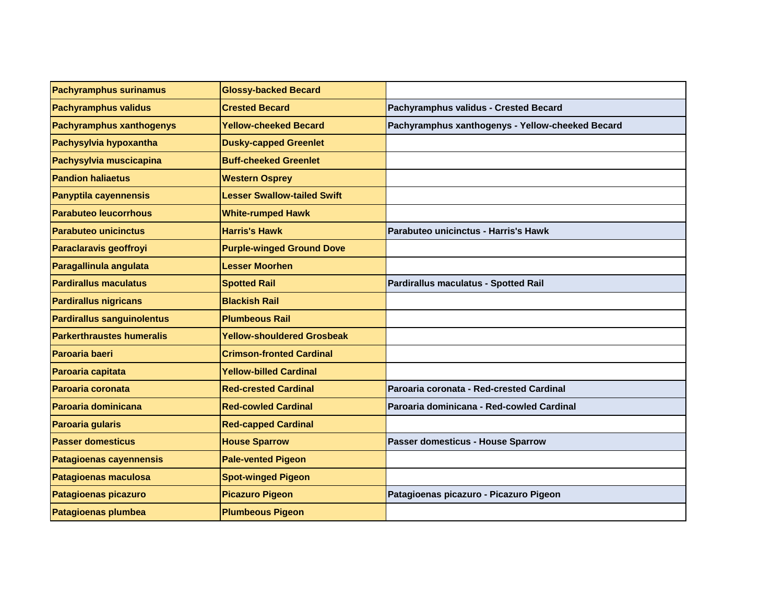| <b>Pachyramphus surinamus</b>     | <b>Glossy-backed Becard</b>        |                                                  |
|-----------------------------------|------------------------------------|--------------------------------------------------|
| <b>Pachyramphus validus</b>       | <b>Crested Becard</b>              | Pachyramphus validus - Crested Becard            |
| <b>Pachyramphus xanthogenys</b>   | <b>Yellow-cheeked Becard</b>       | Pachyramphus xanthogenys - Yellow-cheeked Becard |
| Pachysylvia hypoxantha            | <b>Dusky-capped Greenlet</b>       |                                                  |
| Pachysylvia muscicapina           | <b>Buff-cheeked Greenlet</b>       |                                                  |
| <b>Pandion haliaetus</b>          | <b>Western Osprey</b>              |                                                  |
| <b>Panyptila cayennensis</b>      | <b>Lesser Swallow-tailed Swift</b> |                                                  |
| <b>Parabuteo leucorrhous</b>      | <b>White-rumped Hawk</b>           |                                                  |
| <b>Parabuteo unicinctus</b>       | <b>Harris's Hawk</b>               | Parabuteo unicinctus - Harris's Hawk             |
| Paraclaravis geoffroyi            | <b>Purple-winged Ground Dove</b>   |                                                  |
| Paragallinula angulata            | <b>Lesser Moorhen</b>              |                                                  |
| <b>Pardirallus maculatus</b>      | <b>Spotted Rail</b>                | Pardirallus maculatus - Spotted Rail             |
| <b>Pardirallus nigricans</b>      | <b>Blackish Rail</b>               |                                                  |
| <b>Pardirallus sanguinolentus</b> | <b>Plumbeous Rail</b>              |                                                  |
| <b>Parkerthraustes humeralis</b>  | <b>Yellow-shouldered Grosbeak</b>  |                                                  |
| Paroaria baeri                    | <b>Crimson-fronted Cardinal</b>    |                                                  |
| Paroaria capitata                 | <b>Yellow-billed Cardinal</b>      |                                                  |
| Paroaria coronata                 | <b>Red-crested Cardinal</b>        | Paroaria coronata - Red-crested Cardinal         |
| Paroaria dominicana               | <b>Red-cowled Cardinal</b>         | Paroaria dominicana - Red-cowled Cardinal        |
| Paroaria gularis                  | <b>Red-capped Cardinal</b>         |                                                  |
| <b>Passer domesticus</b>          | <b>House Sparrow</b>               | Passer domesticus - House Sparrow                |
| <b>Patagioenas cayennensis</b>    | <b>Pale-vented Pigeon</b>          |                                                  |
| <b>Patagioenas maculosa</b>       | <b>Spot-winged Pigeon</b>          |                                                  |
| Patagioenas picazuro              | <b>Picazuro Pigeon</b>             | Patagioenas picazuro - Picazuro Pigeon           |
| <b>Patagioenas plumbea</b>        | <b>Plumbeous Pigeon</b>            |                                                  |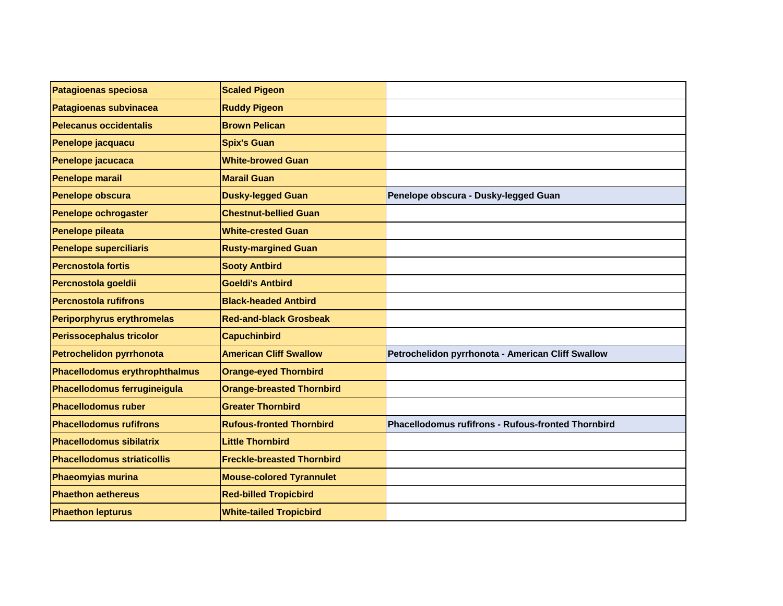| <b>Patagioenas speciosa</b>        | <b>Scaled Pigeon</b>              |                                                           |
|------------------------------------|-----------------------------------|-----------------------------------------------------------|
| <b>Patagioenas subvinacea</b>      | <b>Ruddy Pigeon</b>               |                                                           |
| Pelecanus occidentalis             | <b>Brown Pelican</b>              |                                                           |
| Penelope jacquacu                  | <b>Spix's Guan</b>                |                                                           |
| Penelope jacucaca                  | <b>White-browed Guan</b>          |                                                           |
| <b>Penelope marail</b>             | <b>Marail Guan</b>                |                                                           |
| Penelope obscura                   | <b>Dusky-legged Guan</b>          | Penelope obscura - Dusky-legged Guan                      |
| Penelope ochrogaster               | <b>Chestnut-bellied Guan</b>      |                                                           |
| Penelope pileata                   | <b>White-crested Guan</b>         |                                                           |
| <b>Penelope superciliaris</b>      | <b>Rusty-margined Guan</b>        |                                                           |
| <b>Percnostola fortis</b>          | <b>Sooty Antbird</b>              |                                                           |
| Percnostola goeldii                | <b>Goeldi's Antbird</b>           |                                                           |
| <b>Percnostola rufifrons</b>       | <b>Black-headed Antbird</b>       |                                                           |
| <b>Periporphyrus erythromelas</b>  | <b>Red-and-black Grosbeak</b>     |                                                           |
| <b>Perissocephalus tricolor</b>    | <b>Capuchinbird</b>               |                                                           |
| Petrochelidon pyrrhonota           | <b>American Cliff Swallow</b>     | Petrochelidon pyrrhonota - American Cliff Swallow         |
| Phacellodomus erythrophthalmus     | <b>Orange-eyed Thornbird</b>      |                                                           |
| Phacellodomus ferrugineigula       | <b>Orange-breasted Thornbird</b>  |                                                           |
| <b>Phacellodomus ruber</b>         | <b>Greater Thornbird</b>          |                                                           |
| <b>Phacellodomus rufifrons</b>     | <b>Rufous-fronted Thornbird</b>   | <b>Phacellodomus rufifrons - Rufous-fronted Thornbird</b> |
| <b>Phacellodomus sibilatrix</b>    | <b>Little Thornbird</b>           |                                                           |
| <b>Phacellodomus striaticollis</b> | <b>Freckle-breasted Thornbird</b> |                                                           |
| <b>Phaeomyias murina</b>           | <b>Mouse-colored Tyrannulet</b>   |                                                           |
| <b>Phaethon aethereus</b>          | <b>Red-billed Tropicbird</b>      |                                                           |
| <b>Phaethon lepturus</b>           | <b>White-tailed Tropicbird</b>    |                                                           |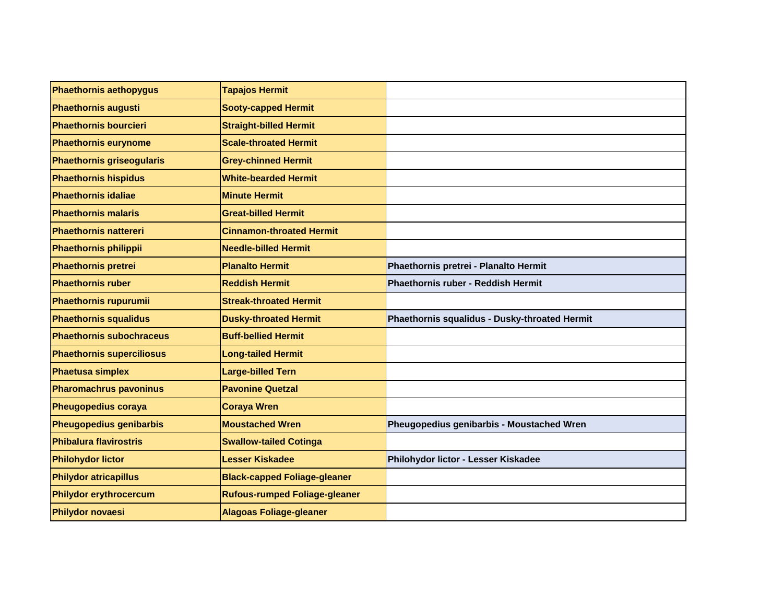| Phaethornis aethopygus           | <b>Tapajos Hermit</b>                |                                               |
|----------------------------------|--------------------------------------|-----------------------------------------------|
| <b>Phaethornis augusti</b>       | <b>Sooty-capped Hermit</b>           |                                               |
| <b>Phaethornis bourcieri</b>     | <b>Straight-billed Hermit</b>        |                                               |
| <b>Phaethornis eurynome</b>      | <b>Scale-throated Hermit</b>         |                                               |
| <b>Phaethornis griseogularis</b> | <b>Grey-chinned Hermit</b>           |                                               |
| <b>Phaethornis hispidus</b>      | <b>White-bearded Hermit</b>          |                                               |
| <b>Phaethornis idaliae</b>       | <b>Minute Hermit</b>                 |                                               |
| <b>Phaethornis malaris</b>       | <b>Great-billed Hermit</b>           |                                               |
| <b>Phaethornis nattereri</b>     | <b>Cinnamon-throated Hermit</b>      |                                               |
| <b>Phaethornis philippii</b>     | <b>Needle-billed Hermit</b>          |                                               |
| Phaethornis pretrei              | <b>Planalto Hermit</b>               | Phaethornis pretrei - Planalto Hermit         |
| <b>Phaethornis ruber</b>         | <b>Reddish Hermit</b>                | Phaethornis ruber - Reddish Hermit            |
| Phaethornis rupurumii            | <b>Streak-throated Hermit</b>        |                                               |
| <b>Phaethornis squalidus</b>     | <b>Dusky-throated Hermit</b>         | Phaethornis squalidus - Dusky-throated Hermit |
| <b>Phaethornis subochraceus</b>  | <b>Buff-bellied Hermit</b>           |                                               |
| <b>Phaethornis superciliosus</b> | <b>Long-tailed Hermit</b>            |                                               |
| <b>Phaetusa simplex</b>          | <b>Large-billed Tern</b>             |                                               |
| <b>Pharomachrus pavoninus</b>    | <b>Pavonine Quetzal</b>              |                                               |
| <b>Pheugopedius coraya</b>       | <b>Coraya Wren</b>                   |                                               |
| <b>Pheugopedius genibarbis</b>   | <b>Moustached Wren</b>               | Pheugopedius genibarbis - Moustached Wren     |
| <b>Phibalura flavirostris</b>    | <b>Swallow-tailed Cotinga</b>        |                                               |
| <b>Philohydor lictor</b>         | <b>Lesser Kiskadee</b>               | Philohydor lictor - Lesser Kiskadee           |
| <b>Philydor atricapillus</b>     | <b>Black-capped Foliage-gleaner</b>  |                                               |
| <b>Philydor erythrocercum</b>    | <b>Rufous-rumped Foliage-gleaner</b> |                                               |
| Philydor novaesi                 | <b>Alagoas Foliage-gleaner</b>       |                                               |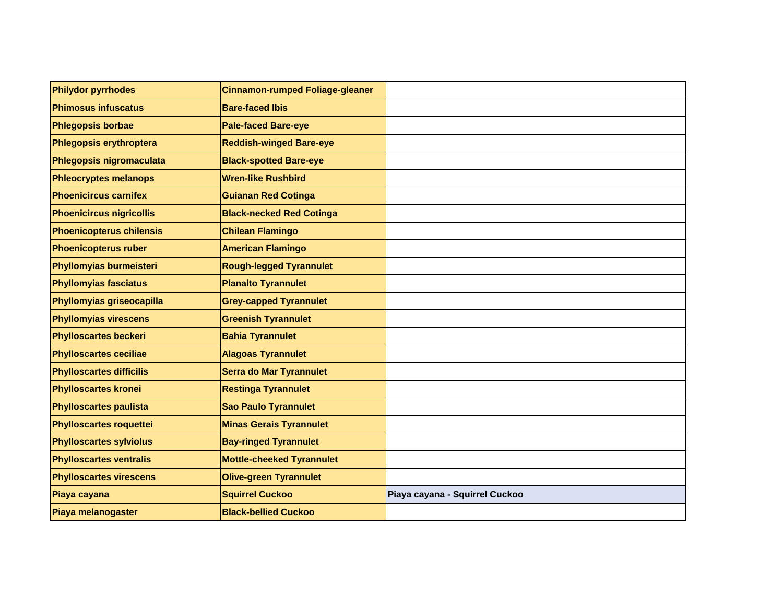| <b>Philydor pyrrhodes</b>       | <b>Cinnamon-rumped Foliage-gleaner</b> |                                |
|---------------------------------|----------------------------------------|--------------------------------|
| <b>Phimosus infuscatus</b>      | <b>Bare-faced Ibis</b>                 |                                |
| <b>Phlegopsis borbae</b>        | <b>Pale-faced Bare-eye</b>             |                                |
| Phlegopsis erythroptera         | <b>Reddish-winged Bare-eye</b>         |                                |
| Phlegopsis nigromaculata        | <b>Black-spotted Bare-eye</b>          |                                |
| <b>Phleocryptes melanops</b>    | <b>Wren-like Rushbird</b>              |                                |
| <b>Phoenicircus carnifex</b>    | <b>Guianan Red Cotinga</b>             |                                |
| <b>Phoenicircus nigricollis</b> | <b>Black-necked Red Cotinga</b>        |                                |
| <b>Phoenicopterus chilensis</b> | <b>Chilean Flamingo</b>                |                                |
| <b>Phoenicopterus ruber</b>     | <b>American Flamingo</b>               |                                |
| Phyllomyias burmeisteri         | <b>Rough-legged Tyrannulet</b>         |                                |
| <b>Phyllomyias fasciatus</b>    | <b>Planalto Tyrannulet</b>             |                                |
| Phyllomyias griseocapilla       | <b>Grey-capped Tyrannulet</b>          |                                |
| <b>Phyllomyias virescens</b>    | <b>Greenish Tyrannulet</b>             |                                |
| <b>Phylloscartes beckeri</b>    | <b>Bahia Tyrannulet</b>                |                                |
| <b>Phylloscartes ceciliae</b>   | <b>Alagoas Tyrannulet</b>              |                                |
| <b>Phylloscartes difficilis</b> | <b>Serra do Mar Tyrannulet</b>         |                                |
| <b>Phylloscartes kronei</b>     | <b>Restinga Tyrannulet</b>             |                                |
| <b>Phylloscartes paulista</b>   | <b>Sao Paulo Tyrannulet</b>            |                                |
| <b>Phylloscartes roquettei</b>  | <b>Minas Gerais Tyrannulet</b>         |                                |
| <b>Phylloscartes sylviolus</b>  | <b>Bay-ringed Tyrannulet</b>           |                                |
| <b>Phylloscartes ventralis</b>  | <b>Mottle-cheeked Tyrannulet</b>       |                                |
| <b>Phylloscartes virescens</b>  | <b>Olive-green Tyrannulet</b>          |                                |
| Piaya cayana                    | <b>Squirrel Cuckoo</b>                 | Piaya cayana - Squirrel Cuckoo |
| Piaya melanogaster              | <b>Black-bellied Cuckoo</b>            |                                |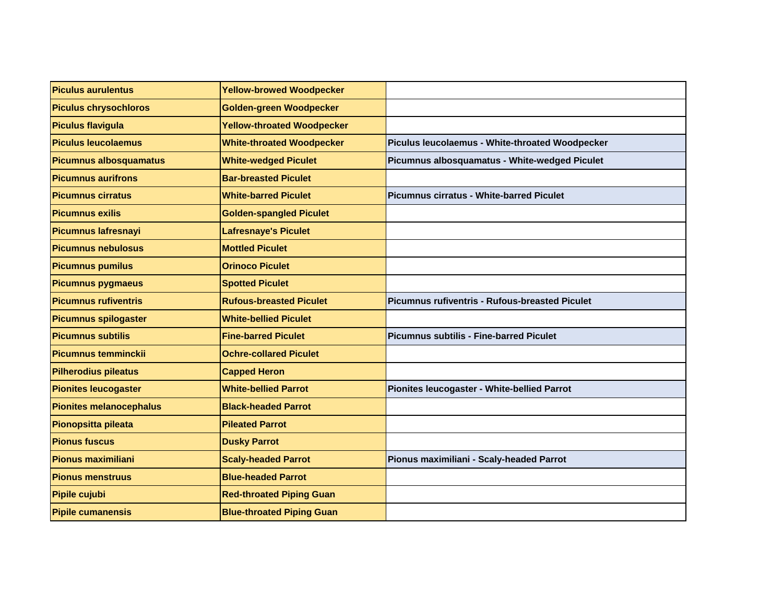| <b>Piculus aurulentus</b>      | <b>Yellow-browed Woodpecker</b>   |                                                 |
|--------------------------------|-----------------------------------|-------------------------------------------------|
| <b>Piculus chrysochloros</b>   | Golden-green Woodpecker           |                                                 |
| <b>Piculus flavigula</b>       | <b>Yellow-throated Woodpecker</b> |                                                 |
| <b>Piculus leucolaemus</b>     | <b>White-throated Woodpecker</b>  | Piculus leucolaemus - White-throated Woodpecker |
| Picumnus albosquamatus         | <b>White-wedged Piculet</b>       | Picumnus albosquamatus - White-wedged Piculet   |
| <b>Picumnus aurifrons</b>      | <b>Bar-breasted Piculet</b>       |                                                 |
| <b>Picumnus cirratus</b>       | <b>White-barred Piculet</b>       | Picumnus cirratus - White-barred Piculet        |
| <b>Picumnus exilis</b>         | <b>Golden-spangled Piculet</b>    |                                                 |
| <b>Picumnus lafresnayi</b>     | <b>Lafresnaye's Piculet</b>       |                                                 |
| <b>Picumnus nebulosus</b>      | <b>Mottled Piculet</b>            |                                                 |
| <b>Picumnus pumilus</b>        | <b>Orinoco Piculet</b>            |                                                 |
| <b>Picumnus pygmaeus</b>       | <b>Spotted Piculet</b>            |                                                 |
| <b>Picumnus rufiventris</b>    | <b>Rufous-breasted Piculet</b>    | Picumnus rufiventris - Rufous-breasted Piculet  |
| <b>Picumnus spilogaster</b>    | <b>White-bellied Piculet</b>      |                                                 |
| <b>Picumnus subtilis</b>       | <b>Fine-barred Piculet</b>        | <b>Picumnus subtilis - Fine-barred Piculet</b>  |
| <b>Picumnus temminckii</b>     | <b>Ochre-collared Piculet</b>     |                                                 |
| <b>Pilherodius pileatus</b>    | <b>Capped Heron</b>               |                                                 |
| <b>Pionites leucogaster</b>    | <b>White-bellied Parrot</b>       | Pionites leucogaster - White-bellied Parrot     |
| <b>Pionites melanocephalus</b> | <b>Black-headed Parrot</b>        |                                                 |
| Pionopsitta pileata            | <b>Pileated Parrot</b>            |                                                 |
| <b>Pionus fuscus</b>           | <b>Dusky Parrot</b>               |                                                 |
| <b>Pionus maximiliani</b>      | <b>Scaly-headed Parrot</b>        | Pionus maximiliani - Scaly-headed Parrot        |
| <b>Pionus menstruus</b>        | <b>Blue-headed Parrot</b>         |                                                 |
| Pipile cujubi                  | <b>Red-throated Piping Guan</b>   |                                                 |
| <b>Pipile cumanensis</b>       | <b>Blue-throated Piping Guan</b>  |                                                 |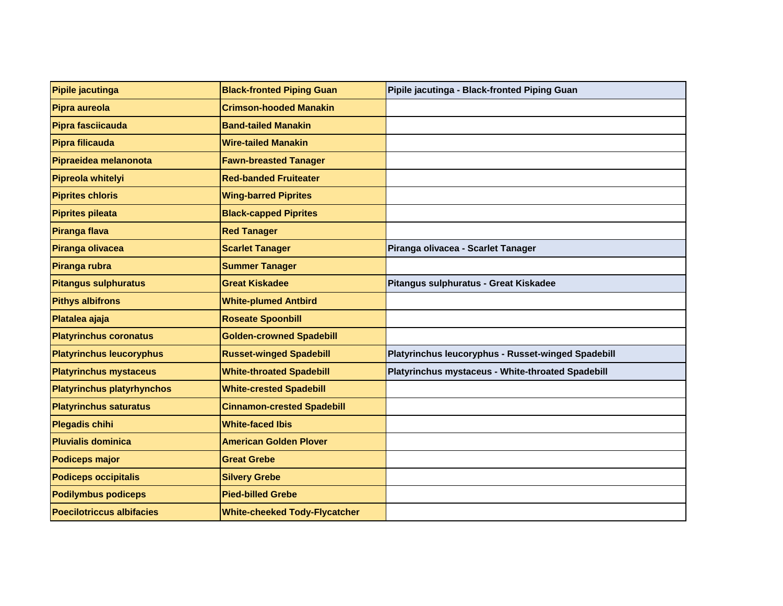| Pipile jacutinga                  | <b>Black-fronted Piping Guan</b>     | Pipile jacutinga - Black-fronted Piping Guan       |
|-----------------------------------|--------------------------------------|----------------------------------------------------|
| Pipra aureola                     | <b>Crimson-hooded Manakin</b>        |                                                    |
| Pipra fasciicauda                 | <b>Band-tailed Manakin</b>           |                                                    |
| Pipra filicauda                   | <b>Wire-tailed Manakin</b>           |                                                    |
| Pipraeidea melanonota             | <b>Fawn-breasted Tanager</b>         |                                                    |
| Pipreola whitelyi                 | <b>Red-banded Fruiteater</b>         |                                                    |
| <b>Piprites chloris</b>           | <b>Wing-barred Piprites</b>          |                                                    |
| <b>Piprites pileata</b>           | <b>Black-capped Piprites</b>         |                                                    |
| Piranga flava                     | <b>Red Tanager</b>                   |                                                    |
| Piranga olivacea                  | <b>Scarlet Tanager</b>               | Piranga olivacea - Scarlet Tanager                 |
| Piranga rubra                     | <b>Summer Tanager</b>                |                                                    |
| <b>Pitangus sulphuratus</b>       | <b>Great Kiskadee</b>                | Pitangus sulphuratus - Great Kiskadee              |
| <b>Pithys albifrons</b>           | <b>White-plumed Antbird</b>          |                                                    |
| Platalea ajaja                    | <b>Roseate Spoonbill</b>             |                                                    |
| <b>Platyrinchus coronatus</b>     | <b>Golden-crowned Spadebill</b>      |                                                    |
| <b>Platyrinchus leucoryphus</b>   | <b>Russet-winged Spadebill</b>       | Platyrinchus leucoryphus - Russet-winged Spadebill |
| <b>Platyrinchus mystaceus</b>     | <b>White-throated Spadebill</b>      | Platyrinchus mystaceus - White-throated Spadebill  |
| <b>Platyrinchus platyrhynchos</b> | <b>White-crested Spadebill</b>       |                                                    |
| <b>Platyrinchus saturatus</b>     | <b>Cinnamon-crested Spadebill</b>    |                                                    |
| <b>Plegadis chihi</b>             | <b>White-faced Ibis</b>              |                                                    |
| <b>Pluvialis dominica</b>         | <b>American Golden Plover</b>        |                                                    |
| <b>Podiceps major</b>             | <b>Great Grebe</b>                   |                                                    |
| <b>Podiceps occipitalis</b>       | <b>Silvery Grebe</b>                 |                                                    |
| <b>Podilymbus podiceps</b>        | <b>Pied-billed Grebe</b>             |                                                    |
| <b>Poecilotriccus albifacies</b>  | <b>White-cheeked Tody-Flycatcher</b> |                                                    |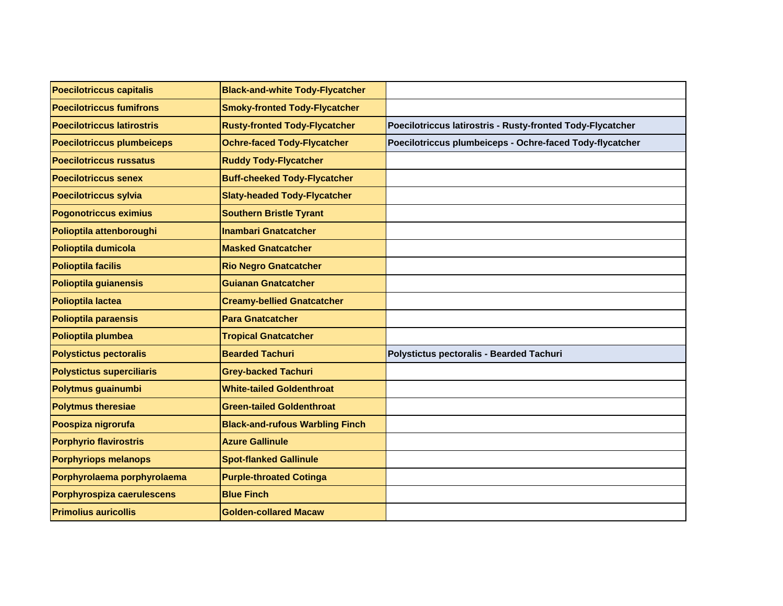| Poecilotriccus capitalis          | <b>Black-and-white Tody-Flycatcher</b> |                                                            |
|-----------------------------------|----------------------------------------|------------------------------------------------------------|
| <b>Poecilotriccus fumifrons</b>   | <b>Smoky-fronted Tody-Flycatcher</b>   |                                                            |
| <b>Poecilotriccus latirostris</b> | <b>Rusty-fronted Tody-Flycatcher</b>   | Poecilotriccus latirostris - Rusty-fronted Tody-Flycatcher |
| <b>Poecilotriccus plumbeiceps</b> | <b>Ochre-faced Tody-Flycatcher</b>     | Poecilotriccus plumbeiceps - Ochre-faced Tody-flycatcher   |
| <b>Poecilotriccus russatus</b>    | <b>Ruddy Tody-Flycatcher</b>           |                                                            |
| <b>Poecilotriccus senex</b>       | <b>Buff-cheeked Tody-Flycatcher</b>    |                                                            |
| Poecilotriccus sylvia             | <b>Slaty-headed Tody-Flycatcher</b>    |                                                            |
| Pogonotriccus eximius             | <b>Southern Bristle Tyrant</b>         |                                                            |
| Polioptila attenboroughi          | <b>Inambari Gnatcatcher</b>            |                                                            |
| Polioptila dumicola               | <b>Masked Gnatcatcher</b>              |                                                            |
| <b>Polioptila facilis</b>         | <b>Rio Negro Gnatcatcher</b>           |                                                            |
| Polioptila guianensis             | <b>Guianan Gnatcatcher</b>             |                                                            |
| Polioptila lactea                 | <b>Creamy-bellied Gnatcatcher</b>      |                                                            |
| <b>Polioptila paraensis</b>       | <b>Para Gnatcatcher</b>                |                                                            |
| Polioptila plumbea                | <b>Tropical Gnatcatcher</b>            |                                                            |
| <b>Polystictus pectoralis</b>     | <b>Bearded Tachuri</b>                 | Polystictus pectoralis - Bearded Tachuri                   |
| <b>Polystictus superciliaris</b>  | <b>Grey-backed Tachuri</b>             |                                                            |
| Polytmus guainumbi                | <b>White-tailed Goldenthroat</b>       |                                                            |
| <b>Polytmus theresiae</b>         | <b>Green-tailed Goldenthroat</b>       |                                                            |
| Poospiza nigrorufa                | <b>Black-and-rufous Warbling Finch</b> |                                                            |
| <b>Porphyrio flavirostris</b>     | <b>Azure Gallinule</b>                 |                                                            |
| <b>Porphyriops melanops</b>       | <b>Spot-flanked Gallinule</b>          |                                                            |
| Porphyrolaema porphyrolaema       | <b>Purple-throated Cotinga</b>         |                                                            |
| Porphyrospiza caerulescens        | <b>Blue Finch</b>                      |                                                            |
| <b>Primolius auricollis</b>       | <b>Golden-collared Macaw</b>           |                                                            |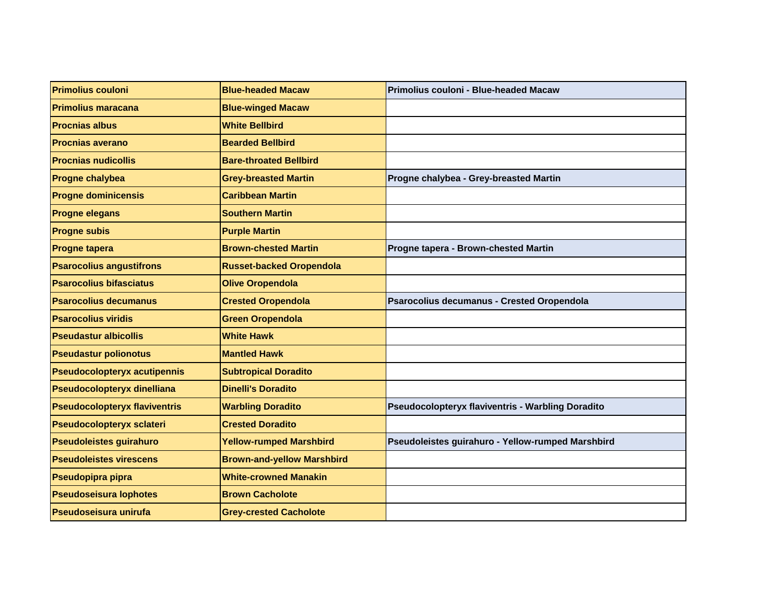| <b>Primolius couloni</b>             | <b>Blue-headed Macaw</b>          | Primolius couloni - Blue-headed Macaw                    |
|--------------------------------------|-----------------------------------|----------------------------------------------------------|
| <b>Primolius maracana</b>            | <b>Blue-winged Macaw</b>          |                                                          |
| <b>Procnias albus</b>                | <b>White Bellbird</b>             |                                                          |
| <b>Procnias averano</b>              | <b>Bearded Bellbird</b>           |                                                          |
| <b>Procnias nudicollis</b>           | <b>Bare-throated Bellbird</b>     |                                                          |
| Progne chalybea                      | <b>Grey-breasted Martin</b>       | Progne chalybea - Grey-breasted Martin                   |
| <b>Progne dominicensis</b>           | <b>Caribbean Martin</b>           |                                                          |
| <b>Progne elegans</b>                | <b>Southern Martin</b>            |                                                          |
| <b>Progne subis</b>                  | <b>Purple Martin</b>              |                                                          |
| <b>Progne tapera</b>                 | <b>Brown-chested Martin</b>       | Progne tapera - Brown-chested Martin                     |
| <b>Psarocolius angustifrons</b>      | <b>Russet-backed Oropendola</b>   |                                                          |
| <b>Psarocolius bifasciatus</b>       | <b>Olive Oropendola</b>           |                                                          |
| <b>Psarocolius decumanus</b>         | <b>Crested Oropendola</b>         | Psarocolius decumanus - Crested Oropendola               |
| <b>Psarocolius viridis</b>           | <b>Green Oropendola</b>           |                                                          |
| <b>Pseudastur albicollis</b>         | <b>White Hawk</b>                 |                                                          |
| <b>Pseudastur polionotus</b>         | <b>Mantled Hawk</b>               |                                                          |
| <b>Pseudocolopteryx acutipennis</b>  | <b>Subtropical Doradito</b>       |                                                          |
| Pseudocolopteryx dinelliana          | <b>Dinelli's Doradito</b>         |                                                          |
| <b>Pseudocolopteryx flaviventris</b> | <b>Warbling Doradito</b>          | <b>Pseudocolopteryx flaviventris - Warbling Doradito</b> |
| Pseudocolopteryx sclateri            | <b>Crested Doradito</b>           |                                                          |
| <b>Pseudoleistes guirahuro</b>       | <b>Yellow-rumped Marshbird</b>    | Pseudoleistes guirahuro - Yellow-rumped Marshbird        |
| <b>Pseudoleistes virescens</b>       | <b>Brown-and-yellow Marshbird</b> |                                                          |
| Pseudopipra pipra                    | <b>White-crowned Manakin</b>      |                                                          |
| <b>Pseudoseisura lophotes</b>        | <b>Brown Cacholote</b>            |                                                          |
| Pseudoseisura unirufa                | <b>Grey-crested Cacholote</b>     |                                                          |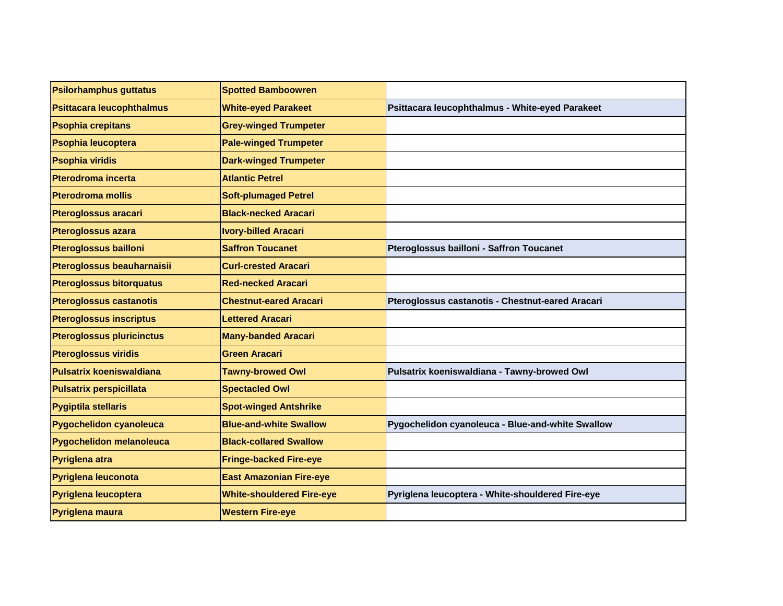| <b>Psilorhamphus guttatus</b>    | <b>Spotted Bamboowren</b>        |                                                  |
|----------------------------------|----------------------------------|--------------------------------------------------|
| Psittacara leucophthalmus        | <b>White-eyed Parakeet</b>       | Psittacara leucophthalmus - White-eyed Parakeet  |
| <b>Psophia crepitans</b>         | <b>Grey-winged Trumpeter</b>     |                                                  |
| <b>Psophia leucoptera</b>        | <b>Pale-winged Trumpeter</b>     |                                                  |
| <b>Psophia viridis</b>           | <b>Dark-winged Trumpeter</b>     |                                                  |
| <b>Pterodroma incerta</b>        | <b>Atlantic Petrel</b>           |                                                  |
| <b>Pterodroma mollis</b>         | <b>Soft-plumaged Petrel</b>      |                                                  |
| <b>Pteroglossus aracari</b>      | <b>Black-necked Aracari</b>      |                                                  |
| <b>Pteroglossus azara</b>        | <b>Ivory-billed Aracari</b>      |                                                  |
| <b>Pteroglossus bailloni</b>     | <b>Saffron Toucanet</b>          | Pteroglossus bailloni - Saffron Toucanet         |
| Pteroglossus beauharnaisii       | <b>Curl-crested Aracari</b>      |                                                  |
| <b>Pteroglossus bitorquatus</b>  | <b>Red-necked Aracari</b>        |                                                  |
| <b>Pteroglossus castanotis</b>   | <b>Chestnut-eared Aracari</b>    | Pteroglossus castanotis - Chestnut-eared Aracari |
| <b>Pteroglossus inscriptus</b>   | <b>Lettered Aracari</b>          |                                                  |
| <b>Pteroglossus pluricinctus</b> | <b>Many-banded Aracari</b>       |                                                  |
| <b>Pteroglossus viridis</b>      | Green Aracari                    |                                                  |
| <b>Pulsatrix koeniswaldiana</b>  | <b>Tawny-browed Owl</b>          | Pulsatrix koeniswaldiana - Tawny-browed Owl      |
| <b>Pulsatrix perspicillata</b>   | <b>Spectacled Owl</b>            |                                                  |
| <b>Pygiptila stellaris</b>       | <b>Spot-winged Antshrike</b>     |                                                  |
| Pygochelidon cyanoleuca          | <b>Blue-and-white Swallow</b>    | Pygochelidon cyanoleuca - Blue-and-white Swallow |
| Pygochelidon melanoleuca         | <b>Black-collared Swallow</b>    |                                                  |
| Pyriglena atra                   | <b>Fringe-backed Fire-eye</b>    |                                                  |
| Pyriglena leuconota              | <b>East Amazonian Fire-eye</b>   |                                                  |
| Pyriglena leucoptera             | <b>White-shouldered Fire-eye</b> | Pyriglena leucoptera - White-shouldered Fire-eye |
| Pyriglena maura                  | <b>Western Fire-eye</b>          |                                                  |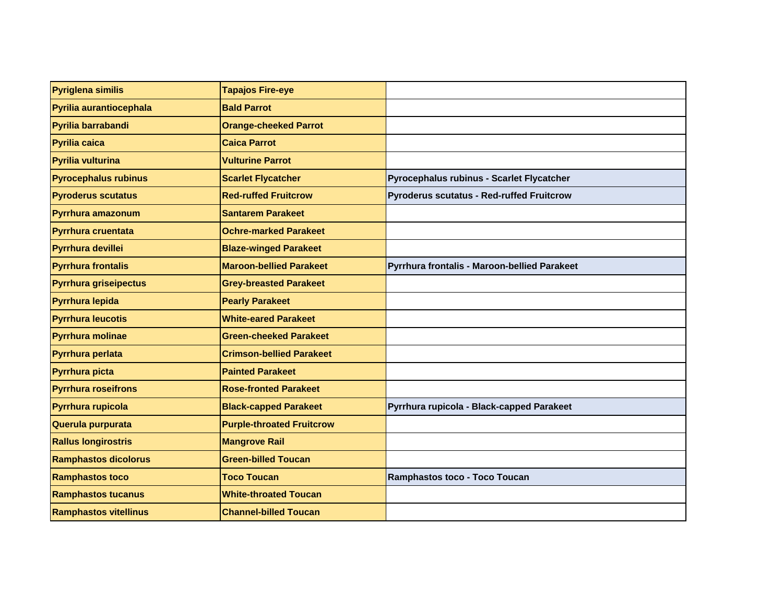| Pyriglena similis            | <b>Tapajos Fire-eye</b>          |                                                  |
|------------------------------|----------------------------------|--------------------------------------------------|
| Pyrilia aurantiocephala      | <b>Bald Parrot</b>               |                                                  |
| Pyrilia barrabandi           | <b>Orange-cheeked Parrot</b>     |                                                  |
| Pyrilia caica                | <b>Caica Parrot</b>              |                                                  |
| Pyrilia vulturina            | <b>Vulturine Parrot</b>          |                                                  |
| <b>Pyrocephalus rubinus</b>  | <b>Scarlet Flycatcher</b>        | Pyrocephalus rubinus - Scarlet Flycatcher        |
| <b>Pyroderus scutatus</b>    | <b>Red-ruffed Fruitcrow</b>      | <b>Pyroderus scutatus - Red-ruffed Fruitcrow</b> |
| Pyrrhura amazonum            | <b>Santarem Parakeet</b>         |                                                  |
| <b>Pyrrhura cruentata</b>    | <b>Ochre-marked Parakeet</b>     |                                                  |
| Pyrrhura devillei            | <b>Blaze-winged Parakeet</b>     |                                                  |
| <b>Pyrrhura frontalis</b>    | <b>Maroon-bellied Parakeet</b>   | Pyrrhura frontalis - Maroon-bellied Parakeet     |
| <b>Pyrrhura griseipectus</b> | <b>Grey-breasted Parakeet</b>    |                                                  |
| Pyrrhura lepida              | <b>Pearly Parakeet</b>           |                                                  |
| <b>Pyrrhura leucotis</b>     | <b>White-eared Parakeet</b>      |                                                  |
| <b>Pyrrhura molinae</b>      | <b>Green-cheeked Parakeet</b>    |                                                  |
| Pyrrhura perlata             | <b>Crimson-bellied Parakeet</b>  |                                                  |
| Pyrrhura picta               | <b>Painted Parakeet</b>          |                                                  |
| <b>Pyrrhura roseifrons</b>   | <b>Rose-fronted Parakeet</b>     |                                                  |
| Pyrrhura rupicola            | <b>Black-capped Parakeet</b>     | Pyrrhura rupicola - Black-capped Parakeet        |
| Querula purpurata            | <b>Purple-throated Fruitcrow</b> |                                                  |
| <b>Rallus longirostris</b>   | <b>Mangrove Rail</b>             |                                                  |
| <b>Ramphastos dicolorus</b>  | <b>Green-billed Toucan</b>       |                                                  |
| <b>Ramphastos toco</b>       | <b>Toco Toucan</b>               | Ramphastos toco - Toco Toucan                    |
| <b>Ramphastos tucanus</b>    | <b>White-throated Toucan</b>     |                                                  |
| <b>Ramphastos vitellinus</b> | <b>Channel-billed Toucan</b>     |                                                  |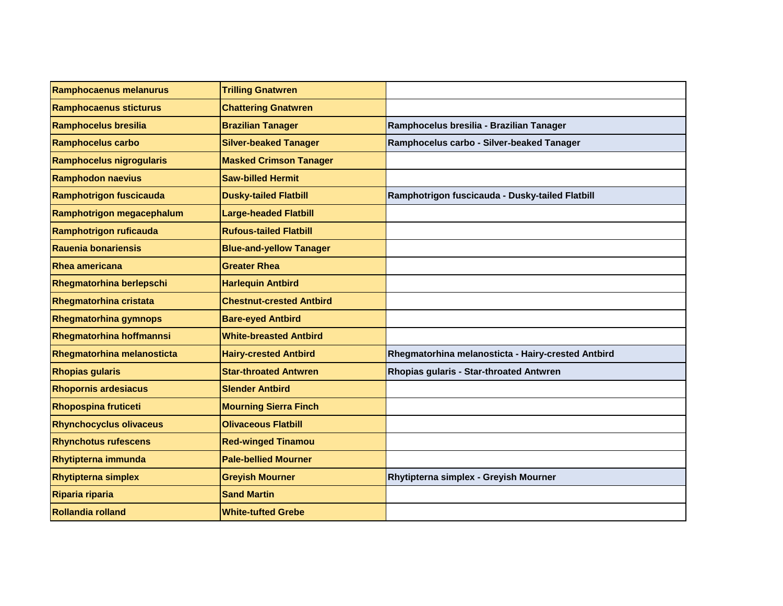| Ramphocaenus melanurus         | <b>Trilling Gnatwren</b>        |                                                    |
|--------------------------------|---------------------------------|----------------------------------------------------|
| <b>Ramphocaenus sticturus</b>  | <b>Chattering Gnatwren</b>      |                                                    |
| Ramphocelus bresilia           | <b>Brazilian Tanager</b>        | Ramphocelus bresilia - Brazilian Tanager           |
| <b>Ramphocelus carbo</b>       | <b>Silver-beaked Tanager</b>    | Ramphocelus carbo - Silver-beaked Tanager          |
| Ramphocelus nigrogularis       | <b>Masked Crimson Tanager</b>   |                                                    |
| <b>Ramphodon naevius</b>       | <b>Saw-billed Hermit</b>        |                                                    |
| Ramphotrigon fuscicauda        | <b>Dusky-tailed Flatbill</b>    | Ramphotrigon fuscicauda - Dusky-tailed Flatbill    |
| Ramphotrigon megacephalum      | <b>Large-headed Flatbill</b>    |                                                    |
| Ramphotrigon ruficauda         | <b>Rufous-tailed Flatbill</b>   |                                                    |
| Rauenia bonariensis            | <b>Blue-and-yellow Tanager</b>  |                                                    |
| Rhea americana                 | <b>Greater Rhea</b>             |                                                    |
| Rhegmatorhina berlepschi       | <b>Harlequin Antbird</b>        |                                                    |
| <b>Rhegmatorhina cristata</b>  | <b>Chestnut-crested Antbird</b> |                                                    |
| <b>Rhegmatorhina gymnops</b>   | <b>Bare-eyed Antbird</b>        |                                                    |
| Rhegmatorhina hoffmannsi       | <b>White-breasted Antbird</b>   |                                                    |
| Rhegmatorhina melanosticta     | <b>Hairy-crested Antbird</b>    | Rhegmatorhina melanosticta - Hairy-crested Antbird |
| <b>Rhopias gularis</b>         | <b>Star-throated Antwren</b>    | Rhopias gularis - Star-throated Antwren            |
| <b>Rhopornis ardesiacus</b>    | <b>Slender Antbird</b>          |                                                    |
| <b>Rhopospina fruticeti</b>    | <b>Mourning Sierra Finch</b>    |                                                    |
| <b>Rhynchocyclus olivaceus</b> | <b>Olivaceous Flatbill</b>      |                                                    |
| <b>Rhynchotus rufescens</b>    | <b>Red-winged Tinamou</b>       |                                                    |
| <b>Rhytipterna immunda</b>     | <b>Pale-bellied Mourner</b>     |                                                    |
| <b>Rhytipterna simplex</b>     | <b>Greyish Mourner</b>          | Rhytipterna simplex - Greyish Mourner              |
| Riparia riparia                | <b>Sand Martin</b>              |                                                    |
| Rollandia rolland              | <b>White-tufted Grebe</b>       |                                                    |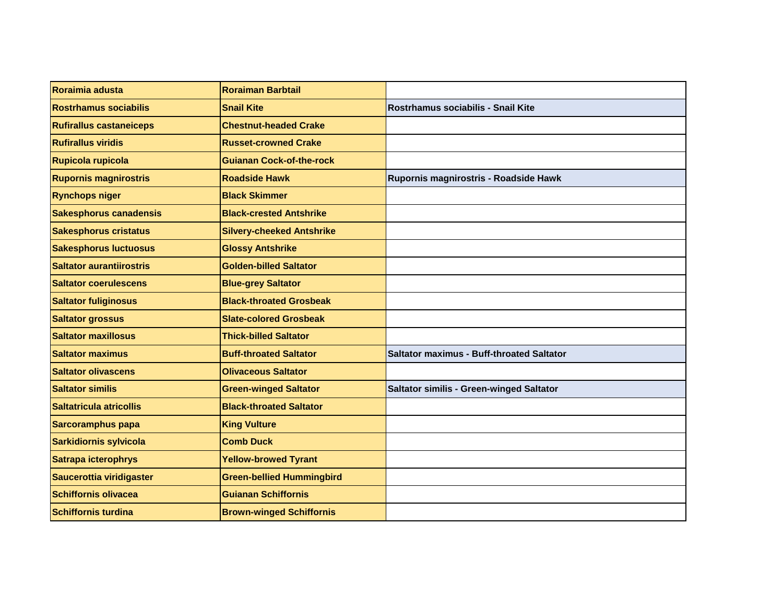| Roraimia adusta                 | <b>Roraiman Barbtail</b>         |                                                  |
|---------------------------------|----------------------------------|--------------------------------------------------|
| <b>Rostrhamus sociabilis</b>    | <b>Snail Kite</b>                | Rostrhamus sociabilis - Snail Kite               |
| <b>Rufirallus castaneiceps</b>  | <b>Chestnut-headed Crake</b>     |                                                  |
| <b>Rufirallus viridis</b>       | <b>Russet-crowned Crake</b>      |                                                  |
| Rupicola rupicola               | <b>Guianan Cock-of-the-rock</b>  |                                                  |
| <b>Rupornis magnirostris</b>    | <b>Roadside Hawk</b>             | Rupornis magnirostris - Roadside Hawk            |
| <b>Rynchops niger</b>           | <b>Black Skimmer</b>             |                                                  |
| <b>Sakesphorus canadensis</b>   | <b>Black-crested Antshrike</b>   |                                                  |
| <b>Sakesphorus cristatus</b>    | <b>Silvery-cheeked Antshrike</b> |                                                  |
| <b>Sakesphorus luctuosus</b>    | <b>Glossy Antshrike</b>          |                                                  |
| <b>Saltator aurantiirostris</b> | <b>Golden-billed Saltator</b>    |                                                  |
| <b>Saltator coerulescens</b>    | <b>Blue-grey Saltator</b>        |                                                  |
| <b>Saltator fuliginosus</b>     | <b>Black-throated Grosbeak</b>   |                                                  |
| <b>Saltator grossus</b>         | <b>Slate-colored Grosbeak</b>    |                                                  |
| <b>Saltator maxillosus</b>      | <b>Thick-billed Saltator</b>     |                                                  |
| <b>Saltator maximus</b>         | <b>Buff-throated Saltator</b>    | <b>Saltator maximus - Buff-throated Saltator</b> |
| <b>Saltator olivascens</b>      | <b>Olivaceous Saltator</b>       |                                                  |
| <b>Saltator similis</b>         | <b>Green-winged Saltator</b>     | Saltator similis - Green-winged Saltator         |
| Saltatricula atricollis         | <b>Black-throated Saltator</b>   |                                                  |
| Sarcoramphus papa               | <b>King Vulture</b>              |                                                  |
| Sarkidiornis sylvicola          | <b>Comb Duck</b>                 |                                                  |
| Satrapa icterophrys             | <b>Yellow-browed Tyrant</b>      |                                                  |
| Saucerottia viridigaster        | <b>Green-bellied Hummingbird</b> |                                                  |
| Schiffornis olivacea            | <b>Guianan Schiffornis</b>       |                                                  |
| <b>Schiffornis turdina</b>      | <b>Brown-winged Schiffornis</b>  |                                                  |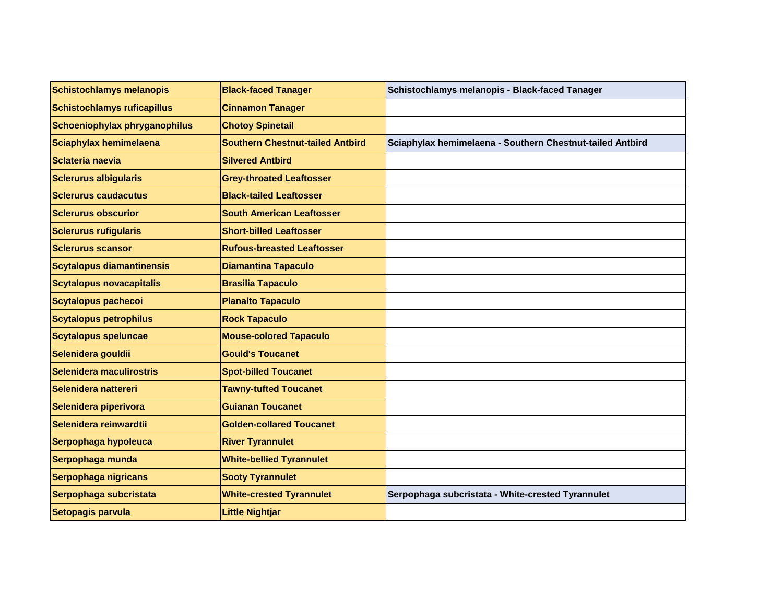| <b>Schistochlamys melanopis</b>    | <b>Black-faced Tanager</b>              | Schistochlamys melanopis - Black-faced Tanager            |
|------------------------------------|-----------------------------------------|-----------------------------------------------------------|
| <b>Schistochlamys ruficapillus</b> | <b>Cinnamon Tanager</b>                 |                                                           |
| Schoeniophylax phryganophilus      | <b>Chotoy Spinetail</b>                 |                                                           |
| Sciaphylax hemimelaena             | <b>Southern Chestnut-tailed Antbird</b> | Sciaphylax hemimelaena - Southern Chestnut-tailed Antbird |
| Sclateria naevia                   | <b>Silvered Antbird</b>                 |                                                           |
| <b>Sclerurus albigularis</b>       | <b>Grey-throated Leaftosser</b>         |                                                           |
| <b>Sclerurus caudacutus</b>        | <b>Black-tailed Leaftosser</b>          |                                                           |
| <b>Sclerurus obscurior</b>         | <b>South American Leaftosser</b>        |                                                           |
| <b>Sclerurus rufigularis</b>       | <b>Short-billed Leaftosser</b>          |                                                           |
| <b>Sclerurus scansor</b>           | <b>Rufous-breasted Leaftosser</b>       |                                                           |
| <b>Scytalopus diamantinensis</b>   | <b>Diamantina Tapaculo</b>              |                                                           |
| <b>Scytalopus novacapitalis</b>    | <b>Brasilia Tapaculo</b>                |                                                           |
| <b>Scytalopus pachecoi</b>         | <b>Planalto Tapaculo</b>                |                                                           |
| <b>Scytalopus petrophilus</b>      | <b>Rock Tapaculo</b>                    |                                                           |
| <b>Scytalopus speluncae</b>        | <b>Mouse-colored Tapaculo</b>           |                                                           |
| Selenidera gouldii                 | <b>Gould's Toucanet</b>                 |                                                           |
| Selenidera maculirostris           | <b>Spot-billed Toucanet</b>             |                                                           |
| Selenidera nattereri               | <b>Tawny-tufted Toucanet</b>            |                                                           |
| Selenidera piperivora              | <b>Guianan Toucanet</b>                 |                                                           |
| Selenidera reinwardtii             | <b>Golden-collared Toucanet</b>         |                                                           |
| Serpophaga hypoleuca               | <b>River Tyrannulet</b>                 |                                                           |
| Serpophaga munda                   | <b>White-bellied Tyrannulet</b>         |                                                           |
| Serpophaga nigricans               | <b>Sooty Tyrannulet</b>                 |                                                           |
| Serpophaga subcristata             | <b>White-crested Tyrannulet</b>         | Serpophaga subcristata - White-crested Tyrannulet         |
| Setopagis parvula                  | <b>Little Nightjar</b>                  |                                                           |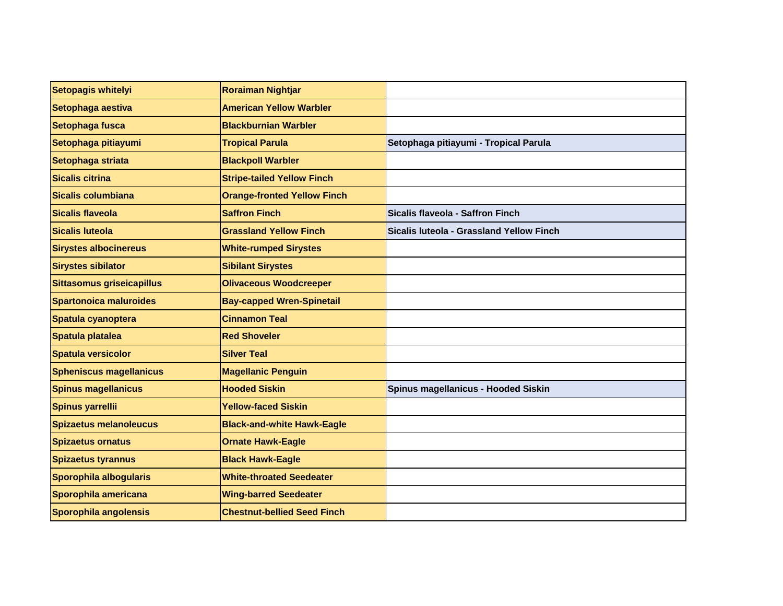| Setopagis whitelyi             | <b>Roraiman Nightjar</b>           |                                          |
|--------------------------------|------------------------------------|------------------------------------------|
| Setophaga aestiva              | <b>American Yellow Warbler</b>     |                                          |
| Setophaga fusca                | <b>Blackburnian Warbler</b>        |                                          |
| Setophaga pitiayumi            | <b>Tropical Parula</b>             | Setophaga pitiayumi - Tropical Parula    |
| Setophaga striata              | <b>Blackpoll Warbler</b>           |                                          |
| Sicalis citrina                | <b>Stripe-tailed Yellow Finch</b>  |                                          |
| Sicalis columbiana             | <b>Orange-fronted Yellow Finch</b> |                                          |
| Sicalis flaveola               | <b>Saffron Finch</b>               | Sicalis flaveola - Saffron Finch         |
| Sicalis Iuteola                | <b>Grassland Yellow Finch</b>      | Sicalis luteola - Grassland Yellow Finch |
| <b>Sirystes albocinereus</b>   | <b>White-rumped Sirystes</b>       |                                          |
| <b>Sirystes sibilator</b>      | <b>Sibilant Sirystes</b>           |                                          |
| Sittasomus griseicapillus      | <b>Olivaceous Woodcreeper</b>      |                                          |
| Spartonoica maluroides         | <b>Bay-capped Wren-Spinetail</b>   |                                          |
| Spatula cyanoptera             | <b>Cinnamon Teal</b>               |                                          |
| Spatula platalea               | <b>Red Shoveler</b>                |                                          |
| Spatula versicolor             | <b>Silver Teal</b>                 |                                          |
| <b>Spheniscus magellanicus</b> | <b>Magellanic Penguin</b>          |                                          |
| <b>Spinus magellanicus</b>     | <b>Hooded Siskin</b>               | Spinus magellanicus - Hooded Siskin      |
| Spinus yarrellii               | <b>Yellow-faced Siskin</b>         |                                          |
| Spizaetus melanoleucus         | <b>Black-and-white Hawk-Eagle</b>  |                                          |
| Spizaetus ornatus              | <b>Ornate Hawk-Eagle</b>           |                                          |
| <b>Spizaetus tyrannus</b>      | <b>Black Hawk-Eagle</b>            |                                          |
| Sporophila albogularis         | <b>White-throated Seedeater</b>    |                                          |
| Sporophila americana           | <b>Wing-barred Seedeater</b>       |                                          |
| Sporophila angolensis          | <b>Chestnut-bellied Seed Finch</b> |                                          |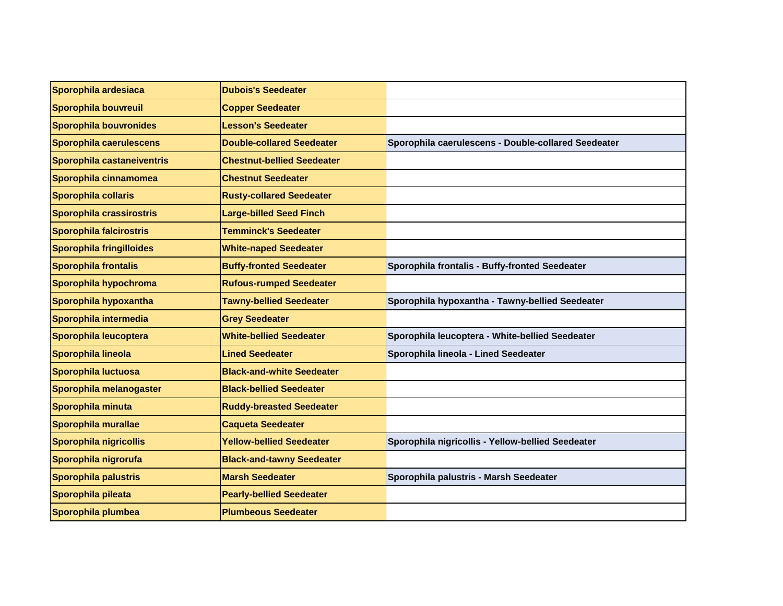| Sporophila ardesiaca          | <b>Dubois's Seedeater</b>         |                                                     |
|-------------------------------|-----------------------------------|-----------------------------------------------------|
| Sporophila bouvreuil          | <b>Copper Seedeater</b>           |                                                     |
| <b>Sporophila bouvronides</b> | <b>Lesson's Seedeater</b>         |                                                     |
| Sporophila caerulescens       | <b>Double-collared Seedeater</b>  | Sporophila caerulescens - Double-collared Seedeater |
| Sporophila castaneiventris    | <b>Chestnut-bellied Seedeater</b> |                                                     |
| Sporophila cinnamomea         | <b>Chestnut Seedeater</b>         |                                                     |
| Sporophila collaris           | <b>Rusty-collared Seedeater</b>   |                                                     |
| Sporophila crassirostris      | <b>Large-billed Seed Finch</b>    |                                                     |
| Sporophila falcirostris       | <b>Temminck's Seedeater</b>       |                                                     |
| Sporophila fringilloides      | <b>White-naped Seedeater</b>      |                                                     |
| <b>Sporophila frontalis</b>   | <b>Buffy-fronted Seedeater</b>    | Sporophila frontalis - Buffy-fronted Seedeater      |
| Sporophila hypochroma         | <b>Rufous-rumped Seedeater</b>    |                                                     |
| Sporophila hypoxantha         | <b>Tawny-bellied Seedeater</b>    | Sporophila hypoxantha - Tawny-bellied Seedeater     |
| Sporophila intermedia         | <b>Grey Seedeater</b>             |                                                     |
| Sporophila leucoptera         | <b>White-bellied Seedeater</b>    | Sporophila leucoptera - White-bellied Seedeater     |
| Sporophila lineola            | <b>Lined Seedeater</b>            | Sporophila lineola - Lined Seedeater                |
| Sporophila luctuosa           | <b>Black-and-white Seedeater</b>  |                                                     |
| Sporophila melanogaster       | <b>Black-bellied Seedeater</b>    |                                                     |
| Sporophila minuta             | <b>Ruddy-breasted Seedeater</b>   |                                                     |
| Sporophila murallae           | <b>Caqueta Seedeater</b>          |                                                     |
| Sporophila nigricollis        | <b>Yellow-bellied Seedeater</b>   | Sporophila nigricollis - Yellow-bellied Seedeater   |
| Sporophila nigrorufa          | <b>Black-and-tawny Seedeater</b>  |                                                     |
| Sporophila palustris          | <b>Marsh Seedeater</b>            | Sporophila palustris - Marsh Seedeater              |
| Sporophila pileata            | <b>Pearly-bellied Seedeater</b>   |                                                     |
| Sporophila plumbea            | <b>Plumbeous Seedeater</b>        |                                                     |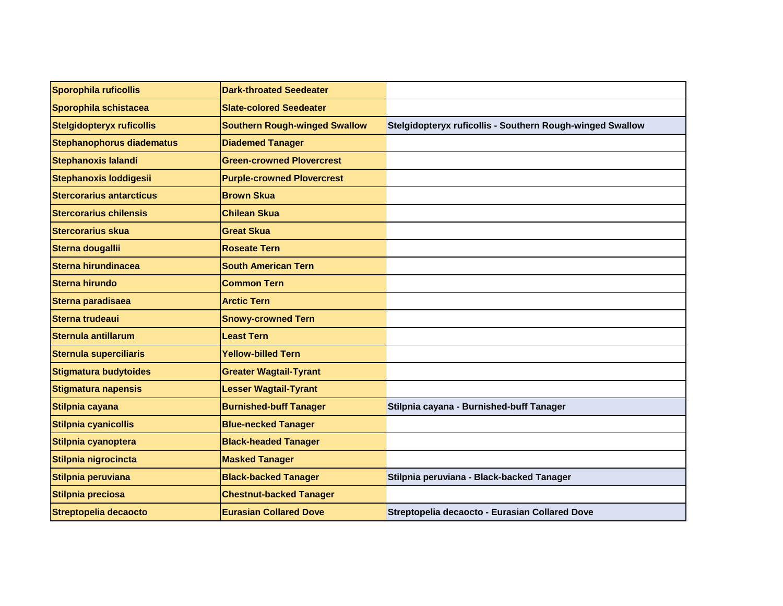| Sporophila ruficollis            | <b>Dark-throated Seedeater</b>       |                                                           |
|----------------------------------|--------------------------------------|-----------------------------------------------------------|
| Sporophila schistacea            | <b>Slate-colored Seedeater</b>       |                                                           |
| Stelgidopteryx ruficollis        | <b>Southern Rough-winged Swallow</b> | Stelgidopteryx ruficollis - Southern Rough-winged Swallow |
| <b>Stephanophorus diadematus</b> | <b>Diademed Tanager</b>              |                                                           |
| <b>Stephanoxis lalandi</b>       | <b>Green-crowned Plovercrest</b>     |                                                           |
| Stephanoxis loddigesii           | <b>Purple-crowned Plovercrest</b>    |                                                           |
| <b>Stercorarius antarcticus</b>  | <b>Brown Skua</b>                    |                                                           |
| <b>Stercorarius chilensis</b>    | <b>Chilean Skua</b>                  |                                                           |
| <b>Stercorarius skua</b>         | <b>Great Skua</b>                    |                                                           |
| Sterna dougallii                 | <b>Roseate Tern</b>                  |                                                           |
| Sterna hirundinacea              | <b>South American Tern</b>           |                                                           |
| <b>Sterna hirundo</b>            | <b>Common Tern</b>                   |                                                           |
| Sterna paradisaea                | <b>Arctic Tern</b>                   |                                                           |
| <b>Sterna trudeaui</b>           | <b>Snowy-crowned Tern</b>            |                                                           |
| Sternula antillarum              | <b>Least Tern</b>                    |                                                           |
| <b>Sternula superciliaris</b>    | <b>Yellow-billed Tern</b>            |                                                           |
| Stigmatura budytoides            | <b>Greater Wagtail-Tyrant</b>        |                                                           |
| <b>Stigmatura napensis</b>       | <b>Lesser Wagtail-Tyrant</b>         |                                                           |
| Stilpnia cayana                  | <b>Burnished-buff Tanager</b>        | Stilpnia cayana - Burnished-buff Tanager                  |
| Stilpnia cyanicollis             | <b>Blue-necked Tanager</b>           |                                                           |
| Stilpnia cyanoptera              | <b>Black-headed Tanager</b>          |                                                           |
| Stilpnia nigrocincta             | <b>Masked Tanager</b>                |                                                           |
| Stilpnia peruviana               | <b>Black-backed Tanager</b>          | Stilpnia peruviana - Black-backed Tanager                 |
| Stilpnia preciosa                | <b>Chestnut-backed Tanager</b>       |                                                           |
| <b>Streptopelia decaocto</b>     | <b>Eurasian Collared Dove</b>        | Streptopelia decaocto - Eurasian Collared Dove            |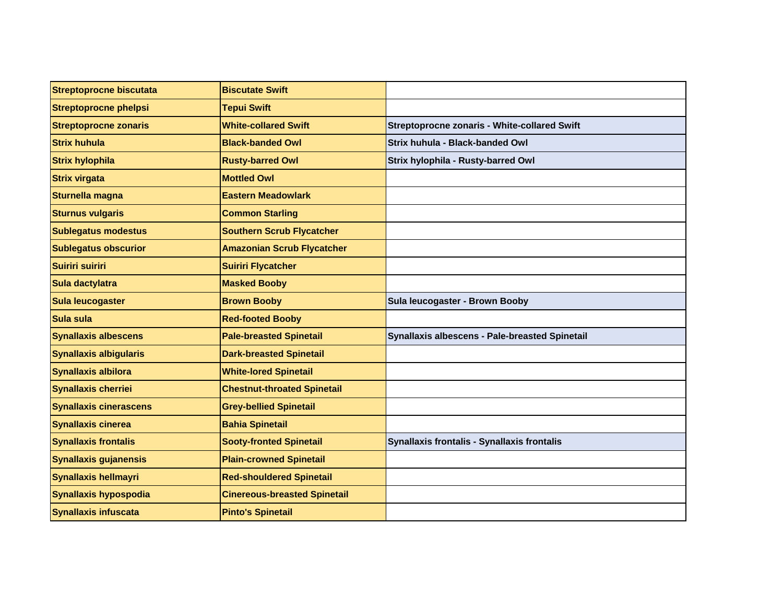| Streptoprocne biscutata       | <b>Biscutate Swift</b>              |                                                     |
|-------------------------------|-------------------------------------|-----------------------------------------------------|
| <b>Streptoprocne phelpsi</b>  | <b>Tepui Swift</b>                  |                                                     |
| <b>Streptoprocne zonaris</b>  | <b>White-collared Swift</b>         | <b>Streptoprocne zonaris - White-collared Swift</b> |
| <b>Strix huhula</b>           | <b>Black-banded Owl</b>             | Strix huhula - Black-banded Owl                     |
| <b>Strix hylophila</b>        | <b>Rusty-barred Owl</b>             | Strix hylophila - Rusty-barred Owl                  |
| <b>Strix virgata</b>          | <b>Mottled Owl</b>                  |                                                     |
| Sturnella magna               | <b>Eastern Meadowlark</b>           |                                                     |
| <b>Sturnus vulgaris</b>       | <b>Common Starling</b>              |                                                     |
| <b>Sublegatus modestus</b>    | <b>Southern Scrub Flycatcher</b>    |                                                     |
| <b>Sublegatus obscurior</b>   | <b>Amazonian Scrub Flycatcher</b>   |                                                     |
| Suiriri suiriri               | <b>Suiriri Flycatcher</b>           |                                                     |
| Sula dactylatra               | <b>Masked Booby</b>                 |                                                     |
| Sula leucogaster              | <b>Brown Booby</b>                  | Sula leucogaster - Brown Booby                      |
| Sula sula                     | <b>Red-footed Booby</b>             |                                                     |
| <b>Synallaxis albescens</b>   | <b>Pale-breasted Spinetail</b>      | Synallaxis albescens - Pale-breasted Spinetail      |
| <b>Synallaxis albigularis</b> | <b>Dark-breasted Spinetail</b>      |                                                     |
| <b>Synallaxis albilora</b>    | <b>White-lored Spinetail</b>        |                                                     |
| <b>Synallaxis cherriei</b>    | <b>Chestnut-throated Spinetail</b>  |                                                     |
| <b>Synallaxis cinerascens</b> | <b>Grey-bellied Spinetail</b>       |                                                     |
| <b>Synallaxis cinerea</b>     | <b>Bahia Spinetail</b>              |                                                     |
| <b>Synallaxis frontalis</b>   | <b>Sooty-fronted Spinetail</b>      | Synallaxis frontalis - Synallaxis frontalis         |
| <b>Synallaxis gujanensis</b>  | <b>Plain-crowned Spinetail</b>      |                                                     |
| <b>Synallaxis hellmayri</b>   | <b>Red-shouldered Spinetail</b>     |                                                     |
| Synallaxis hypospodia         | <b>Cinereous-breasted Spinetail</b> |                                                     |
| <b>Synallaxis infuscata</b>   | <b>Pinto's Spinetail</b>            |                                                     |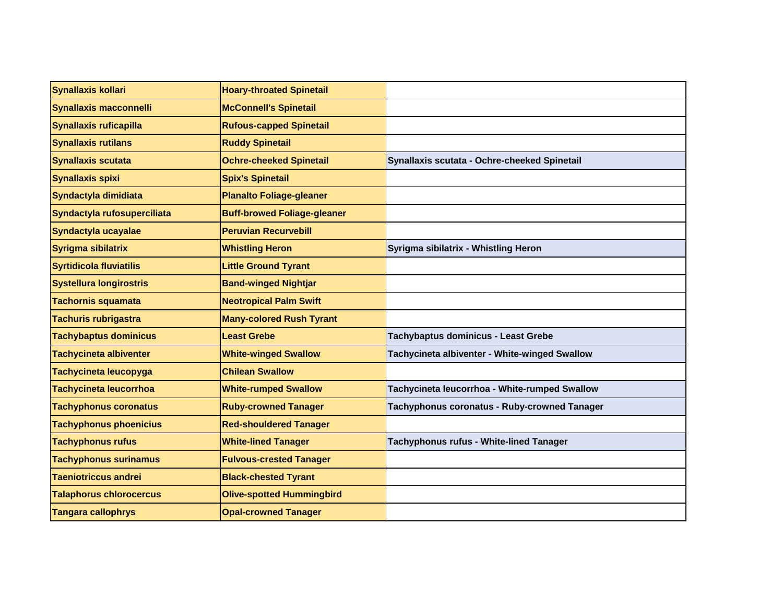| Synallaxis kollari             | <b>Hoary-throated Spinetail</b>    |                                               |
|--------------------------------|------------------------------------|-----------------------------------------------|
| <b>Synallaxis macconnelli</b>  | <b>McConnell's Spinetail</b>       |                                               |
| <b>Synallaxis ruficapilla</b>  | <b>Rufous-capped Spinetail</b>     |                                               |
| <b>Synallaxis rutilans</b>     | <b>Ruddy Spinetail</b>             |                                               |
| <b>Synallaxis scutata</b>      | <b>Ochre-cheeked Spinetail</b>     | Synallaxis scutata - Ochre-cheeked Spinetail  |
| <b>Synallaxis spixi</b>        | <b>Spix's Spinetail</b>            |                                               |
| Syndactyla dimidiata           | <b>Planalto Foliage-gleaner</b>    |                                               |
| Syndactyla rufosuperciliata    | <b>Buff-browed Foliage-gleaner</b> |                                               |
| Syndactyla ucayalae            | <b>Peruvian Recurvebill</b>        |                                               |
| Syrigma sibilatrix             | <b>Whistling Heron</b>             | Syrigma sibilatrix - Whistling Heron          |
| <b>Syrtidicola fluviatilis</b> | <b>Little Ground Tyrant</b>        |                                               |
| <b>Systellura longirostris</b> | <b>Band-winged Nightjar</b>        |                                               |
| <b>Tachornis squamata</b>      | <b>Neotropical Palm Swift</b>      |                                               |
| <b>Tachuris rubrigastra</b>    | <b>Many-colored Rush Tyrant</b>    |                                               |
| <b>Tachybaptus dominicus</b>   | <b>Least Grebe</b>                 | Tachybaptus dominicus - Least Grebe           |
| <b>Tachycineta albiventer</b>  | <b>White-winged Swallow</b>        | Tachycineta albiventer - White-winged Swallow |
| Tachycineta leucopyga          | <b>Chilean Swallow</b>             |                                               |
| Tachycineta leucorrhoa         | <b>White-rumped Swallow</b>        | Tachycineta leucorrhoa - White-rumped Swallow |
| <b>Tachyphonus coronatus</b>   | <b>Ruby-crowned Tanager</b>        | Tachyphonus coronatus - Ruby-crowned Tanager  |
| <b>Tachyphonus phoenicius</b>  | <b>Red-shouldered Tanager</b>      |                                               |
| <b>Tachyphonus rufus</b>       | <b>White-lined Tanager</b>         | Tachyphonus rufus - White-lined Tanager       |
| <b>Tachyphonus surinamus</b>   | <b>Fulvous-crested Tanager</b>     |                                               |
| <b>Taeniotriccus andrei</b>    | <b>Black-chested Tyrant</b>        |                                               |
| <b>Talaphorus chlorocercus</b> | <b>Olive-spotted Hummingbird</b>   |                                               |
| <b>Tangara callophrys</b>      | <b>Opal-crowned Tanager</b>        |                                               |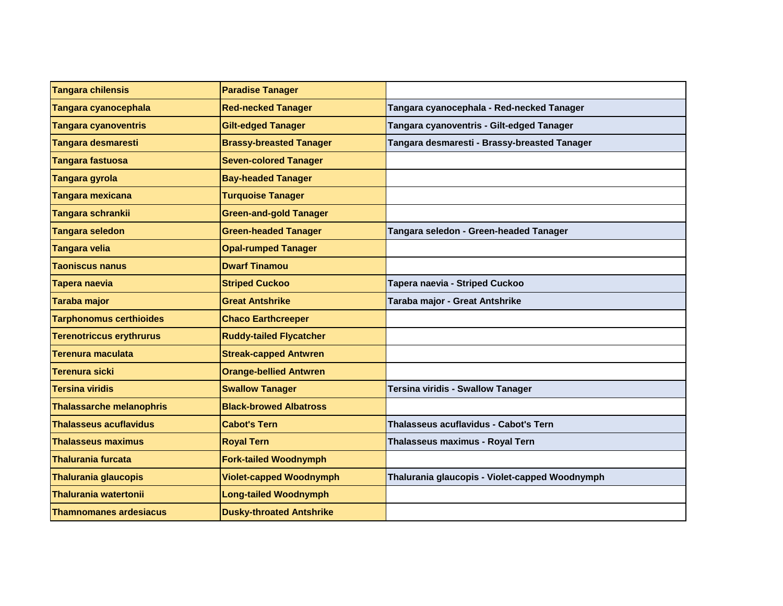| <b>Tangara chilensis</b>        | <b>Paradise Tanager</b>         |                                                |
|---------------------------------|---------------------------------|------------------------------------------------|
| Tangara cyanocephala            | <b>Red-necked Tanager</b>       | Tangara cyanocephala - Red-necked Tanager      |
| <b>Tangara cyanoventris</b>     | <b>Gilt-edged Tanager</b>       | Tangara cyanoventris - Gilt-edged Tanager      |
| <b>Tangara desmaresti</b>       | <b>Brassy-breasted Tanager</b>  | Tangara desmaresti - Brassy-breasted Tanager   |
| <b>Tangara fastuosa</b>         | <b>Seven-colored Tanager</b>    |                                                |
| Tangara gyrola                  | <b>Bay-headed Tanager</b>       |                                                |
| Tangara mexicana                | <b>Turquoise Tanager</b>        |                                                |
| Tangara schrankii               | <b>Green-and-gold Tanager</b>   |                                                |
| <b>Tangara seledon</b>          | <b>Green-headed Tanager</b>     | Tangara seledon - Green-headed Tanager         |
| <b>Tangara velia</b>            | <b>Opal-rumped Tanager</b>      |                                                |
| <b>Taoniscus nanus</b>          | <b>Dwarf Tinamou</b>            |                                                |
| <b>Tapera naevia</b>            | <b>Striped Cuckoo</b>           | Tapera naevia - Striped Cuckoo                 |
| <b>Taraba major</b>             | <b>Great Antshrike</b>          | Taraba major - Great Antshrike                 |
| <b>Tarphonomus certhioides</b>  | <b>Chaco Earthcreeper</b>       |                                                |
| <b>Terenotriccus erythrurus</b> | <b>Ruddy-tailed Flycatcher</b>  |                                                |
| Terenura maculata               | <b>Streak-capped Antwren</b>    |                                                |
| Terenura sicki                  | <b>Orange-bellied Antwren</b>   |                                                |
| <b>Tersina viridis</b>          | <b>Swallow Tanager</b>          | Tersina viridis - Swallow Tanager              |
| <b>Thalassarche melanophris</b> | <b>Black-browed Albatross</b>   |                                                |
| <b>Thalasseus acuflavidus</b>   | <b>Cabot's Tern</b>             | Thalasseus acuflavidus - Cabot's Tern          |
| <b>Thalasseus maximus</b>       | <b>Royal Tern</b>               | Thalasseus maximus - Royal Tern                |
| <b>Thalurania furcata</b>       | <b>Fork-tailed Woodnymph</b>    |                                                |
| <b>Thalurania glaucopis</b>     | <b>Violet-capped Woodnymph</b>  | Thalurania glaucopis - Violet-capped Woodnymph |
| <b>Thalurania watertonii</b>    | <b>Long-tailed Woodnymph</b>    |                                                |
| <b>Thamnomanes ardesiacus</b>   | <b>Dusky-throated Antshrike</b> |                                                |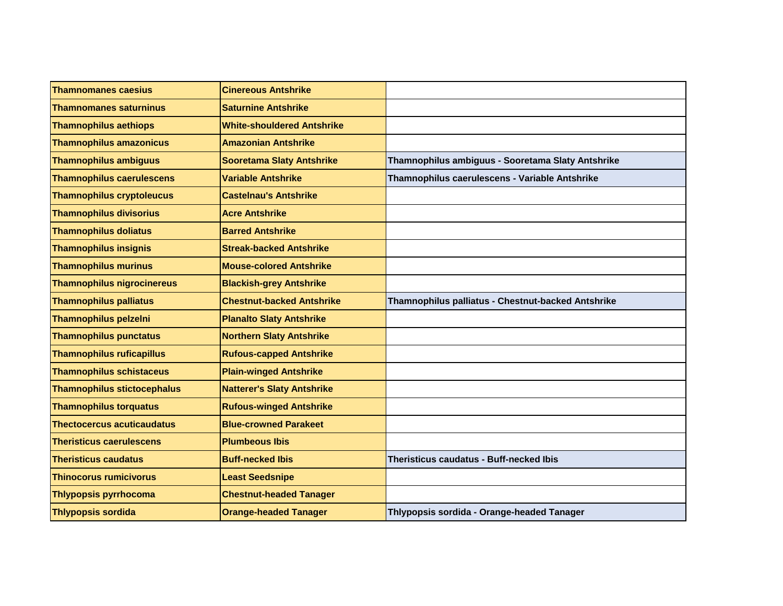| <b>Thamnomanes caesius</b>        | <b>Cinereous Antshrike</b>        |                                                    |
|-----------------------------------|-----------------------------------|----------------------------------------------------|
| <b>Thamnomanes saturninus</b>     | <b>Saturnine Antshrike</b>        |                                                    |
| <b>Thamnophilus aethiops</b>      | <b>White-shouldered Antshrike</b> |                                                    |
| <b>Thamnophilus amazonicus</b>    | <b>Amazonian Antshrike</b>        |                                                    |
| <b>Thamnophilus ambiguus</b>      | <b>Sooretama Slaty Antshrike</b>  | Thamnophilus ambiguus - Sooretama Slaty Antshrike  |
| <b>Thamnophilus caerulescens</b>  | <b>Variable Antshrike</b>         | Thamnophilus caerulescens - Variable Antshrike     |
| <b>Thamnophilus cryptoleucus</b>  | <b>Castelnau's Antshrike</b>      |                                                    |
| <b>Thamnophilus divisorius</b>    | <b>Acre Antshrike</b>             |                                                    |
| <b>Thamnophilus doliatus</b>      | <b>Barred Antshrike</b>           |                                                    |
| <b>Thamnophilus insignis</b>      | <b>Streak-backed Antshrike</b>    |                                                    |
| <b>Thamnophilus murinus</b>       | <b>Mouse-colored Antshrike</b>    |                                                    |
| <b>Thamnophilus nigrocinereus</b> | <b>Blackish-grey Antshrike</b>    |                                                    |
| <b>Thamnophilus palliatus</b>     | <b>Chestnut-backed Antshrike</b>  | Thamnophilus palliatus - Chestnut-backed Antshrike |
| <b>Thamnophilus pelzelni</b>      | <b>Planalto Slaty Antshrike</b>   |                                                    |
| <b>Thamnophilus punctatus</b>     | <b>Northern Slaty Antshrike</b>   |                                                    |
| <b>Thamnophilus ruficapillus</b>  | <b>Rufous-capped Antshrike</b>    |                                                    |
| <b>Thamnophilus schistaceus</b>   | <b>Plain-winged Antshrike</b>     |                                                    |
| Thamnophilus stictocephalus       | <b>Natterer's Slaty Antshrike</b> |                                                    |
| <b>Thamnophilus torquatus</b>     | <b>Rufous-winged Antshrike</b>    |                                                    |
| <b>Thectocercus acuticaudatus</b> | <b>Blue-crowned Parakeet</b>      |                                                    |
| <b>Theristicus caerulescens</b>   | <b>Plumbeous Ibis</b>             |                                                    |
| <b>Theristicus caudatus</b>       | <b>Buff-necked Ibis</b>           | Theristicus caudatus - Buff-necked Ibis            |
| <b>Thinocorus rumicivorus</b>     | <b>Least Seedsnipe</b>            |                                                    |
| <b>Thlypopsis pyrrhocoma</b>      | <b>Chestnut-headed Tanager</b>    |                                                    |
| <b>Thlypopsis sordida</b>         | <b>Orange-headed Tanager</b>      | Thlypopsis sordida - Orange-headed Tanager         |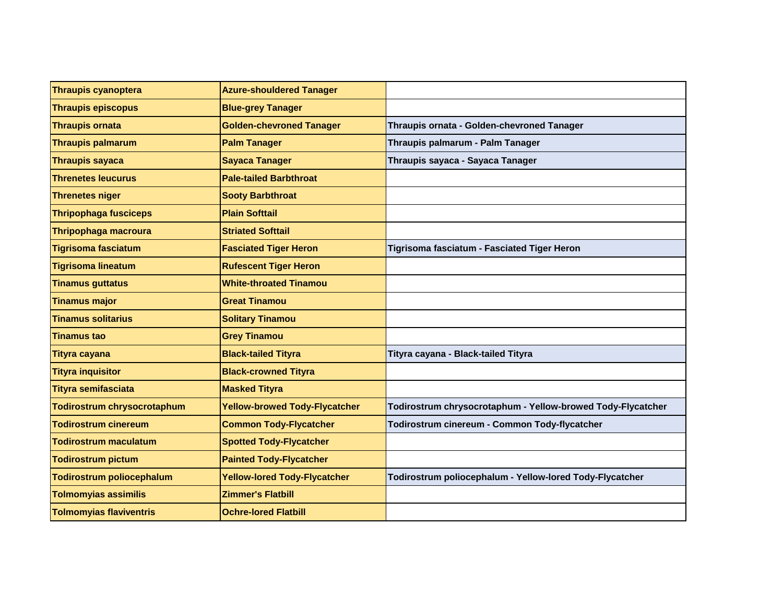| <b>Thraupis cyanoptera</b>     | <b>Azure-shouldered Tanager</b>      |                                                             |
|--------------------------------|--------------------------------------|-------------------------------------------------------------|
| <b>Thraupis episcopus</b>      | <b>Blue-grey Tanager</b>             |                                                             |
| <b>Thraupis ornata</b>         | <b>Golden-chevroned Tanager</b>      | Thraupis ornata - Golden-chevroned Tanager                  |
| <b>Thraupis palmarum</b>       | <b>Palm Tanager</b>                  | Thraupis palmarum - Palm Tanager                            |
| <b>Thraupis sayaca</b>         | <b>Sayaca Tanager</b>                | Thraupis sayaca - Sayaca Tanager                            |
| <b>Threnetes leucurus</b>      | <b>Pale-tailed Barbthroat</b>        |                                                             |
| <b>Threnetes niger</b>         | <b>Sooty Barbthroat</b>              |                                                             |
| <b>Thripophaga fusciceps</b>   | <b>Plain Softtail</b>                |                                                             |
| Thripophaga macroura           | <b>Striated Softtail</b>             |                                                             |
| <b>Tigrisoma fasciatum</b>     | <b>Fasciated Tiger Heron</b>         | Tigrisoma fasciatum - Fasciated Tiger Heron                 |
| <b>Tigrisoma lineatum</b>      | <b>Rufescent Tiger Heron</b>         |                                                             |
| <b>Tinamus guttatus</b>        | <b>White-throated Tinamou</b>        |                                                             |
| <b>Tinamus major</b>           | <b>Great Tinamou</b>                 |                                                             |
| <b>Tinamus solitarius</b>      | <b>Solitary Tinamou</b>              |                                                             |
| <b>Tinamus tao</b>             | <b>Grey Tinamou</b>                  |                                                             |
| <b>Tityra cayana</b>           | <b>Black-tailed Tityra</b>           | Tityra cayana - Black-tailed Tityra                         |
| <b>Tityra inquisitor</b>       | <b>Black-crowned Tityra</b>          |                                                             |
| <b>Tityra semifasciata</b>     | <b>Masked Tityra</b>                 |                                                             |
| Todirostrum chrysocrotaphum    | <b>Yellow-browed Tody-Flycatcher</b> | Todirostrum chrysocrotaphum - Yellow-browed Tody-Flycatcher |
| <b>Todirostrum cinereum</b>    | <b>Common Tody-Flycatcher</b>        | Todirostrum cinereum - Common Tody-flycatcher               |
| <b>Todirostrum maculatum</b>   | <b>Spotted Tody-Flycatcher</b>       |                                                             |
| <b>Todirostrum pictum</b>      | <b>Painted Tody-Flycatcher</b>       |                                                             |
| Todirostrum poliocephalum      | <b>Yellow-lored Tody-Flycatcher</b>  | Todirostrum poliocephalum - Yellow-lored Tody-Flycatcher    |
| <b>Tolmomyias assimilis</b>    | <b>Zimmer's Flatbill</b>             |                                                             |
| <b>Tolmomyias flaviventris</b> | <b>Ochre-lored Flatbill</b>          |                                                             |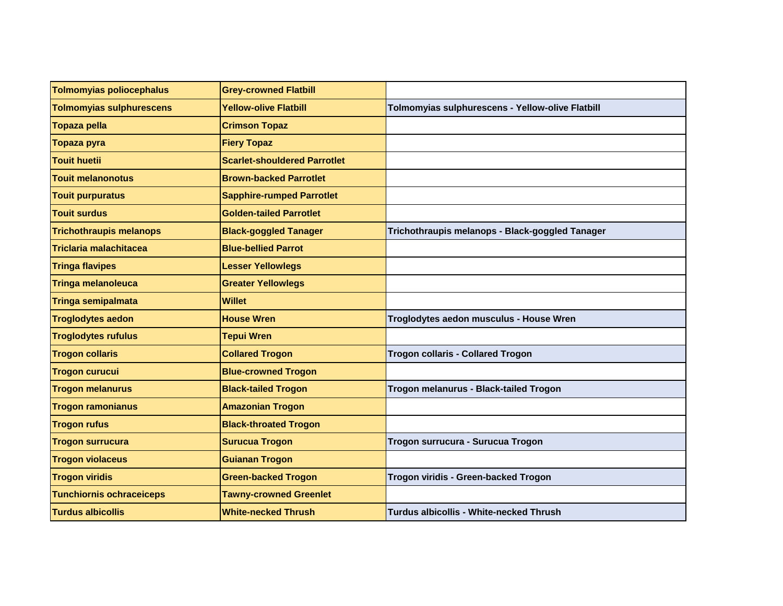| <b>Tolmomyias poliocephalus</b> | <b>Grey-crowned Flatbill</b>        |                                                  |
|---------------------------------|-------------------------------------|--------------------------------------------------|
| <b>Tolmomyias sulphurescens</b> | <b>Yellow-olive Flatbill</b>        | Tolmomyias sulphurescens - Yellow-olive Flatbill |
| <b>Topaza pella</b>             | <b>Crimson Topaz</b>                |                                                  |
| Topaza pyra                     | <b>Fiery Topaz</b>                  |                                                  |
| <b>Touit huetii</b>             | <b>Scarlet-shouldered Parrotlet</b> |                                                  |
| <b>Touit melanonotus</b>        | <b>Brown-backed Parrotlet</b>       |                                                  |
| <b>Touit purpuratus</b>         | <b>Sapphire-rumped Parrotlet</b>    |                                                  |
| <b>Touit surdus</b>             | <b>Golden-tailed Parrotlet</b>      |                                                  |
| <b>Trichothraupis melanops</b>  | <b>Black-goggled Tanager</b>        | Trichothraupis melanops - Black-goggled Tanager  |
| <b>Triclaria malachitacea</b>   | <b>Blue-bellied Parrot</b>          |                                                  |
| <b>Tringa flavipes</b>          | <b>Lesser Yellowlegs</b>            |                                                  |
| <b>Tringa melanoleuca</b>       | <b>Greater Yellowlegs</b>           |                                                  |
| <b>Tringa semipalmata</b>       | <b>Willet</b>                       |                                                  |
| <b>Troglodytes aedon</b>        | <b>House Wren</b>                   | Troglodytes aedon musculus - House Wren          |
| <b>Troglodytes rufulus</b>      | <b>Tepui Wren</b>                   |                                                  |
| <b>Trogon collaris</b>          | <b>Collared Trogon</b>              | <b>Trogon collaris - Collared Trogon</b>         |
| <b>Trogon curucui</b>           | <b>Blue-crowned Trogon</b>          |                                                  |
| <b>Trogon melanurus</b>         | <b>Black-tailed Trogon</b>          | Trogon melanurus - Black-tailed Trogon           |
| <b>Trogon ramonianus</b>        | <b>Amazonian Trogon</b>             |                                                  |
| <b>Trogon rufus</b>             | <b>Black-throated Trogon</b>        |                                                  |
| <b>Trogon surrucura</b>         | <b>Surucua Trogon</b>               | Trogon surrucura - Surucua Trogon                |
| <b>Trogon violaceus</b>         | <b>Guianan Trogon</b>               |                                                  |
| <b>Trogon viridis</b>           | <b>Green-backed Trogon</b>          | Trogon viridis - Green-backed Trogon             |
| <b>Tunchiornis ochraceiceps</b> | <b>Tawny-crowned Greenlet</b>       |                                                  |
| <b>Turdus albicollis</b>        | <b>White-necked Thrush</b>          | <b>Turdus albicollis - White-necked Thrush</b>   |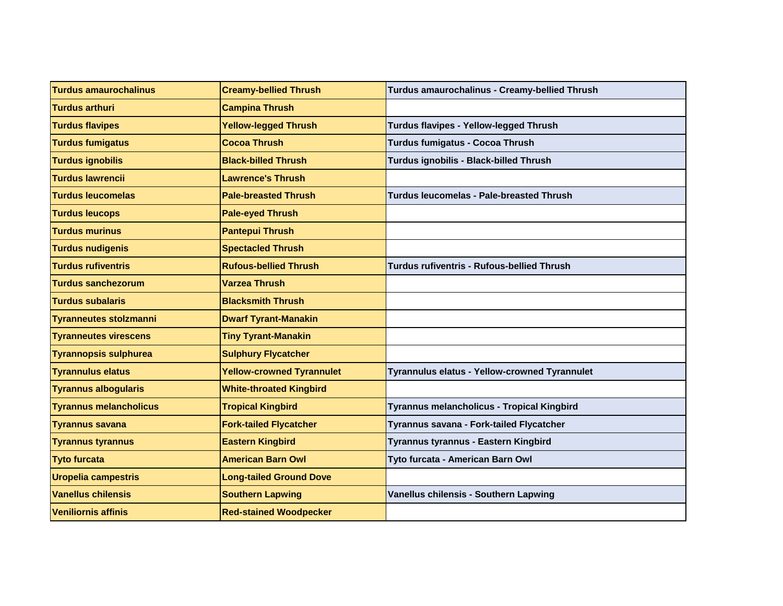| <b>Turdus amaurochalinus</b>  | <b>Creamy-bellied Thrush</b>     | Turdus amaurochalinus - Creamy-bellied Thrush   |
|-------------------------------|----------------------------------|-------------------------------------------------|
| <b>Turdus arthuri</b>         | <b>Campina Thrush</b>            |                                                 |
| <b>Turdus flavipes</b>        | <b>Yellow-legged Thrush</b>      | Turdus flavipes - Yellow-legged Thrush          |
| <b>Turdus fumigatus</b>       | <b>Cocoa Thrush</b>              | Turdus fumigatus - Cocoa Thrush                 |
| <b>Turdus ignobilis</b>       | <b>Black-billed Thrush</b>       | Turdus ignobilis - Black-billed Thrush          |
| <b>Turdus lawrencii</b>       | <b>Lawrence's Thrush</b>         |                                                 |
| <b>Turdus leucomelas</b>      | <b>Pale-breasted Thrush</b>      | <b>Turdus leucomelas - Pale-breasted Thrush</b> |
| <b>Turdus leucops</b>         | <b>Pale-eyed Thrush</b>          |                                                 |
| <b>Turdus murinus</b>         | <b>Pantepui Thrush</b>           |                                                 |
| <b>Turdus nudigenis</b>       | <b>Spectacled Thrush</b>         |                                                 |
| <b>Turdus rufiventris</b>     | <b>Rufous-bellied Thrush</b>     | Turdus rufiventris - Rufous-bellied Thrush      |
| <b>Turdus sanchezorum</b>     | <b>Varzea Thrush</b>             |                                                 |
| <b>Turdus subalaris</b>       | <b>Blacksmith Thrush</b>         |                                                 |
| <b>Tyranneutes stolzmanni</b> | <b>Dwarf Tyrant-Manakin</b>      |                                                 |
| <b>Tyranneutes virescens</b>  | <b>Tiny Tyrant-Manakin</b>       |                                                 |
| <b>Tyrannopsis sulphurea</b>  | <b>Sulphury Flycatcher</b>       |                                                 |
| <b>Tyrannulus elatus</b>      | <b>Yellow-crowned Tyrannulet</b> | Tyrannulus elatus - Yellow-crowned Tyrannulet   |
| <b>Tyrannus albogularis</b>   | <b>White-throated Kingbird</b>   |                                                 |
| <b>Tyrannus melancholicus</b> | <b>Tropical Kingbird</b>         | Tyrannus melancholicus - Tropical Kingbird      |
| Tyrannus savana               | <b>Fork-tailed Flycatcher</b>    | Tyrannus savana - Fork-tailed Flycatcher        |
| <b>Tyrannus tyrannus</b>      | <b>Eastern Kingbird</b>          | Tyrannus tyrannus - Eastern Kingbird            |
| <b>Tyto furcata</b>           | <b>American Barn Owl</b>         | Tyto furcata - American Barn Owl                |
| <b>Uropelia campestris</b>    | <b>Long-tailed Ground Dove</b>   |                                                 |
| <b>Vanellus chilensis</b>     | <b>Southern Lapwing</b>          | Vanellus chilensis - Southern Lapwing           |
| <b>Veniliornis affinis</b>    | <b>Red-stained Woodpecker</b>    |                                                 |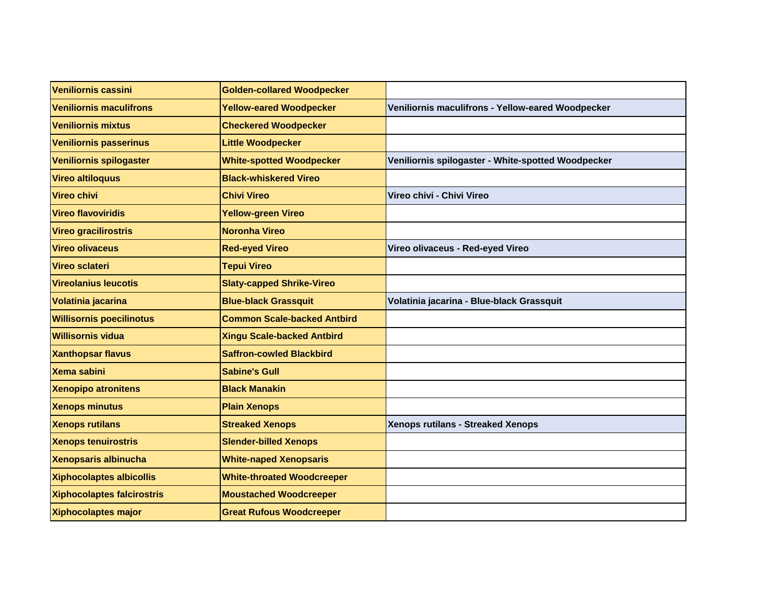| Veniliornis cassini               | <b>Golden-collared Woodpecker</b>  |                                                    |
|-----------------------------------|------------------------------------|----------------------------------------------------|
| <b>Veniliornis maculifrons</b>    | <b>Yellow-eared Woodpecker</b>     | Veniliornis maculifrons - Yellow-eared Woodpecker  |
| <b>Veniliornis mixtus</b>         | <b>Checkered Woodpecker</b>        |                                                    |
| <b>Veniliornis passerinus</b>     | <b>Little Woodpecker</b>           |                                                    |
| Veniliornis spilogaster           | <b>White-spotted Woodpecker</b>    | Veniliornis spilogaster - White-spotted Woodpecker |
| <b>Vireo altiloquus</b>           | <b>Black-whiskered Vireo</b>       |                                                    |
| <b>Vireo chivi</b>                | <b>Chivi Vireo</b>                 | Vireo chivi - Chivi Vireo                          |
| <b>Vireo flavoviridis</b>         | <b>Yellow-green Vireo</b>          |                                                    |
| Vireo gracilirostris              | <b>Noronha Vireo</b>               |                                                    |
| <b>Vireo olivaceus</b>            | <b>Red-eyed Vireo</b>              | Vireo olivaceus - Red-eyed Vireo                   |
| Vireo sclateri                    | <b>Tepui Vireo</b>                 |                                                    |
| <b>Vireolanius leucotis</b>       | <b>Slaty-capped Shrike-Vireo</b>   |                                                    |
| Volatinia jacarina                | <b>Blue-black Grassquit</b>        | Volatinia jacarina - Blue-black Grassquit          |
| <b>Willisornis poecilinotus</b>   | <b>Common Scale-backed Antbird</b> |                                                    |
| <b>Willisornis vidua</b>          | <b>Xingu Scale-backed Antbird</b>  |                                                    |
| <b>Xanthopsar flavus</b>          | <b>Saffron-cowled Blackbird</b>    |                                                    |
| Xema sabini                       | <b>Sabine's Gull</b>               |                                                    |
| <b>Xenopipo atronitens</b>        | <b>Black Manakin</b>               |                                                    |
| <b>Xenops minutus</b>             | <b>Plain Xenops</b>                |                                                    |
| <b>Xenops rutilans</b>            | <b>Streaked Xenops</b>             | <b>Xenops rutilans - Streaked Xenops</b>           |
| <b>Xenops tenuirostris</b>        | <b>Slender-billed Xenops</b>       |                                                    |
| Xenopsaris albinucha              | <b>White-naped Xenopsaris</b>      |                                                    |
| <b>Xiphocolaptes albicollis</b>   | <b>White-throated Woodcreeper</b>  |                                                    |
| <b>Xiphocolaptes falcirostris</b> | <b>Moustached Woodcreeper</b>      |                                                    |
| <b>Xiphocolaptes major</b>        | <b>Great Rufous Woodcreeper</b>    |                                                    |